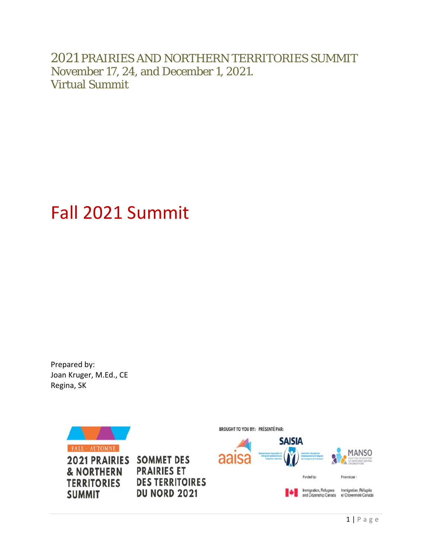2021 PRAIRIES AND NORTHERN TERRITORIES SUMMIT November 17, 24, and December 1, 2021. Virtual Summit

# Fall 2021 Summit

Prepared by: Joan Kruger, M.Ed., CE Regina, SK

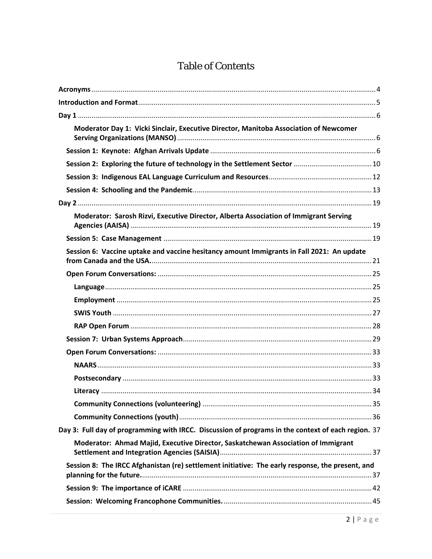# **Table of Contents**

| Moderator Day 1: Vicki Sinclair, Executive Director, Manitoba Association of Newcomer              |  |
|----------------------------------------------------------------------------------------------------|--|
|                                                                                                    |  |
|                                                                                                    |  |
|                                                                                                    |  |
|                                                                                                    |  |
|                                                                                                    |  |
| Moderator: Sarosh Rizvi, Executive Director, Alberta Association of Immigrant Serving              |  |
|                                                                                                    |  |
| Session 6: Vaccine uptake and vaccine hesitancy amount Immigrants in Fall 2021: An update          |  |
|                                                                                                    |  |
|                                                                                                    |  |
|                                                                                                    |  |
|                                                                                                    |  |
|                                                                                                    |  |
|                                                                                                    |  |
|                                                                                                    |  |
|                                                                                                    |  |
|                                                                                                    |  |
|                                                                                                    |  |
|                                                                                                    |  |
|                                                                                                    |  |
| Day 3: Full day of programming with IRCC. Discussion of programs in the context of each region. 37 |  |
| Moderator: Ahmad Majid, Executive Director, Saskatchewan Association of Immigrant                  |  |
| Session 8: The IRCC Afghanistan (re) settlement initiative: The early response, the present, and   |  |
|                                                                                                    |  |
|                                                                                                    |  |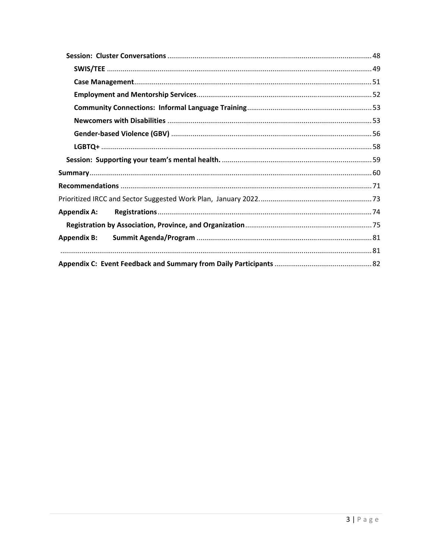| <b>Appendix A:</b> |  |
|--------------------|--|
|                    |  |
| <b>Appendix B:</b> |  |
|                    |  |
|                    |  |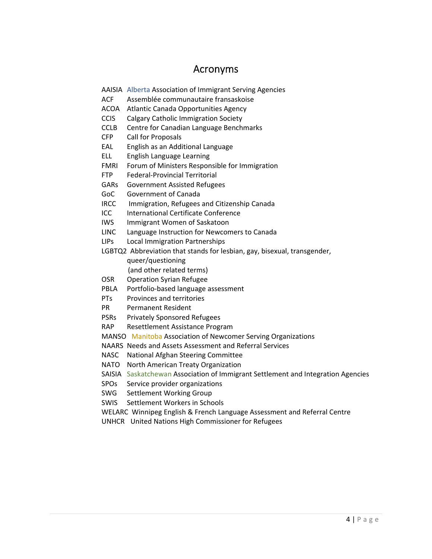## Acronyms

- AAISIA Alberta Association of Immigrant Serving Agencies
- ACF Assemblée communautaire fransaskoise
- ACOA Atlantic Canada Opportunities Agency
- CCIS Calgary Catholic Immigration Society
- CCLB Centre for Canadian Language Benchmarks
- CFP Call for Proposals
- EAL English as an Additional Language
- ELL English Language Learning
- FMRI Forum of Ministers Responsible for Immigration
- FTP Federal‐Provincial Territorial
- GARs Government Assisted Refugees
- GoC Government of Canada
- IRCC Immigration, Refugees and Citizenship Canada
- ICC International Certificate Conference
- IWS Immigrant Women of Saskatoon
- LINC Language Instruction for Newcomers to Canada
- LIPs Local Immigration Partnerships

LGBTQ2 Abbreviation that stands for lesbian, gay, bisexual, transgender, queer/questioning (and other related terms)

- OSR Operation Syrian Refugee
- PBLA Portfolio‐based language assessment
- PTs Provinces and territories
- PR Permanent Resident
- PSRs Privately Sponsored Refugees
- RAP Resettlement Assistance Program

MANSO Manitoba Association of Newcomer Serving Organizations

NAARS Needs and Assets Assessment and Referral Services

- NASC National Afghan Steering Committee
- NATO North American Treaty Organization

SAISIA Saskatchewan Association of Immigrant Settlement and Integration Agencies

- SPOs Service provider organizations
- SWG Settlement Working Group
- SWIS Settlement Workers in Schools

WELARC Winnipeg English & French Language Assessment and Referral Centre

UNHCR United Nations High Commissioner for Refugees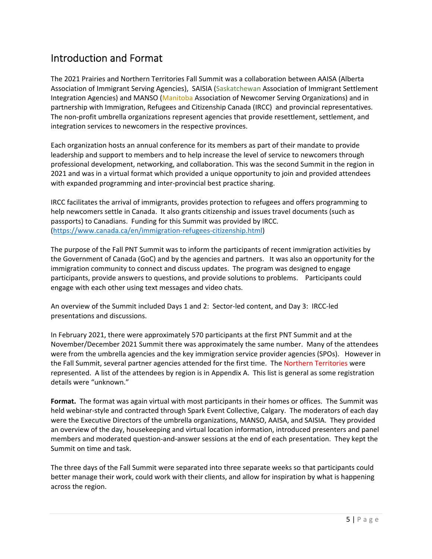# Introduction and Format

The 2021 Prairies and Northern Territories Fall Summit was a collaboration between AAISA (Alberta Association of Immigrant Serving Agencies), SAISIA (Saskatchewan Association of Immigrant Settlement Integration Agencies) and MANSO (Manitoba Association of Newcomer Serving Organizations) and in partnership with Immigration, Refugees and Citizenship Canada (IRCC) and provincial representatives. The non‐profit umbrella organizations represent agencies that provide resettlement, settlement, and integration services to newcomers in the respective provinces.

Each organization hosts an annual conference for its members as part of their mandate to provide leadership and support to members and to help increase the level of service to newcomers through professional development, networking, and collaboration. This was the second Summit in the region in 2021 and was in a virtual format which provided a unique opportunity to join and provided attendees with expanded programming and inter-provincial best practice sharing.

IRCC facilitates the arrival of immigrants, provides protection to refugees and offers programming to help newcomers settle in Canada. It also grants citizenship and issues travel documents (such as passports) to Canadians. Funding for this Summit was provided by IRCC. (https://www.canada.ca/en/immigration‐refugees‐citizenship.html)

The purpose of the Fall PNT Summit was to inform the participants of recent immigration activities by the Government of Canada (GoC) and by the agencies and partners. It was also an opportunity for the immigration community to connect and discuss updates. The program was designed to engage participants, provide answers to questions, and provide solutions to problems. Participants could engage with each other using text messages and video chats.

An overview of the Summit included Days 1 and 2: Sector-led content, and Day 3: IRCC-led presentations and discussions.

In February 2021, there were approximately 570 participants at the first PNT Summit and at the November/December 2021 Summit there was approximately the same number. Many of the attendees were from the umbrella agencies and the key immigration service provider agencies (SPOs). However in the Fall Summit, several partner agencies attended for the first time. The Northern Territories were represented. A list of the attendees by region is in Appendix A. This list is general as some registration details were "unknown."

**Format.** The format was again virtual with most participants in their homes or offices. The Summit was held webinar‐style and contracted through Spark Event Collective, Calgary. The moderators of each day were the Executive Directors of the umbrella organizations, MANSO, AAISA, and SAISIA. They provided an overview of the day, housekeeping and virtual location information, introduced presenters and panel members and moderated question‐and‐answer sessions at the end of each presentation. They kept the Summit on time and task.

The three days of the Fall Summit were separated into three separate weeks so that participants could better manage their work, could work with their clients, and allow for inspiration by what is happening across the region.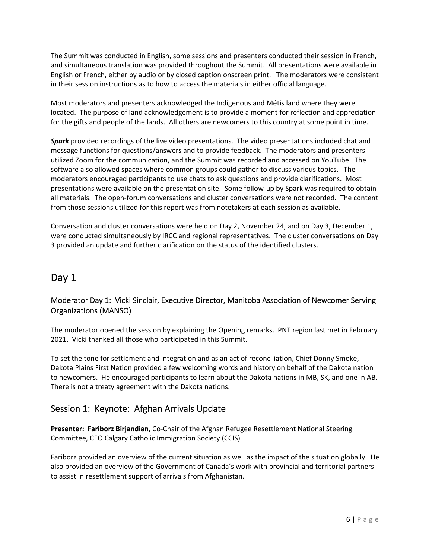The Summit was conducted in English, some sessions and presenters conducted their session in French, and simultaneous translation was provided throughout the Summit. All presentations were available in English or French, either by audio or by closed caption onscreen print. The moderators were consistent in their session instructions as to how to access the materials in either official language.

Most moderators and presenters acknowledged the Indigenous and Métis land where they were located. The purpose of land acknowledgement is to provide a moment for reflection and appreciation for the gifts and people of the lands. All others are newcomers to this country at some point in time.

*Spark* provided recordings of the live video presentations. The video presentations included chat and message functions for questions/answers and to provide feedback. The moderators and presenters utilized Zoom for the communication, and the Summit was recorded and accessed on YouTube. The software also allowed spaces where common groups could gather to discuss various topics. The moderators encouraged participants to use chats to ask questions and provide clarifications. Most presentations were available on the presentation site. Some follow‐up by Spark was required to obtain all materials. The open‐forum conversations and cluster conversations were not recorded. The content from those sessions utilized for this report was from notetakers at each session as available.

Conversation and cluster conversations were held on Day 2, November 24, and on Day 3, December 1, were conducted simultaneously by IRCC and regional representatives. The cluster conversations on Day 3 provided an update and further clarification on the status of the identified clusters.

# Day 1

## Moderator Day 1: Vicki Sinclair, Executive Director, Manitoba Association of Newcomer Serving Organizations (MANSO)

The moderator opened the session by explaining the Opening remarks. PNT region last met in February 2021. Vicki thanked all those who participated in this Summit.

To set the tone for settlement and integration and as an act of reconciliation, Chief Donny Smoke, Dakota Plains First Nation provided a few welcoming words and history on behalf of the Dakota nation to newcomers. He encouraged participants to learn about the Dakota nations in MB, SK, and one in AB. There is not a treaty agreement with the Dakota nations.

## Session 1: Keynote: Afghan Arrivals Update

**Presenter: Fariborz Birjandian**, Co‐Chair of the Afghan Refugee Resettlement National Steering Committee, CEO Calgary Catholic Immigration Society (CCIS)

Fariborz provided an overview of the current situation as well as the impact of the situation globally. He also provided an overview of the Government of Canada's work with provincial and territorial partners to assist in resettlement support of arrivals from Afghanistan.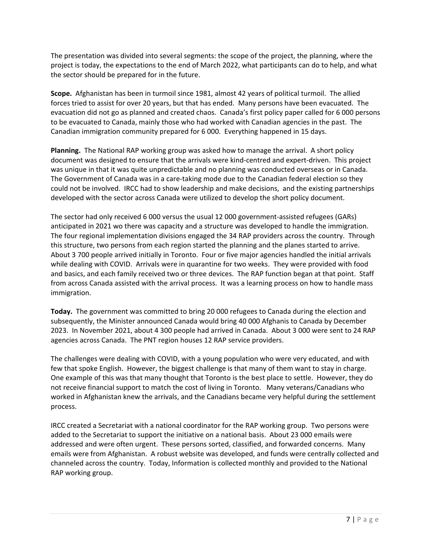The presentation was divided into several segments: the scope of the project, the planning, where the project is today, the expectations to the end of March 2022, what participants can do to help, and what the sector should be prepared for in the future.

**Scope.** Afghanistan has been in turmoil since 1981, almost 42 years of political turmoil. The allied forces tried to assist for over 20 years, but that has ended. Many persons have been evacuated. The evacuation did not go as planned and created chaos. Canada's first policy paper called for 6 000 persons to be evacuated to Canada, mainly those who had worked with Canadian agencies in the past. The Canadian immigration community prepared for 6 000. Everything happened in 15 days.

**Planning.** The National RAP working group was asked how to manage the arrival. A short policy document was designed to ensure that the arrivals were kind‐centred and expert‐driven. This project was unique in that it was quite unpredictable and no planning was conducted overseas or in Canada. The Government of Canada was in a care‐taking mode due to the Canadian federal election so they could not be involved. IRCC had to show leadership and make decisions, and the existing partnerships developed with the sector across Canada were utilized to develop the short policy document.

The sector had only received 6 000 versus the usual 12 000 government‐assisted refugees (GARs) anticipated in 2021 wo there was capacity and a structure was developed to handle the immigration. The four regional implementation divisions engaged the 34 RAP providers across the country. Through this structure, two persons from each region started the planning and the planes started to arrive. About 3 700 people arrived initially in Toronto. Four or five major agencies handled the initial arrivals while dealing with COVID. Arrivals were in quarantine for two weeks. They were provided with food and basics, and each family received two or three devices. The RAP function began at that point. Staff from across Canada assisted with the arrival process. It was a learning process on how to handle mass immigration.

**Today.** The government was committed to bring 20 000 refugees to Canada during the election and subsequently, the Minister announced Canada would bring 40 000 Afghanis to Canada by December 2023. In November 2021, about 4 300 people had arrived in Canada. About 3 000 were sent to 24 RAP agencies across Canada. The PNT region houses 12 RAP service providers.

The challenges were dealing with COVID, with a young population who were very educated, and with few that spoke English. However, the biggest challenge is that many of them want to stay in charge. One example of this was that many thought that Toronto is the best place to settle. However, they do not receive financial support to match the cost of living in Toronto. Many veterans/Canadians who worked in Afghanistan knew the arrivals, and the Canadians became very helpful during the settlement process.

IRCC created a Secretariat with a national coordinator for the RAP working group. Two persons were added to the Secretariat to support the initiative on a national basis. About 23 000 emails were addressed and were often urgent. These persons sorted, classified, and forwarded concerns. Many emails were from Afghanistan. A robust website was developed, and funds were centrally collected and channeled across the country. Today, Information is collected monthly and provided to the National RAP working group.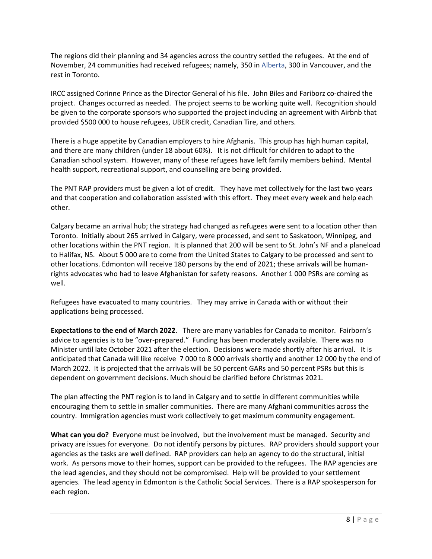The regions did their planning and 34 agencies across the country settled the refugees. At the end of November, 24 communities had received refugees; namely, 350 in Alberta, 300 in Vancouver, and the rest in Toronto.

IRCC assigned Corinne Prince as the Director General of his file. John Biles and Fariborz co‐chaired the project. Changes occurred as needed. The project seems to be working quite well. Recognition should be given to the corporate sponsors who supported the project including an agreement with Airbnb that provided \$500 000 to house refugees, UBER credit, Canadian Tire, and others.

There is a huge appetite by Canadian employers to hire Afghanis. This group has high human capital, and there are many children (under 18 about 60%). It is not difficult for children to adapt to the Canadian school system. However, many of these refugees have left family members behind. Mental health support, recreational support, and counselling are being provided.

The PNT RAP providers must be given a lot of credit. They have met collectively for the last two years and that cooperation and collaboration assisted with this effort. They meet every week and help each other.

Calgary became an arrival hub; the strategy had changed as refugees were sent to a location other than Toronto. Initially about 265 arrived in Calgary, were processed, and sent to Saskatoon, Winnipeg, and other locations within the PNT region. It is planned that 200 will be sent to St. John's NF and a planeload to Halifax, NS. About 5 000 are to come from the United States to Calgary to be processed and sent to other locations. Edmonton will receive 180 persons by the end of 2021; these arrivals will be human‐ rights advocates who had to leave Afghanistan for safety reasons. Another 1 000 PSRs are coming as well.

Refugees have evacuated to many countries. They may arrive in Canada with or without their applications being processed.

**Expectations to the end of March 2022**. There are many variables for Canada to monitor. Fairborn's advice to agencies is to be "over-prepared." Funding has been moderately available. There was no Minister until late October 2021 after the election. Decisions were made shortly after his arrival. It is anticipated that Canada will like receive 7 000 to 8 000 arrivals shortly and another 12 000 by the end of March 2022. It is projected that the arrivals will be 50 percent GARs and 50 percent PSRs but this is dependent on government decisions. Much should be clarified before Christmas 2021.

The plan affecting the PNT region is to land in Calgary and to settle in different communities while encouraging them to settle in smaller communities. There are many Afghani communities across the country. Immigration agencies must work collectively to get maximum community engagement.

**What can you do?** Everyone must be involved, but the involvement must be managed. Security and privacy are issues for everyone. Do not identify persons by pictures. RAP providers should support your agencies as the tasks are well defined. RAP providers can help an agency to do the structural, initial work. As persons move to their homes, support can be provided to the refugees. The RAP agencies are the lead agencies, and they should not be compromised. Help will be provided to your settlement agencies. The lead agency in Edmonton is the Catholic Social Services. There is a RAP spokesperson for each region.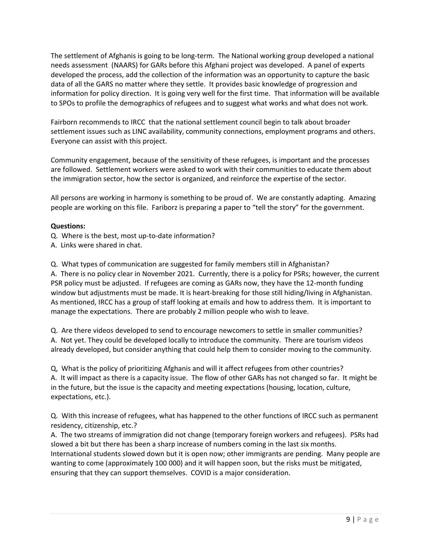The settlement of Afghanis is going to be long‐term. The National working group developed a national needs assessment (NAARS) for GARs before this Afghani project was developed. A panel of experts developed the process, add the collection of the information was an opportunity to capture the basic data of all the GARS no matter where they settle. It provides basic knowledge of progression and information for policy direction. It is going very well for the first time. That information will be available to SPOs to profile the demographics of refugees and to suggest what works and what does not work.

Fairborn recommends to IRCC that the national settlement council begin to talk about broader settlement issues such as LINC availability, community connections, employment programs and others. Everyone can assist with this project.

Community engagement, because of the sensitivity of these refugees, is important and the processes are followed. Settlement workers were asked to work with their communities to educate them about the immigration sector, how the sector is organized, and reinforce the expertise of the sector.

All persons are working in harmony is something to be proud of. We are constantly adapting. Amazing people are working on this file. Fariborz is preparing a paper to "tell the story" for the government.

## **Questions:**

Q. Where is the best, most up‐to‐date information?

A. Links were shared in chat.

Q. What types of communication are suggested for family members still in Afghanistan?

A. There is no policy clear in November 2021. Currently, there is a policy for PSRs; however, the current PSR policy must be adjusted. If refugees are coming as GARs now, they have the 12‐month funding window but adjustments must be made. It is heart-breaking for those still hiding/living in Afghanistan. As mentioned, IRCC has a group of staff looking at emails and how to address them. It is important to manage the expectations. There are probably 2 million people who wish to leave.

Q. Are there videos developed to send to encourage newcomers to settle in smaller communities? A. Not yet. They could be developed locally to introduce the community. There are tourism videos already developed, but consider anything that could help them to consider moving to the community.

Q, What is the policy of prioritizing Afghanis and will it affect refugees from other countries? A. It will impact as there is a capacity issue. The flow of other GARs has not changed so far. It might be in the future, but the issue is the capacity and meeting expectations (housing, location, culture, expectations, etc.).

Q. With this increase of refugees, what has happened to the other functions of IRCC such as permanent residency, citizenship, etc.?

A. The two streams of immigration did not change (temporary foreign workers and refugees). PSRs had slowed a bit but there has been a sharp increase of numbers coming in the last six months. International students slowed down but it is open now; other immigrants are pending. Many people are wanting to come (approximately 100 000) and it will happen soon, but the risks must be mitigated, ensuring that they can support themselves. COVID is a major consideration.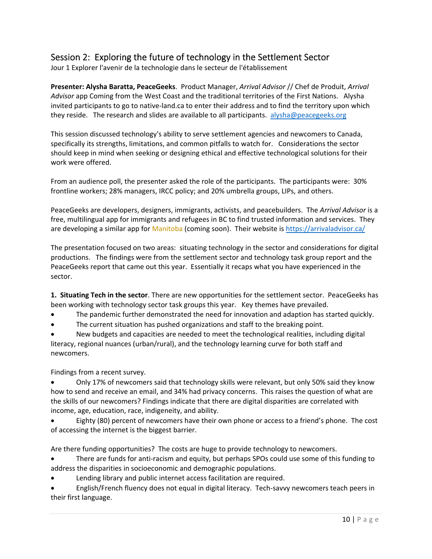## Session 2: Exploring the future of technology in the Settlement Sector

Jour 1 Explorer l'avenir de la technologie dans le secteur de l'établissement

**Presenter: Alysha Baratta, PeaceGeeks**. Product Manager, *Arrival Advisor* // Chef de Produit, *Arrival Advisor* app Coming from the West Coast and the traditional territories of the First Nations. Alysha invited participants to go to native‐land.ca to enter their address and to find the territory upon which they reside. The research and slides are available to all participants. alysha@peacegeeks.org

This session discussed technology's ability to serve settlement agencies and newcomers to Canada, specifically its strengths, limitations, and common pitfalls to watch for. Considerations the sector should keep in mind when seeking or designing ethical and effective technological solutions for their work were offered.

From an audience poll, the presenter asked the role of the participants. The participants were: 30% frontline workers; 28% managers, IRCC policy; and 20% umbrella groups, LIPs, and others.

PeaceGeeks are developers, designers, immigrants, activists, and peacebuilders. The *Arrival Advisor* is a free, multilingual app for immigrants and refugees in BC to find trusted information and services. They are developing a similar app for Manitoba (coming soon). Their website is https://arrivaladvisor.ca/

The presentation focused on two areas: situating technology in the sector and considerations for digital productions. The findings were from the settlement sector and technology task group report and the PeaceGeeks report that came out this year. Essentially it recaps what you have experienced in the sector.

**1. Situating Tech in the sector**. There are new opportunities for the settlement sector. PeaceGeeks has been working with technology sector task groups this year. Key themes have prevailed.

The pandemic further demonstrated the need for innovation and adaption has started quickly.

The current situation has pushed organizations and staff to the breaking point.

 New budgets and capacities are needed to meet the technological realities, including digital literacy, regional nuances (urban/rural), and the technology learning curve for both staff and newcomers.

Findings from a recent survey.

 Only 17% of newcomers said that technology skills were relevant, but only 50% said they know how to send and receive an email, and 34% had privacy concerns. This raises the question of what are the skills of our newcomers? Findings indicate that there are digital disparities are correlated with income, age, education, race, indigeneity, and ability.

 Eighty (80) percent of newcomers have their own phone or access to a friend's phone. The cost of accessing the internet is the biggest barrier.

Are there funding opportunities? The costs are huge to provide technology to newcomers.

There are funds for anti-racism and equity, but perhaps SPOs could use some of this funding to address the disparities in socioeconomic and demographic populations.

Lending library and public internet access facilitation are required.

 English/French fluency does not equal in digital literacy. Tech‐savvy newcomers teach peers in their first language.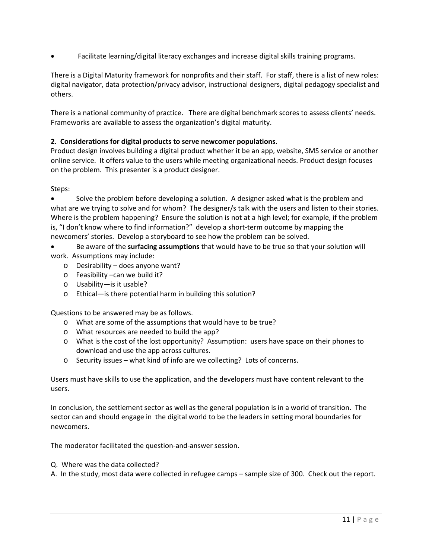Facilitate learning/digital literacy exchanges and increase digital skills training programs.

There is a Digital Maturity framework for nonprofits and their staff. For staff, there is a list of new roles: digital navigator, data protection/privacy advisor, instructional designers, digital pedagogy specialist and others.

There is a national community of practice. There are digital benchmark scores to assess clients' needs. Frameworks are available to assess the organization's digital maturity.

## **2. Considerations for digital products to serve newcomer populations.**

Product design involves building a digital product whether it be an app, website, SMS service or another online service. It offers value to the users while meeting organizational needs. Product design focuses on the problem. This presenter is a product designer.

Steps:

 Solve the problem before developing a solution. A designer asked what is the problem and what are we trying to solve and for whom? The designer/s talk with the users and listen to their stories. Where is the problem happening? Ensure the solution is not at a high level; for example, if the problem is, "I don't know where to find information?" develop a short‐term outcome by mapping the newcomers' stories. Develop a storyboard to see how the problem can be solved.

 Be aware of the **surfacing assumptions** that would have to be true so that your solution will work. Assumptions may include:

- o Desirability does anyone want?
- o Feasibility –can we build it?
- o Usability—is it usable?
- o Ethical—is there potential harm in building this solution?

Questions to be answered may be as follows.

- o What are some of the assumptions that would have to be true?
- o What resources are needed to build the app?
- o What is the cost of the lost opportunity? Assumption: users have space on their phones to download and use the app across cultures.
- o Security issues what kind of info are we collecting? Lots of concerns.

Users must have skills to use the application, and the developers must have content relevant to the users.

In conclusion, the settlement sector as well as the general population is in a world of transition. The sector can and should engage in the digital world to be the leaders in setting moral boundaries for newcomers.

The moderator facilitated the question‐and‐answer session.

Q. Where was the data collected?

A. In the study, most data were collected in refugee camps – sample size of 300. Check out the report.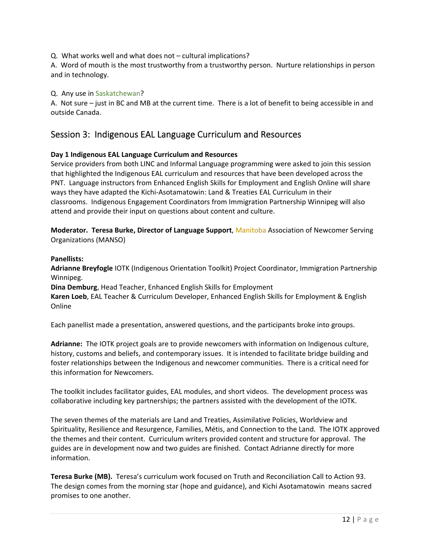Q. What works well and what does not – cultural implications?

A. Word of mouth is the most trustworthy from a trustworthy person. Nurture relationships in person and in technology.

### Q. Any use in Saskatchewan?

A. Not sure – just in BC and MB at the current time. There is a lot of benefit to being accessible in and outside Canada.

## Session 3: Indigenous EAL Language Curriculum and Resources

## **Day 1 Indigenous EAL Language Curriculum and Resources**

Service providers from both LINC and Informal Language programming were asked to join this session that highlighted the Indigenous EAL curriculum and resources that have been developed across the PNT. Language instructors from Enhanced English Skills for Employment and English Online will share ways they have adapted the Kichi‐Asotamatowin: Land & Treaties EAL Curriculum in their classrooms. Indigenous Engagement Coordinators from Immigration Partnership Winnipeg will also attend and provide their input on questions about content and culture.

**Moderator. Teresa Burke, Director of Language Support**, Manitoba Association of Newcomer Serving Organizations (MANSO)

#### **Panellists:**

**Adrianne Breyfogle** IOTK (Indigenous Orientation Toolkit) Project Coordinator, Immigration Partnership Winnipeg.

**Dina Demburg**, Head Teacher, Enhanced English Skills for Employment

**Karen Loeb**, EAL Teacher & Curriculum Developer, Enhanced English Skills for Employment & English Online

Each panellist made a presentation, answered questions, and the participants broke into groups.

**Adrianne:** The IOTK project goals are to provide newcomers with information on Indigenous culture, history, customs and beliefs, and contemporary issues. It is intended to facilitate bridge building and foster relationships between the Indigenous and newcomer communities. There is a critical need for this information for Newcomers.

The toolkit includes facilitator guides, EAL modules, and short videos. The development process was collaborative including key partnerships; the partners assisted with the development of the IOTK.

The seven themes of the materials are Land and Treaties, Assimilative Policies, Worldview and Spirituality, Resilience and Resurgence, Families, Métis, and Connection to the Land. The IOTK approved the themes and their content. Curriculum writers provided content and structure for approval. The guides are in development now and two guides are finished. Contact Adrianne directly for more information.

Teresa Burke (MB). Teresa's curriculum work focused on Truth and Reconciliation Call to Action 93. The design comes from the morning star (hope and guidance), and Kichi Asotamatowin means sacred promises to one another.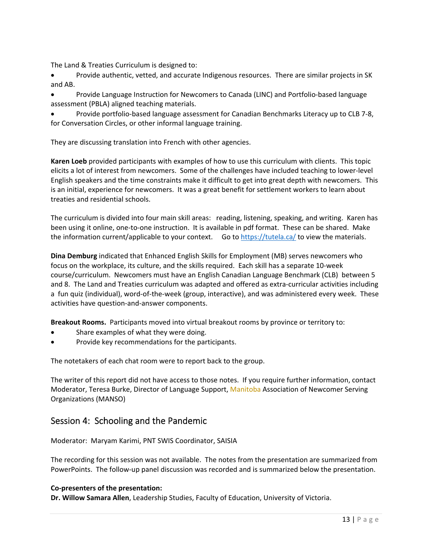The Land & Treaties Curriculum is designed to:

 Provide authentic, vetted, and accurate Indigenous resources. There are similar projects in SK and AB.

● Provide Language Instruction for Newcomers to Canada (LINC) and Portfolio-based language assessment (PBLA) aligned teaching materials.

 Provide portfolio‐based language assessment for Canadian Benchmarks Literacy up to CLB 7‐8, for Conversation Circles, or other informal language training.

They are discussing translation into French with other agencies.

**Karen Loeb** provided participants with examples of how to use this curriculum with clients. This topic elicits a lot of interest from newcomers. Some of the challenges have included teaching to lower‐level English speakers and the time constraints make it difficult to get into great depth with newcomers. This is an initial, experience for newcomers. It was a great benefit for settlement workers to learn about treaties and residential schools.

The curriculum is divided into four main skill areas: reading, listening, speaking, and writing. Karen has been using it online, one-to-one instruction. It is available in pdf format. These can be shared. Make the information current/applicable to your context. Go to https://tutela.ca/ to view the materials.

**Dina Demburg** indicated that Enhanced English Skills for Employment (MB) serves newcomers who focus on the workplace, its culture, and the skills required. Each skill has a separate 10‐week course/curriculum. Newcomers must have an English Canadian Language Benchmark (CLB) between 5 and 8. The Land and Treaties curriculum was adapted and offered as extra-curricular activities including a fun quiz (individual), word‐of‐the‐week (group, interactive), and was administered every week. These activities have question‐and‐answer components.

**Breakout Rooms.** Participants moved into virtual breakout rooms by province or territory to:

- Share examples of what they were doing.
- Provide key recommendations for the participants.

The notetakers of each chat room were to report back to the group.

The writer of this report did not have access to those notes. If you require further information, contact Moderator, Teresa Burke, Director of Language Support, Manitoba Association of Newcomer Serving Organizations (MANSO)

## Session 4: Schooling and the Pandemic

Moderator: Maryam Karimi, PNT SWIS Coordinator, SAISIA

The recording for this session was not available. The notes from the presentation are summarized from PowerPoints. The follow‐up panel discussion was recorded and is summarized below the presentation.

#### **Co‐presenters of the presentation:**

**Dr. Willow Samara Allen**, Leadership Studies, Faculty of Education, University of Victoria.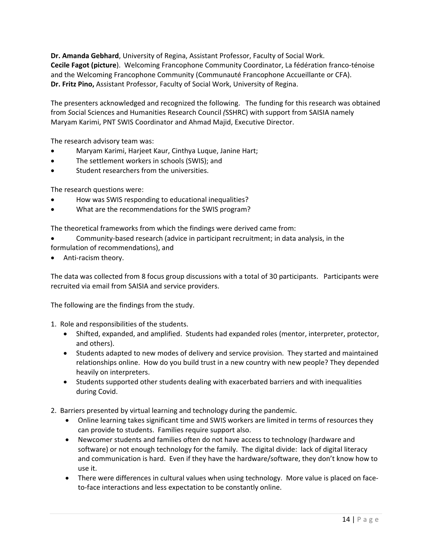**Dr. Amanda Gebhard**, University of Regina, Assistant Professor, Faculty of Social Work. **Cecile Fagot (picture**). Welcoming Francophone Community Coordinator, La fédération franco‐ténoise and the Welcoming Francophone Community (Communauté Francophone Accueillante or CFA). **Dr. Fritz Pino,** Assistant Professor, Faculty of Social Work, University of Regina.

The presenters acknowledged and recognized the following. The funding for this research was obtained from *S*ocial Sciences and Humanities Research Council *(*SSHRC) with support from SAISIA namely Maryam Karimi, PNT SWIS Coordinator and Ahmad Majid, Executive Director.

The research advisory team was:

- Maryam Karimi, Harjeet Kaur, Cinthya Luque, Janine Hart;
- The settlement workers in schools (SWIS); and
- Student researchers from the universities.

The research questions were:

- How was SWIS responding to educational inequalities?
- What are the recommendations for the SWIS program?

The theoretical frameworks from which the findings were derived came from:

- Community‐based research (advice in participant recruitment; in data analysis, in the formulation of recommendations), and
- Anti-racism theory.

The data was collected from 8 focus group discussions with a total of 30 participants. Participants were recruited via email from SAISIA and service providers.

The following are the findings from the study.

1. Role and responsibilities of the students.

- Shifted, expanded, and amplified. Students had expanded roles (mentor, interpreter, protector, and others).
- Students adapted to new modes of delivery and service provision. They started and maintained relationships online. How do you build trust in a new country with new people? They depended heavily on interpreters.
- Students supported other students dealing with exacerbated barriers and with inequalities during Covid.
- 2. Barriers presented by virtual learning and technology during the pandemic.
	- Online learning takes significant time and SWIS workers are limited in terms of resources they can provide to students. Families require support also.
	- Newcomer students and families often do not have access to technology (hardware and software) or not enough technology for the family. The digital divide: lack of digital literacy and communication is hard. Even if they have the hardware/software, they don't know how to use it.
	- There were differences in cultural values when using technology. More value is placed on faceto-face interactions and less expectation to be constantly online.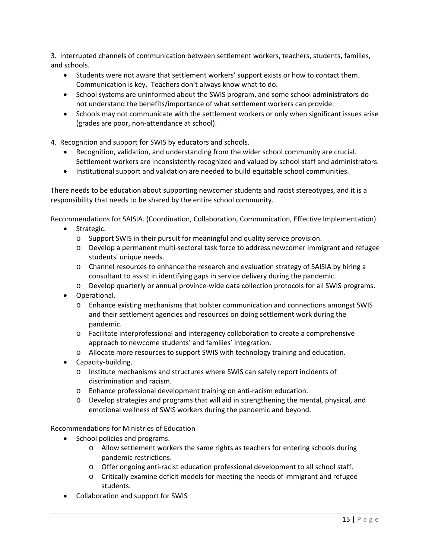3. Interrupted channels of communication between settlement workers, teachers, students, families, and schools.

- Students were not aware that settlement workers' support exists or how to contact them. Communication is key. Teachers don't always know what to do.
- School systems are uninformed about the SWIS program, and some school administrators do not understand the benefits/importance of what settlement workers can provide.
- Schools may not communicate with the settlement workers or only when significant issues arise (grades are poor, non‐attendance at school).
- 4. Recognition and support for SWIS by educators and schools.
	- Recognition, validation, and understanding from the wider school community are crucial. Settlement workers are inconsistently recognized and valued by school staff and administrators.
	- Institutional support and validation are needed to build equitable school communities.

There needs to be education about supporting newcomer students and racist stereotypes, and it is a responsibility that needs to be shared by the entire school community.

Recommendations for SAISIA. (Coordination, Collaboration, Communication, Effective Implementation).

- Strategic.
	- o Support SWIS in their pursuit for meaningful and quality service provision.
	- o Develop a permanent multi‐sectoral task force to address newcomer immigrant and refugee students' unique needs.
	- o Channel resources to enhance the research and evaluation strategy of SAISIA by hiring a consultant to assist in identifying gaps in service delivery during the pandemic.
	- o Develop quarterly or annual province‐wide data collection protocols for all SWIS programs.
- Operational.
	- o Enhance existing mechanisms that bolster communication and connections amongst SWIS and their settlement agencies and resources on doing settlement work during the pandemic.
	- o Facilitate interprofessional and interagency collaboration to create a comprehensive approach to newcome students' and families' integration.
	- o Allocate more resources to support SWIS with technology training and education.
- Capacity-building.
	- o Institute mechanisms and structures where SWIS can safely report incidents of discrimination and racism.
	- o Enhance professional development training on anti‐racism education.
	- o Develop strategies and programs that will aid in strengthening the mental, physical, and emotional wellness of SWIS workers during the pandemic and beyond.

Recommendations for Ministries of Education

- School policies and programs.
	- o Allow settlement workers the same rights as teachers for entering schools during pandemic restrictions.
	- o Offer ongoing anti‐racist education professional development to all school staff.
	- o Critically examine deficit models for meeting the needs of immigrant and refugee students.
- Collaboration and support for SWIS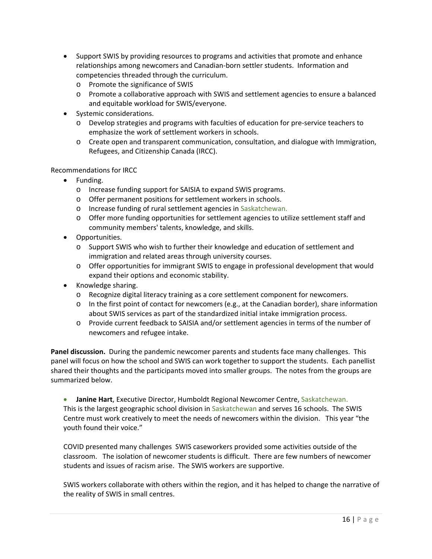- Support SWIS by providing resources to programs and activities that promote and enhance relationships among newcomers and Canadian‐born settler students. Information and competencies threaded through the curriculum.
	- o Promote the significance of SWIS
	- o Promote a collaborative approach with SWIS and settlement agencies to ensure a balanced and equitable workload for SWIS/everyone.
- Systemic considerations.
	- o Develop strategies and programs with faculties of education for pre‐service teachers to emphasize the work of settlement workers in schools.
	- o Create open and transparent communication, consultation, and dialogue with Immigration, Refugees, and Citizenship Canada (IRCC).

#### Recommendations for IRCC

- Funding.
	- o Increase funding support for SAISIA to expand SWIS programs.
	- o Offer permanent positions for settlement workers in schools.
	- o Increase funding of rural settlement agencies in Saskatchewan.
	- o Offer more funding opportunities for settlement agencies to utilize settlement staff and community members' talents, knowledge, and skills.
- Opportunities.
	- o Support SWIS who wish to further their knowledge and education of settlement and immigration and related areas through university courses.
	- o Offer opportunities for immigrant SWIS to engage in professional development that would expand their options and economic stability.
- Knowledge sharing.
	- o Recognize digital literacy training as a core settlement component for newcomers.
	- o In the first point of contact for newcomers (e.g., at the Canadian border), share information about SWIS services as part of the standardized initial intake immigration process.
	- o Provide current feedback to SAISIA and/or settlement agencies in terms of the number of newcomers and refugee intake.

**Panel discussion.** During the pandemic newcomer parents and students face many challenges. This panel will focus on how the school and SWIS can work together to support the students. Each panellist shared their thoughts and the participants moved into smaller groups. The notes from the groups are summarized below.

**Janine Hart**, Executive Director, Humboldt Regional Newcomer Centre, Saskatchewan. This is the largest geographic school division in Saskatchewan and serves 16 schools. The SWIS Centre must work creatively to meet the needs of newcomers within the division. This year "the youth found their voice."

COVID presented many challenges SWIS caseworkers provided some activities outside of the classroom. The isolation of newcomer students is difficult. There are few numbers of newcomer students and issues of racism arise. The SWIS workers are supportive.

SWIS workers collaborate with others within the region, and it has helped to change the narrative of the reality of SWIS in small centres.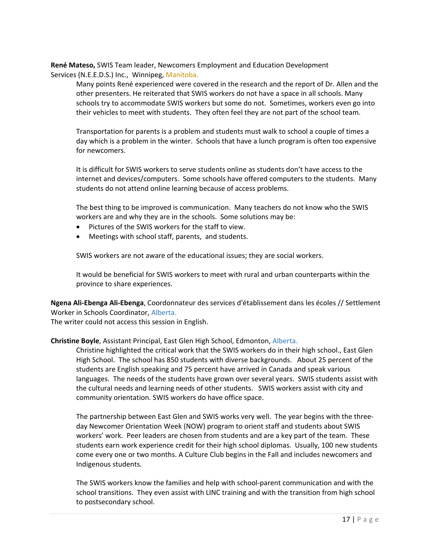**René Mateso,** SWIS Team leader, Newcomers Employment and Education Development Services (N.E.E.D.S.) Inc., Winnipeg, Manitoba.

Many points René experienced were covered in the research and the report of Dr. Allen and the other presenters. He reiterated that SWIS workers do not have a space in all schools. Many schools try to accommodate SWIS workers but some do not. Sometimes, workers even go into their vehicles to meet with students. They often feel they are not part of the school team.

Transportation for parents is a problem and students must walk to school a couple of times a day which is a problem in the winter. Schools that have a lunch program is often too expensive for newcomers.

It is difficult for SWIS workers to serve students online as students don't have access to the internet and devices/computers. Some schools have offered computers to the students. Many students do not attend online learning because of access problems.

The best thing to be improved is communication. Many teachers do not know who the SWIS workers are and why they are in the schools. Some solutions may be:

- Pictures of the SWIS workers for the staff to view.
- Meetings with school staff, parents, and students.

SWIS workers are not aware of the educational issues; they are social workers.

It would be beneficial for SWIS workers to meet with rural and urban counterparts within the province to share experiences.

**Ngena Ali‐Ebenga Ali‐Ebenga**, Coordonnateur des services d'établissement dans les écoles // Settlement Worker in Schools Coordinator, Alberta.

The writer could not access this session in English.

#### **Christine Boyle**, Assistant Principal, East Glen High School, Edmonton, Alberta.

Christine highlighted the critical work that the SWIS workers do in their high school., East Glen High School. The school has 850 students with diverse backgrounds. About 25 percent of the students are English speaking and 75 percent have arrived in Canada and speak various languages. The needs of the students have grown over several years. SWIS students assist with the cultural needs and learning needs of other students. SWIS workers assist with city and community orientation. SWIS workers do have office space.

The partnership between East Glen and SWIS works very well. The year begins with the three‐ day Newcomer Orientation Week (NOW) program to orient staff and students about SWIS workers' work. Peer leaders are chosen from students and are a key part of the team. These students earn work experience credit for their high school diplomas. Usually, 100 new students come every one or two months. A Culture Club begins in the Fall and includes newcomers and Indigenous students.

The SWIS workers know the families and help with school‐parent communication and with the school transitions. They even assist with LINC training and with the transition from high school to postsecondary school.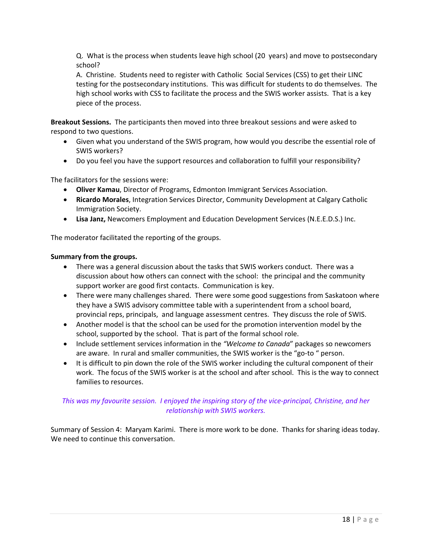Q. What is the process when students leave high school (20 years) and move to postsecondary school?

A. Christine. Students need to register with Catholic Social Services (CSS) to get their LINC testing for the postsecondary institutions. This was difficult for students to do themselves. The high school works with CSS to facilitate the process and the SWIS worker assists. That is a key piece of the process.

**Breakout Sessions.** The participants then moved into three breakout sessions and were asked to respond to two questions.

- Given what you understand of the SWIS program, how would you describe the essential role of SWIS workers?
- Do you feel you have the support resources and collaboration to fulfill your responsibility?

The facilitators for the sessions were:

- **Oliver Kamau**, Director of Programs, Edmonton Immigrant Services Association.
- **Ricardo Morales**, Integration Services Director, Community Development at Calgary Catholic Immigration Society.
- **Lisa Janz,** Newcomers Employment and Education Development Services (N.E.E.D.S.) Inc.

The moderator facilitated the reporting of the groups.

#### **Summary from the groups.**

- There was a general discussion about the tasks that SWIS workers conduct. There was a discussion about how others can connect with the school: the principal and the community support worker are good first contacts. Communication is key.
- There were many challenges shared. There were some good suggestions from Saskatoon where they have a SWIS advisory committee table with a superintendent from a school board, provincial reps, principals, and language assessment centres. They discuss the role of SWIS.
- Another model is that the school can be used for the promotion intervention model by the school, supported by the school. That is part of the formal school role.
- Include settlement services information in the *"Welcome to Canada*" packages so newcomers are aware. In rural and smaller communities, the SWIS worker is the "go-to " person.
- It is difficult to pin down the role of the SWIS worker including the cultural component of their work. The focus of the SWIS worker is at the school and after school. This is the way to connect families to resources.

## *This was my favourite session. I enjoyed the inspiring story of the vice‐principal, Christine, and her relationship with SWIS workers.*

Summary of Session 4: Maryam Karimi. There is more work to be done. Thanks for sharing ideas today. We need to continue this conversation.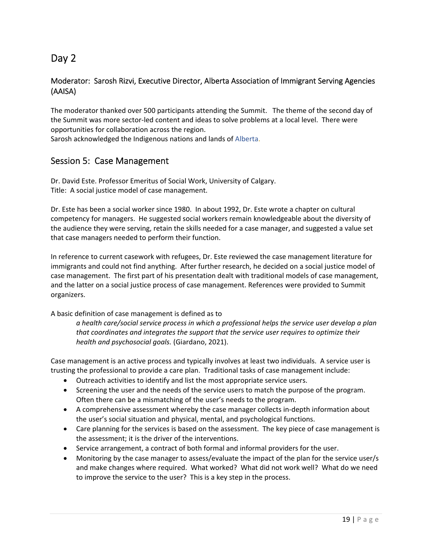# Day 2

## Moderator: Sarosh Rizvi, Executive Director, Alberta Association of Immigrant Serving Agencies (AAISA)

The moderator thanked over 500 participants attending the Summit. The theme of the second day of the Summit was more sector‐led content and ideas to solve problems at a local level. There were opportunities for collaboration across the region.

Sarosh acknowledged the Indigenous nations and lands of Alberta.

## Session 5: Case Management

Dr. David Este. Professor Emeritus of Social Work, University of Calgary. Title: A social justice model of case management.

Dr. Este has been a social worker since 1980. In about 1992, Dr. Este wrote a chapter on cultural competency for managers. He suggested social workers remain knowledgeable about the diversity of the audience they were serving, retain the skills needed for a case manager, and suggested a value set that case managers needed to perform their function.

In reference to current casework with refugees, Dr. Este reviewed the case management literature for immigrants and could not find anything. After further research, he decided on a social justice model of case management. The first part of his presentation dealt with traditional models of case management, and the latter on a social justice process of case management. References were provided to Summit organizers.

A basic definition of case management is defined as to

*a health care/social service process in which a professional helps the service user develop a plan that coordinates and integrates the support that the service user requires to optimize their health and psychosocial goals.* (Giardano, 2021).

Case management is an active process and typically involves at least two individuals. A service user is trusting the professional to provide a care plan. Traditional tasks of case management include:

- Outreach activities to identify and list the most appropriate service users.
- Screening the user and the needs of the service users to match the purpose of the program. Often there can be a mismatching of the user's needs to the program.
- A comprehensive assessment whereby the case manager collects in‐depth information about the user's social situation and physical, mental, and psychological functions.
- Care planning for the services is based on the assessment. The key piece of case management is the assessment; it is the driver of the interventions.
- Service arrangement, a contract of both formal and informal providers for the user.
- Monitoring by the case manager to assess/evaluate the impact of the plan for the service user/s and make changes where required. What worked? What did not work well? What do we need to improve the service to the user? This is a key step in the process.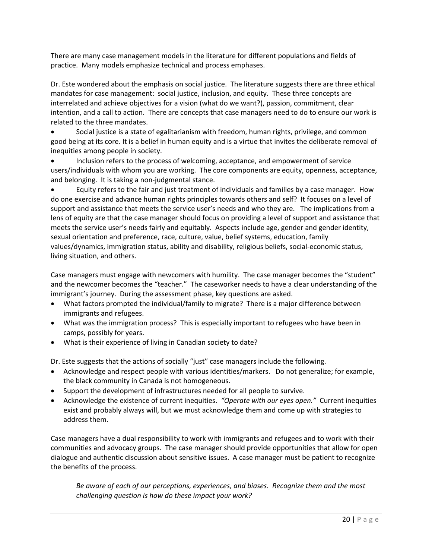There are many case management models in the literature for different populations and fields of practice. Many models emphasize technical and process emphases.

Dr. Este wondered about the emphasis on social justice. The literature suggests there are three ethical mandates for case management: social justice, inclusion, and equity. These three concepts are interrelated and achieve objectives for a vision (what do we want?), passion, commitment, clear intention, and a call to action. There are concepts that case managers need to do to ensure our work is related to the three mandates.

 Social justice is a state of egalitarianism with freedom, human rights, privilege, and common good being at its core. It is a belief in human equity and is a virtue that invites the deliberate removal of inequities among people in society.

 Inclusion refers to the process of welcoming, acceptance, and empowerment of service users/individuals with whom you are working. The core components are equity, openness, acceptance, and belonging. It is taking a non‐judgmental stance.

 Equity refers to the fair and just treatment of individuals and families by a case manager. How do one exercise and advance human rights principles towards others and self? It focuses on a level of support and assistance that meets the service user's needs and who they are. The implications from a lens of equity are that the case manager should focus on providing a level of support and assistance that meets the service user's needs fairly and equitably. Aspects include age, gender and gender identity, sexual orientation and preference, race, culture, value, belief systems, education, family values/dynamics, immigration status, ability and disability, religious beliefs, social‐economic status, living situation, and others.

Case managers must engage with newcomers with humility. The case manager becomes the "student" and the newcomer becomes the "teacher." The caseworker needs to have a clear understanding of the immigrant's journey. During the assessment phase, key questions are asked.

- What factors prompted the individual/family to migrate? There is a major difference between immigrants and refugees.
- What was the immigration process? This is especially important to refugees who have been in camps, possibly for years.
- What is their experience of living in Canadian society to date?

Dr. Este suggests that the actions of socially "just" case managers include the following.

- Acknowledge and respect people with various identities/markers. Do not generalize; for example, the black community in Canada is not homogeneous.
- Support the development of infrastructures needed for all people to survive.
- Acknowledge the existence of current inequities. *"Operate with our eyes open."* Current inequities exist and probably always will, but we must acknowledge them and come up with strategies to address them.

Case managers have a dual responsibility to work with immigrants and refugees and to work with their communities and advocacy groups. The case manager should provide opportunities that allow for open dialogue and authentic discussion about sensitive issues. A case manager must be patient to recognize the benefits of the process.

*Be aware of each of our perceptions, experiences, and biases. Recognize them and the most challenging question is how do these impact your work?*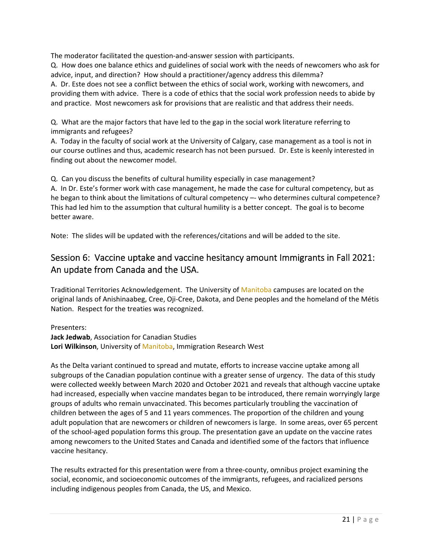The moderator facilitated the question‐and‐answer session with participants.

Q. How does one balance ethics and guidelines of social work with the needs of newcomers who ask for advice, input, and direction? How should a practitioner/agency address this dilemma? A. Dr. Este does not see a conflict between the ethics of social work, working with newcomers, and providing them with advice. There is a code of ethics that the social work profession needs to abide by and practice. Most newcomers ask for provisions that are realistic and that address their needs.

Q. What are the major factors that have led to the gap in the social work literature referring to immigrants and refugees?

A. Today in the faculty of social work at the University of Calgary, case management as a tool is not in our course outlines and thus, academic research has not been pursued. Dr. Este is keenly interested in finding out about the newcomer model.

Q. Can you discuss the benefits of cultural humility especially in case management?

A. In Dr. Este's former work with case management, he made the case for cultural competency, but as he began to think about the limitations of cultural competency -- who determines cultural competence? This had led him to the assumption that cultural humility is a better concept. The goal is to become better aware.

Note: The slides will be updated with the references/citations and will be added to the site.

# Session 6: Vaccine uptake and vaccine hesitancy amount Immigrants in Fall 2021: An update from Canada and the USA.

Traditional Territories Acknowledgement. The University of Manitoba campuses are located on the original lands of Anishinaabeg, Cree, Oji‐Cree, Dakota, and Dene peoples and the homeland of the Métis Nation. Respect for the treaties was recognized.

Presenters: **Jack Jedwab**, Association for Canadian Studies **Lori Wilkinson**, University of Manitoba, Immigration Research West

As the Delta variant continued to spread and mutate, efforts to increase vaccine uptake among all subgroups of the Canadian population continue with a greater sense of urgency. The data of this study were collected weekly between March 2020 and October 2021 and reveals that although vaccine uptake had increased, especially when vaccine mandates began to be introduced, there remain worryingly large groups of adults who remain unvaccinated. This becomes particularly troubling the vaccination of children between the ages of 5 and 11 years commences. The proportion of the children and young adult population that are newcomers or children of newcomers is large. In some areas, over 65 percent of the school‐aged population forms this group. The presentation gave an update on the vaccine rates among newcomers to the United States and Canada and identified some of the factors that influence vaccine hesitancy.

The results extracted for this presentation were from a three‐county, omnibus project examining the social, economic, and socioeconomic outcomes of the immigrants, refugees, and racialized persons including indigenous peoples from Canada, the US, and Mexico.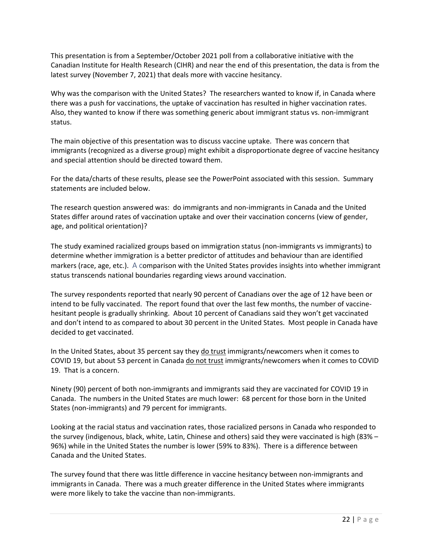This presentation is from a September/October 2021 poll from a collaborative initiative with the Canadian Institute for Health Research (CIHR) and near the end of this presentation, the data is from the latest survey (November 7, 2021) that deals more with vaccine hesitancy.

Why was the comparison with the United States? The researchers wanted to know if, in Canada where there was a push for vaccinations, the uptake of vaccination has resulted in higher vaccination rates. Also, they wanted to know if there was something generic about immigrant status vs. non‐immigrant status.

The main objective of this presentation was to discuss vaccine uptake. There was concern that immigrants (recognized as a diverse group) might exhibit a disproportionate degree of vaccine hesitancy and special attention should be directed toward them.

For the data/charts of these results, please see the PowerPoint associated with this session. Summary statements are included below.

The research question answered was: do immigrants and non‐immigrants in Canada and the United States differ around rates of vaccination uptake and over their vaccination concerns (view of gender, age, and political orientation)?

The study examined racialized groups based on immigration status (non‐immigrants vs immigrants) to determine whether immigration is a better predictor of attitudes and behaviour than are identified markers (race, age, etc.). A comparison with the United States provides insights into whether immigrant status transcends national boundaries regarding views around vaccination.

The survey respondents reported that nearly 90 percent of Canadians over the age of 12 have been or intend to be fully vaccinated. The report found that over the last few months, the number of vaccine‐ hesitant people is gradually shrinking. About 10 percent of Canadians said they won't get vaccinated and don't intend to as compared to about 30 percent in the United States. Most people in Canada have decided to get vaccinated.

In the United States, about 35 percent say they do trust immigrants/newcomers when it comes to COVID 19, but about 53 percent in Canada do not trust immigrants/newcomers when it comes to COVID 19. That is a concern.

Ninety (90) percent of both non‐immigrants and immigrants said they are vaccinated for COVID 19 in Canada. The numbers in the United States are much lower: 68 percent for those born in the United States (non‐immigrants) and 79 percent for immigrants.

Looking at the racial status and vaccination rates, those racialized persons in Canada who responded to the survey (indigenous, black, white, Latin, Chinese and others) said they were vaccinated is high (83% – 96%) while in the United States the number is lower (59% to 83%). There is a difference between Canada and the United States.

The survey found that there was little difference in vaccine hesitancy between non‐immigrants and immigrants in Canada. There was a much greater difference in the United States where immigrants were more likely to take the vaccine than non-immigrants.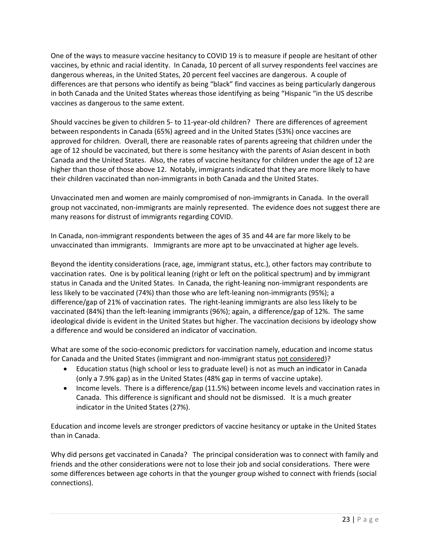One of the ways to measure vaccine hesitancy to COVID 19 is to measure if people are hesitant of other vaccines, by ethnic and racial identity. In Canada, 10 percent of all survey respondents feel vaccines are dangerous whereas, in the United States, 20 percent feel vaccines are dangerous. A couple of differences are that persons who identify as being "black" find vaccines as being particularly dangerous in both Canada and the United States whereas those identifying as being "Hispanic "in the US describe vaccines as dangerous to the same extent.

Should vaccines be given to children 5‐ to 11‐year‐old children? There are differences of agreement between respondents in Canada (65%) agreed and in the United States (53%) once vaccines are approved for children. Overall, there are reasonable rates of parents agreeing that children under the age of 12 should be vaccinated, but there is some hesitancy with the parents of Asian descent in both Canada and the United States. Also, the rates of vaccine hesitancy for children under the age of 12 are higher than those of those above 12. Notably, immigrants indicated that they are more likely to have their children vaccinated than non‐immigrants in both Canada and the United States.

Unvaccinated men and women are mainly compromised of non‐immigrants in Canada. In the overall group not vaccinated, non‐immigrants are mainly represented. The evidence does not suggest there are many reasons for distrust of immigrants regarding COVID.

In Canada, non-immigrant respondents between the ages of 35 and 44 are far more likely to be unvaccinated than immigrants. Immigrants are more apt to be unvaccinated at higher age levels.

Beyond the identity considerations (race, age, immigrant status, etc.), other factors may contribute to vaccination rates. One is by political leaning (right or left on the political spectrum) and by immigrant status in Canada and the United States. In Canada, the right-leaning non-immigrant respondents are less likely to be vaccinated (74%) than those who are left-leaning non-immigrants (95%); a difference/gap of 21% of vaccination rates. The right‐leaning immigrants are also less likely to be vaccinated (84%) than the left-leaning immigrants (96%); again, a difference/gap of 12%. The same ideological divide is evident in the United States but higher. The vaccination decisions by ideology show a difference and would be considered an indicator of vaccination.

What are some of the socio-economic predictors for vaccination namely, education and income status for Canada and the United States (immigrant and non-immigrant status not considered)?

- Education status (high school or less to graduate level) is not as much an indicator in Canada (only a 7.9% gap) as in the United States (48% gap in terms of vaccine uptake).
- Income levels. There is a difference/gap (11.5%) between income levels and vaccination rates in Canada. This difference is significant and should not be dismissed. It is a much greater indicator in the United States (27%).

Education and income levels are stronger predictors of vaccine hesitancy or uptake in the United States than in Canada.

Why did persons get vaccinated in Canada? The principal consideration was to connect with family and friends and the other considerations were not to lose their job and social considerations. There were some differences between age cohorts in that the younger group wished to connect with friends (social connections).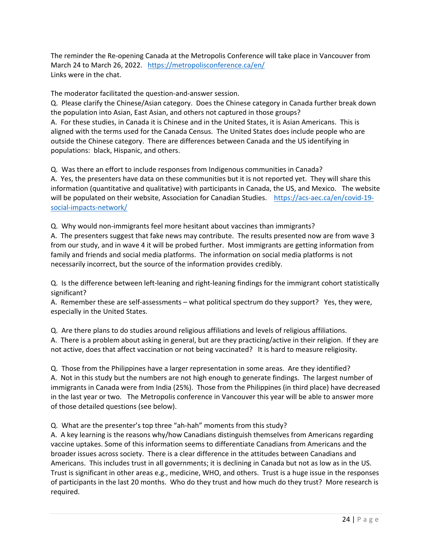The reminder the Re‐opening Canada at the Metropolis Conference will take place in Vancouver from March 24 to March 26, 2022. https://metropolisconference.ca/en/ Links were in the chat.

The moderator facilitated the question‐and‐answer session.

Q. Please clarify the Chinese/Asian category. Does the Chinese category in Canada further break down the population into Asian, East Asian, and others not captured in those groups? A. For these studies, in Canada it is Chinese and in the United States, it is Asian Americans. This is aligned with the terms used for the Canada Census. The United States does include people who are outside the Chinese category. There are differences between Canada and the US identifying in populations: black, Hispanic, and others.

Q. Was there an effort to include responses from Indigenous communities in Canada? A. Yes, the presenters have data on these communities but it is not reported yet. They will share this information (quantitative and qualitative) with participants in Canada, the US, and Mexico. The website will be populated on their website, Association for Canadian Studies. https://acs-aec.ca/en/covid-19social‐impacts‐network/

Q. Why would non‐immigrants feel more hesitant about vaccines than immigrants? A. The presenters suggest that fake news may contribute. The results presented now are from wave 3 from our study, and in wave 4 it will be probed further. Most immigrants are getting information from family and friends and social media platforms. The information on social media platforms is not necessarily incorrect, but the source of the information provides credibly.

Q. Is the difference between left‐leaning and right‐leaning findings for the immigrant cohort statistically significant?

A. Remember these are self-assessments – what political spectrum do they support? Yes, they were, especially in the United States.

Q. Are there plans to do studies around religious affiliations and levels of religious affiliations. A. There is a problem about asking in general, but are they practicing/active in their religion. If they are not active, does that affect vaccination or not being vaccinated? It is hard to measure religiosity.

Q. Those from the Philippines have a larger representation in some areas. Are they identified? A. Not in this study but the numbers are not high enough to generate findings. The largest number of immigrants in Canada were from India (25%). Those from the Philippines (in third place) have decreased in the last year or two. The Metropolis conference in Vancouver this year will be able to answer more of those detailed questions (see below).

Q. What are the presenter's top three "ah-hah" moments from this study?

A. A key learning is the reasons why/how Canadians distinguish themselves from Americans regarding vaccine uptakes. Some of this information seems to differentiate Canadians from Americans and the broader issues across society. There is a clear difference in the attitudes between Canadians and Americans. This includes trust in all governments; it is declining in Canada but not as low as in the US. Trust is significant in other areas e.g., medicine, WHO, and others. Trust is a huge issue in the responses of participants in the last 20 months. Who do they trust and how much do they trust? More research is required.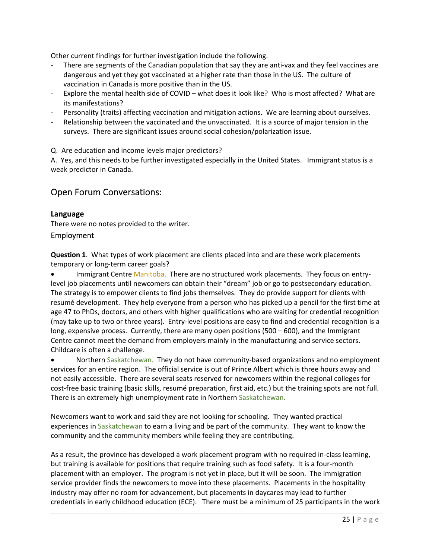Other current findings for further investigation include the following.

- There are segments of the Canadian population that say they are anti-vax and they feel vaccines are dangerous and yet they got vaccinated at a higher rate than those in the US. The culture of vaccination in Canada is more positive than in the US.
- ‐ Explore the mental health side of COVID what does it look like? Who is most affected? What are its manifestations?
- Personality (traits) affecting vaccination and mitigation actions. We are learning about ourselves.
- Relationship between the vaccinated and the unvaccinated. It is a source of major tension in the surveys. There are significant issues around social cohesion/polarization issue.

Q. Are education and income levels major predictors?

A. Yes, and this needs to be further investigated especially in the United States. Immigrant status is a weak predictor in Canada.

## Open Forum Conversations:

## **Language**

There were no notes provided to the writer.

## Employment

**Question 1**. What types of work placement are clients placed into and are these work placements temporary or long‐term career goals?

 Immigrant Centre Manitoba. There are no structured work placements. They focus on entry‐ level job placements until newcomers can obtain their "dream" job or go to postsecondary education. The strategy is to empower clients to find jobs themselves. They do provide support for clients with resumé development. They help everyone from a person who has picked up a pencil for the first time at age 47 to PhDs, doctors, and others with higher qualifications who are waiting for credential recognition (may take up to two or three years). Entry‐level positions are easy to find and credential recognition is a long, expensive process. Currently, there are many open positions (500 – 600), and the Immigrant Centre cannot meet the demand from employers mainly in the manufacturing and service sectors. Childcare is often a challenge.

 Northern Saskatchewan. They do not have community‐based organizations and no employment services for an entire region. The official service is out of Prince Albert which is three hours away and not easily accessible. There are several seats reserved for newcomers within the regional colleges for cost-free basic training (basic skills, resumé preparation, first aid, etc.) but the training spots are not full. There is an extremely high unemployment rate in Northern Saskatchewan.

Newcomers want to work and said they are not looking for schooling. They wanted practical experiences in Saskatchewan to earn a living and be part of the community. They want to know the community and the community members while feeling they are contributing.

As a result, the province has developed a work placement program with no required in‐class learning, but training is available for positions that require training such as food safety. It is a four‐month placement with an employer. The program is not yet in place, but it will be soon. The immigration service provider finds the newcomers to move into these placements. Placements in the hospitality industry may offer no room for advancement, but placements in daycares may lead to further credentials in early childhood education (ECE). There must be a minimum of 25 participants in the work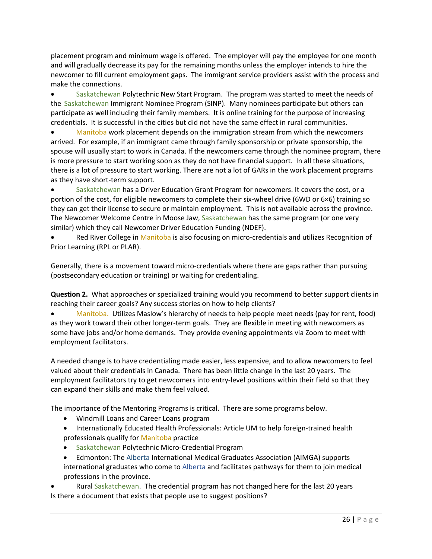placement program and minimum wage is offered. The employer will pay the employee for one month and will gradually decrease its pay for the remaining months unless the employer intends to hire the newcomer to fill current employment gaps. The immigrant service providers assist with the process and make the connections.

 Saskatchewan Polytechnic New Start Program. The program was started to meet the needs of the Saskatchewan Immigrant Nominee Program (SINP). Many nominees participate but others can participate as well including their family members. It is online training for the purpose of increasing credentials. It is successful in the cities but did not have the same effect in rural communities.

 Manitoba work placement depends on the immigration stream from which the newcomers arrived. For example, if an immigrant came through family sponsorship or private sponsorship, the spouse will usually start to work in Canada. If the newcomers came through the nominee program, there is more pressure to start working soon as they do not have financial support. In all these situations, there is a lot of pressure to start working. There are not a lot of GARs in the work placement programs as they have short‐term support.

 Saskatchewan has a Driver Education Grant Program for newcomers. It covers the cost, or a portion of the cost, for eligible newcomers to complete their six-wheel drive (6WD or 6×6) training so they can get their license to secure or maintain employment. This is not available across the province. The Newcomer Welcome Centre in Moose Jaw, Saskatchewan has the same program (or one very similar) which they call Newcomer Driver Education Funding (NDEF).

Red River College in Manitoba is also focusing on micro-credentials and utilizes Recognition of Prior Learning (RPL or PLAR).

Generally, there is a movement toward micro-credentials where there are gaps rather than pursuing (postsecondary education or training) or waiting for credentialing.

**Question 2.** What approaches or specialized training would you recommend to better support clients in reaching their career goals? Any success stories on how to help clients?

 Manitoba. Utilizes Maslow's hierarchy of needs to help people meet needs (pay for rent, food) as they work toward their other longer-term goals. They are flexible in meeting with newcomers as some have jobs and/or home demands. They provide evening appointments via Zoom to meet with employment facilitators.

A needed change is to have credentialing made easier, less expensive, and to allow newcomers to feel valued about their credentials in Canada. There has been little change in the last 20 years. The employment facilitators try to get newcomers into entry-level positions within their field so that they can expand their skills and make them feel valued.

The importance of the Mentoring Programs is critical. There are some programs below.

- Windmill Loans and Career Loans program
- Internationally Educated Health Professionals: Article UM to help foreign-trained health professionals qualify for Manitoba practice
- Saskatchewan Polytechnic Micro-Credential Program
- Edmonton: The Alberta International Medical Graduates Association (AIMGA) supports international graduates who come to Alberta and facilitates pathways for them to join medical professions in the province.

 Rural Saskatchewan. The credential program has not changed here for the last 20 years Is there a document that exists that people use to suggest positions?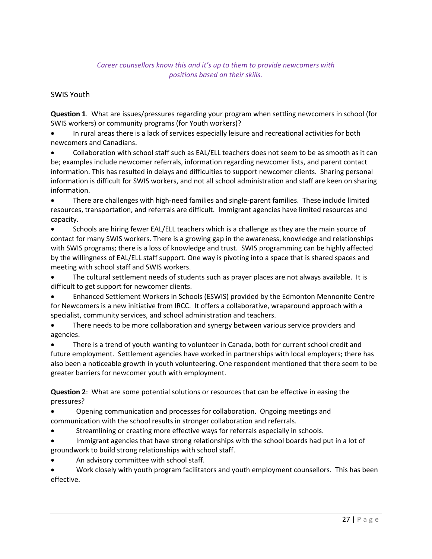## *Career counsellors know this and it's up to them to provide newcomers with positions based on their skills.*

## SWIS Youth

**Question 1**. What are issues/pressures regarding your program when settling newcomers in school (for SWIS workers) or community programs (for Youth workers)?

 In rural areas there is a lack of services especially leisure and recreational activities for both newcomers and Canadians.

 Collaboration with school staff such as EAL/ELL teachers does not seem to be as smooth as it can be; examples include newcomer referrals, information regarding newcomer lists, and parent contact information. This has resulted in delays and difficulties to support newcomer clients. Sharing personal information is difficult for SWIS workers, and not all school administration and staff are keen on sharing information.

 There are challenges with high‐need families and single‐parent families. These include limited resources, transportation, and referrals are difficult. Immigrant agencies have limited resources and capacity.

 Schools are hiring fewer EAL/ELL teachers which is a challenge as they are the main source of contact for many SWIS workers. There is a growing gap in the awareness, knowledge and relationships with SWIS programs; there is a loss of knowledge and trust. SWIS programming can be highly affected by the willingness of EAL/ELL staff support. One way is pivoting into a space that is shared spaces and meeting with school staff and SWIS workers.

 The cultural settlement needs of students such as prayer places are not always available. It is difficult to get support for newcomer clients.

 Enhanced Settlement Workers in Schools (ESWIS) provided by the Edmonton Mennonite Centre for Newcomers is a new initiative from IRCC. It offers a collaborative, wraparound approach with a specialist, community services, and school administration and teachers.

• There needs to be more collaboration and synergy between various service providers and agencies.

 There is a trend of youth wanting to volunteer in Canada, both for current school credit and future employment. Settlement agencies have worked in partnerships with local employers; there has also been a noticeable growth in youth volunteering. One respondent mentioned that there seem to be greater barriers for newcomer youth with employment.

**Question 2**: What are some potential solutions or resources that can be effective in easing the pressures?

 Opening communication and processes for collaboration. Ongoing meetings and communication with the school results in stronger collaboration and referrals.

- Streamlining or creating more effective ways for referrals especially in schools.
- Immigrant agencies that have strong relationships with the school boards had put in a lot of groundwork to build strong relationships with school staff.
- An advisory committee with school staff.

 Work closely with youth program facilitators and youth employment counsellors. This has been effective.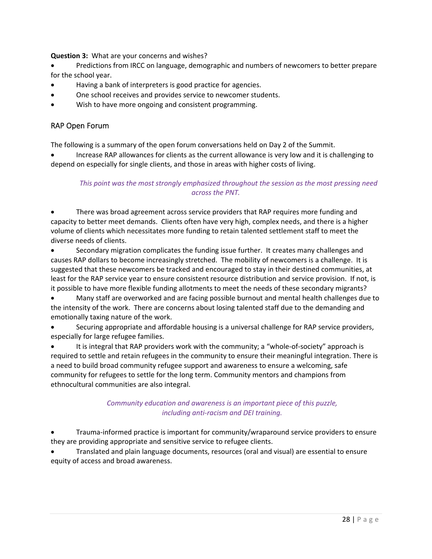**Question 3:** What are your concerns and wishes?

- Predictions from IRCC on language, demographic and numbers of newcomers to better prepare for the school year.
- Having a bank of interpreters is good practice for agencies.
- One school receives and provides service to newcomer students.
- Wish to have more ongoing and consistent programming.

## RAP Open Forum

The following is a summary of the open forum conversations held on Day 2 of the Summit.

 Increase RAP allowances for clients as the current allowance is very low and it is challenging to depend on especially for single clients, and those in areas with higher costs of living.

## *This point was the most strongly emphasized throughout the session as the most pressing need across the PNT.*

 There was broad agreement across service providers that RAP requires more funding and capacity to better meet demands. Clients often have very high, complex needs, and there is a higher volume of clients which necessitates more funding to retain talented settlement staff to meet the diverse needs of clients.

 Secondary migration complicates the funding issue further. It creates many challenges and causes RAP dollars to become increasingly stretched. The mobility of newcomers is a challenge. It is suggested that these newcomers be tracked and encouraged to stay in their destined communities, at least for the RAP service year to ensure consistent resource distribution and service provision. If not, is it possible to have more flexible funding allotments to meet the needs of these secondary migrants?

 Many staff are overworked and are facing possible burnout and mental health challenges due to the intensity of the work. There are concerns about losing talented staff due to the demanding and emotionally taxing nature of the work.

 Securing appropriate and affordable housing is a universal challenge for RAP service providers, especially for large refugee families.

It is integral that RAP providers work with the community; a "whole-of-society" approach is required to settle and retain refugees in the community to ensure their meaningful integration. There is a need to build broad community refugee support and awareness to ensure a welcoming, safe community for refugees to settle for the long term. Community mentors and champions from ethnocultural communities are also integral.

## *Community education and awareness is an important piece of this puzzle, including anti‐racism and DEI training.*

 Trauma‐informed practice is important for community/wraparound service providers to ensure they are providing appropriate and sensitive service to refugee clients.

 Translated and plain language documents, resources (oral and visual) are essential to ensure equity of access and broad awareness.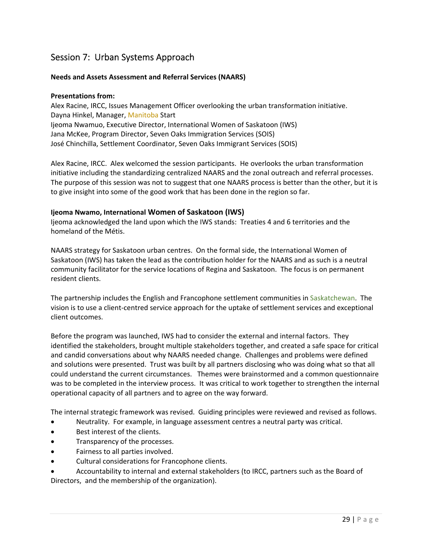# Session 7: Urban Systems Approach

## **Needs and Assets Assessment and Referral Services (NAARS)**

#### **Presentations from:**

Alex Racine, IRCC, Issues Management Officer overlooking the urban transformation initiative. Dayna Hinkel, Manager, Manitoba Start Ijeoma Nwamuo, Executive Director, International Women of Saskatoon (IWS) Jana McKee, Program Director, Seven Oaks Immigration Services (SOIS) José Chinchilla, Settlement Coordinator, Seven Oaks Immigrant Services (SOIS)

Alex Racine, IRCC. Alex welcomed the session participants. He overlooks the urban transformation initiative including the standardizing centralized NAARS and the zonal outreach and referral processes. The purpose of this session was not to suggest that one NAARS process is better than the other, but it is to give insight into some of the good work that has been done in the region so far.

#### **Ijeoma Nwamo, International Women of Saskatoon (IWS)**

Ijeoma acknowledged the land upon which the IWS stands: Treaties 4 and 6 territories and the homeland of the Métis.

NAARS strategy for Saskatoon urban centres. On the formal side, the International Women of Saskatoon (IWS) has taken the lead as the contribution holder for the NAARS and as such is a neutral community facilitator for the service locations of Regina and Saskatoon. The focus is on permanent resident clients.

The partnership includes the English and Francophone settlement communities in Saskatchewan. The vision is to use a client‐centred service approach for the uptake of settlement services and exceptional client outcomes.

Before the program was launched, IWS had to consider the external and internal factors. They identified the stakeholders, brought multiple stakeholders together, and created a safe space for critical and candid conversations about why NAARS needed change. Challenges and problems were defined and solutions were presented. Trust was built by all partners disclosing who was doing what so that all could understand the current circumstances. Themes were brainstormed and a common questionnaire was to be completed in the interview process. It was critical to work together to strengthen the internal operational capacity of all partners and to agree on the way forward.

The internal strategic framework was revised. Guiding principles were reviewed and revised as follows.

- Neutrality. For example, in language assessment centres a neutral party was critical.
- Best interest of the clients.
- Transparency of the processes.
- Fairness to all parties involved.
- Cultural considerations for Francophone clients.
- Accountability to internal and external stakeholders (to IRCC, partners such as the Board of Directors, and the membership of the organization).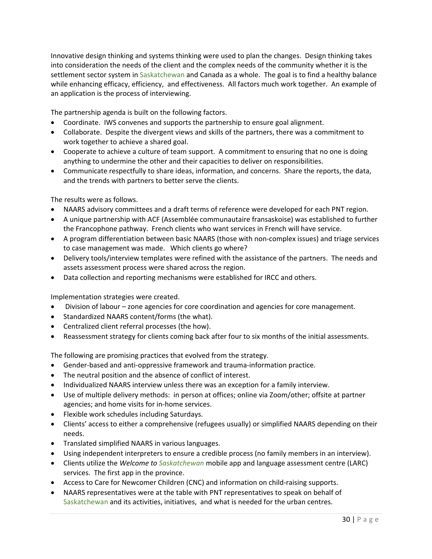Innovative design thinking and systems thinking were used to plan the changes. Design thinking takes into consideration the needs of the client and the complex needs of the community whether it is the settlement sector system in Saskatchewan and Canada as a whole. The goal is to find a healthy balance while enhancing efficacy, efficiency, and effectiveness. All factors much work together. An example of an application is the process of interviewing.

The partnership agenda is built on the following factors.

- Coordinate. IWS convenes and supports the partnership to ensure goal alignment.
- Collaborate. Despite the divergent views and skills of the partners, there was a commitment to work together to achieve a shared goal.
- Cooperate to achieve a culture of team support. A commitment to ensuring that no one is doing anything to undermine the other and their capacities to deliver on responsibilities.
- Communicate respectfully to share ideas, information, and concerns. Share the reports, the data, and the trends with partners to better serve the clients.

The results were as follows.

- NAARS advisory committees and a draft terms of reference were developed for each PNT region.
- A unique partnership with ACF (Assemblée communautaire fransaskoise) was established to further the Francophone pathway. French clients who want services in French will have service.
- A program differentiation between basic NAARS (those with non‐complex issues) and triage services to case management was made. Which clients go where?
- Delivery tools/interview templates were refined with the assistance of the partners. The needs and assets assessment process were shared across the region.
- Data collection and reporting mechanisms were established for IRCC and others.

Implementation strategies were created.

- Division of labour zone agencies for core coordination and agencies for core management.
- Standardized NAARS content/forms (the what).
- Centralized client referral processes (the how).
- Reassessment strategy for clients coming back after four to six months of the initial assessments.

The following are promising practices that evolved from the strategy.

- Gender-based and anti-oppressive framework and trauma-information practice.
- The neutral position and the absence of conflict of interest.
- Individualized NAARS interview unless there was an exception for a family interview.
- Use of multiple delivery methods: in person at offices; online via Zoom/other; offsite at partner agencies; and home visits for in‐home services.
- Flexible work schedules including Saturdays.
- Clients' access to either a comprehensive (refugees usually) or simplified NAARS depending on their needs.
- Translated simplified NAARS in various languages.
- Using independent interpreters to ensure a credible process (no family members in an interview).
- Clients utilize the *Welcome to Saskatchewan* mobile app and language assessment centre (LARC) services. The first app in the province.
- Access to Care for Newcomer Children (CNC) and information on child-raising supports.
- NAARS representatives were at the table with PNT representatives to speak on behalf of Saskatchewan and its activities, initiatives, and what is needed for the urban centres.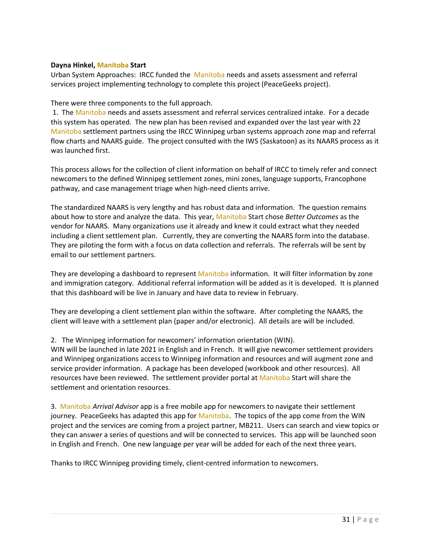#### **Dayna Hinkel, Manitoba Start**

Urban System Approaches: IRCC funded the Manitoba needs and assets assessment and referral services project implementing technology to complete this project (PeaceGeeks project).

#### There were three components to the full approach.

1. The Manitoba needs and assets assessment and referral services centralized intake. For a decade this system has operated. The new plan has been revised and expanded over the last year with 22 Manitoba settlement partners using the IRCC Winnipeg urban systems approach zone map and referral flow charts and NAARS guide. The project consulted with the IWS (Saskatoon) as its NAARS process as it was launched first.

This process allows for the collection of client information on behalf of IRCC to timely refer and connect newcomers to the defined Winnipeg settlement zones, mini zones, language supports, Francophone pathway, and case management triage when high‐need clients arrive.

The standardized NAARS is very lengthy and has robust data and information. The question remains about how to store and analyze the data. This year, Manitoba Start chose *Better Outcomes* as the vendor for NAARS. Many organizations use it already and knew it could extract what they needed including a client settlement plan. Currently, they are converting the NAARS form into the database. They are piloting the form with a focus on data collection and referrals. The referrals will be sent by email to our settlement partners.

They are developing a dashboard to represent Manitoba information. It will filter information by zone and immigration category. Additional referral information will be added as it is developed. It is planned that this dashboard will be live in January and have data to review in February.

They are developing a client settlement plan within the software. After completing the NAARS, the client will leave with a settlement plan (paper and/or electronic). All details are will be included.

#### 2. The Winnipeg information for newcomers' information orientation (WIN).

WIN will be launched in late 2021 in English and in French. It will give newcomer settlement providers and Winnipeg organizations access to Winnipeg information and resources and will augment zone and service provider information. A package has been developed (workbook and other resources). All resources have been reviewed. The settlement provider portal at Manitoba Start will share the settlement and orientation resources.

3. Manitoba *Arrival Advisor* app is a free mobile app for newcomers to navigate their settlement journey. PeaceGeeks has adapted this app for Manitoba. The topics of the app come from the WIN project and the services are coming from a project partner, MB211. Users can search and view topics or they can answer a series of questions and will be connected to services. This app will be launched soon in English and French. One new language per year will be added for each of the next three years.

Thanks to IRCC Winnipeg providing timely, client‐centred information to newcomers.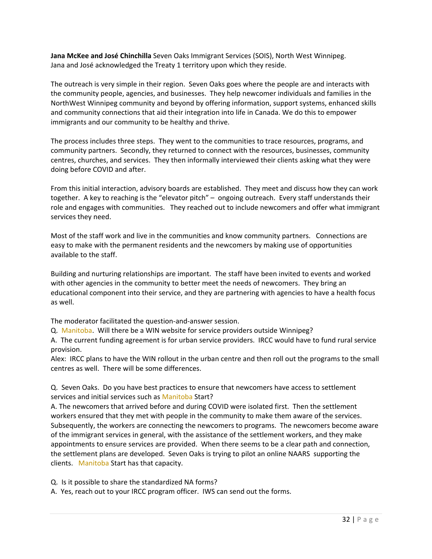**Jana McKee and José Chinchilla** Seven Oaks Immigrant Services (SOIS), North West Winnipeg. Jana and José acknowledged the Treaty 1 territory upon which they reside.

The outreach is very simple in their region. Seven Oaks goes where the people are and interacts with the community people, agencies, and businesses. They help newcomer individuals and families in the NorthWest Winnipeg community and beyond by offering information, support systems, enhanced skills and community connections that aid their integration into life in Canada. We do this to empower immigrants and our community to be healthy and thrive.

The process includes three steps. They went to the communities to trace resources, programs, and community partners. Secondly, they returned to connect with the resources, businesses, community centres, churches, and services. They then informally interviewed their clients asking what they were doing before COVID and after.

From this initial interaction, advisory boards are established. They meet and discuss how they can work together. A key to reaching is the "elevator pitch" – ongoing outreach. Every staff understands their role and engages with communities. They reached out to include new comers and offer what immigrant services they need.

Most of the staff work and live in the communities and know community partners. Connections are easy to make with the permanent residents and the newcomers by making use of opportunities available to the staff.

Building and nurturing relationships are important. The staff have been invited to events and worked with other agencies in the community to better meet the needs of newcomers. They bring an educational component into their service, and they are partnering with agencies to have a health focus as well.

The moderator facilitated the question‐and‐answer session.

Q. Manitoba. Will there be a WIN website for service providers outside Winnipeg?

A. The current funding agreement is for urban service providers. IRCC would have to fund rural service provision.

Alex: IRCC plans to have the WIN rollout in the urban centre and then roll out the programs to the small centres as well. There will be some differences.

Q. Seven Oaks. Do you have best practices to ensure that newcomers have access to settlement services and initial services such as Manitoba Start?

A. The newcomers that arrived before and during COVID were isolated first. Then the settlement workers ensured that they met with people in the community to make them aware of the services. Subsequently, the workers are connecting the newcomers to programs. The newcomers become aware of the immigrant services in general, with the assistance of the settlement workers, and they make appointments to ensure services are provided. When there seems to be a clear path and connection, the settlement plans are developed. Seven Oaks is trying to pilot an online NAARS supporting the clients. Manitoba Start has that capacity.

Q. Is it possible to share the standardized NA forms?

A. Yes, reach out to your IRCC program officer. IWS can send out the forms.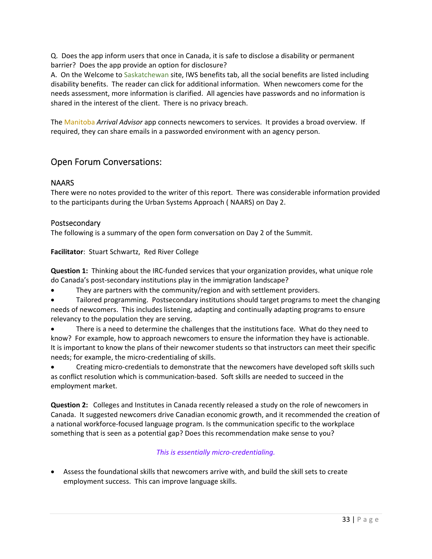Q. Does the app inform users that once in Canada, it is safe to disclose a disability or permanent barrier? Does the app provide an option for disclosure?

A. On the Welcome to Saskatchewan site, IWS benefits tab, all the social benefits are listed including disability benefits. The reader can click for additional information. When newcomers come for the needs assessment, more information is clarified. All agencies have passwords and no information is shared in the interest of the client. There is no privacy breach.

The Manitoba *Arrival Advisor* app connects newcomers to services. It provides a broad overview. If required, they can share emails in a passworded environment with an agency person.

## Open Forum Conversations:

## **NAARS**

There were no notes provided to the writer of this report. There was considerable information provided to the participants during the Urban Systems Approach ( NAARS) on Day 2.

## Postsecondary

The following is a summary of the open form conversation on Day 2 of the Summit.

**Facilitator**: Stuart Schwartz, Red River College

**Question 1:** Thinking about the IRC‐funded services that your organization provides, what unique role do Canada's post‐secondary institutions play in the immigration landscape?

They are partners with the community/region and with settlement providers.

 Tailored programming. Postsecondary institutions should target programs to meet the changing needs of newcomers. This includes listening, adapting and continually adapting programs to ensure relevancy to the population they are serving.

• There is a need to determine the challenges that the institutions face. What do they need to know? For example, how to approach newcomers to ensure the information they have is actionable. It is important to know the plans of their newcomer students so that instructors can meet their specific needs; for example, the micro‐credentialing of skills.

 Creating micro‐credentials to demonstrate that the newcomers have developed soft skills such as conflict resolution which is communication‐based. Soft skills are needed to succeed in the employment market.

**Question 2:** Colleges and Institutes in Canada recently released a study on the role of newcomers in Canada. It suggested newcomers drive Canadian economic growth, and it recommended the creation of a national workforce‐focused language program. Is the communication specific to the workplace something that is seen as a potential gap? Does this recommendation make sense to you?

## *This is essentially micro‐credentialing.*

 Assess the foundational skills that newcomers arrive with, and build the skill sets to create employment success. This can improve language skills.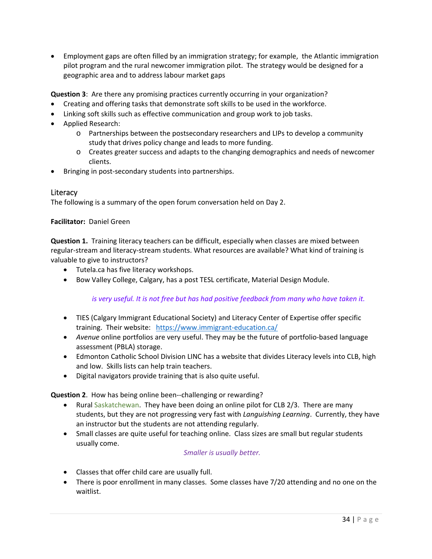Employment gaps are often filled by an immigration strategy; for example, the Atlantic immigration pilot program and the rural newcomer immigration pilot. The strategy would be designed for a geographic area and to address labour market gaps

**Question 3**: Are there any promising practices currently occurring in your organization?

- Creating and offering tasks that demonstrate soft skills to be used in the workforce.
- Linking soft skills such as effective communication and group work to job tasks.
- Applied Research:
	- o Partnerships between the postsecondary researchers and LIPs to develop a community study that drives policy change and leads to more funding.
	- o Creates greater success and adapts to the changing demographics and needs of newcomer clients.
- Bringing in post-secondary students into partnerships.

## **Literacy**

The following is a summary of the open forum conversation held on Day 2.

#### **Facilitator: Daniel Green**

**Question 1.** Training literacy teachers can be difficult, especially when classes are mixed between regular‐stream and literacy‐stream students. What resources are available? What kind of training is valuable to give to instructors?

- Tutela.ca has five literacy workshops.
- **Bow Valley College, Calgary, has a post TESL certificate, Material Design Module.**

*is very useful. It is not free but has had positive feedback from many who have taken it.* 

- TIES (Calgary Immigrant Educational Society) and Literacy Center of Expertise offer specific training. Their website: https://www.immigrant‐education.ca/
- *Avenue* online portfolios are very useful. They may be the future of portfolio-based language assessment (PBLA) storage.
- Edmonton Catholic School Division LINC has a website that divides Literacy levels into CLB, high and low. Skills lists can help train teachers.
- Digital navigators provide training that is also quite useful.

**Question 2**. How has being online been‐‐challenging or rewarding?

- Rural Saskatchewan. They have been doing an online pilot for CLB 2/3. There are many students, but they are not progressing very fast with *Languishing Learning*. Currently, they have an instructor but the students are not attending regularly.
- Small classes are quite useful for teaching online. Class sizes are small but regular students usually come.

#### *Smaller is usually better.*

- Classes that offer child care are usually full.
- There is poor enrollment in many classes. Some classes have 7/20 attending and no one on the waitlist.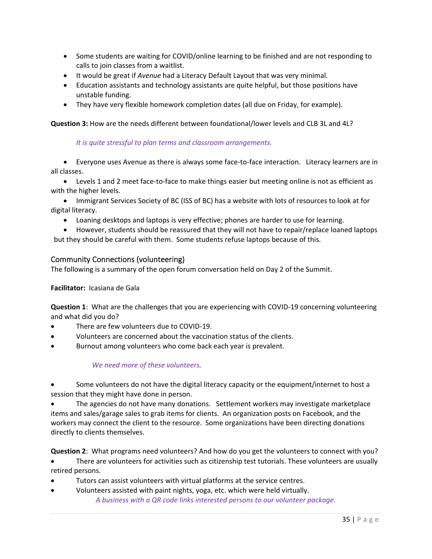- Some students are waiting for COVID/online learning to be finished and are not responding to calls to join classes from a waitlist.
- It would be great if *Avenue* had a Literacy Default Layout that was very minimal.
- Education assistants and technology assistants are quite helpful, but those positions have unstable funding.
- They have very flexible homework completion dates (all due on Friday, for example).

**Question 3:** How are the needs different between foundational/lower levels and CLB 3L and 4L?

#### *It is quite stressful to plan terms and classroom arrangements.*

 Everyone uses Avenue as there is always some face‐to‐face interaction. Literacy learners are in all classes.

● Levels 1 and 2 meet face-to-face to make things easier but meeting online is not as efficient as with the higher levels.

• Immigrant Services Society of BC (ISS of BC) has a website with lots of resources to look at for digital literacy.

Loaning desktops and laptops is very effective; phones are harder to use for learning.

 However, students should be reassured that they will not have to repair/replace loaned laptops but they should be careful with them. Some students refuse laptops because of this.

## Community Connections (volunteering)

The following is a summary of the open forum conversation held on Day 2 of the Summit.

#### **Facilitator:** Icasiana de Gala

**Question 1**: What are the challenges that you are experiencing with COVID‐19 concerning volunteering and what did you do?

- There are few volunteers due to COVID‐19.
- Volunteers are concerned about the vaccination status of the clients.
- Burnout among volunteers who come back each year is prevalent.

#### *We need more of these volunteers.*

 Some volunteers do not have the digital literacy capacity or the equipment/internet to host a session that they might have done in person.

 The agencies do not have many donations. Settlement workers may investigate marketplace items and sales/garage sales to grab items for clients. An organization posts on Facebook, and the workers may connect the client to the resource. Some organizations have been directing donations directly to clients themselves.

**Question 2**: What programs need volunteers? And how do you get the volunteers to connect with you?

 There are volunteers for activities such as citizenship test tutorials. These volunteers are usually retired persons.

- Tutors can assist volunteers with virtual platforms at the service centres.
- Volunteers assisted with paint nights, yoga, etc. which were held virtually. *A business with a QR code links interested persons to our volunteer package.*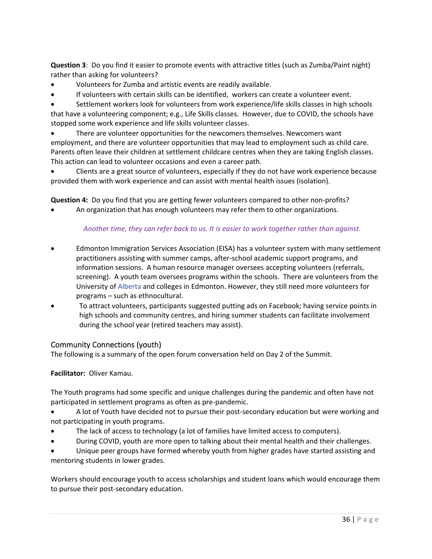**Question 3**: Do you find it easier to promote events with attractive titles (such as Zumba/Paint night) rather than asking for volunteers?

- Volunteers for Zumba and artistic events are readily available.
- If volunteers with certain skills can be identified, workers can create a volunteer event.

 Settlement workers look for volunteers from work experience/life skills classes in high schools that have a volunteering component; e.g., Life Skills classes. However, due to COVID, the schools have stopped some work experience and life skills volunteer classes.

 There are volunteer opportunities for the newcomers themselves. Newcomers want employment, and there are volunteer opportunities that may lead to employment such as child care. Parents often leave their children at settlement childcare centres when they are taking English classes. This action can lead to volunteer occasions and even a career path.

 Clients are a great source of volunteers, especially if they do not have work experience because provided them with work experience and can assist with mental health issues (isolation).

**Question 4:** Do you find that you are getting fewer volunteers compared to other non-profits?

An organization that has enough volunteers may refer them to other organizations.

## *Another time, they can refer back to us. It is easier to work together rather than against.*

- Edmonton Immigration Services Association (EISA) has a volunteer system with many settlement practitioners assisting with summer camps, after‐school academic support programs, and information sessions. A human resource manager oversees accepting volunteers (referrals, screening). A youth team oversees programs within the schools. There are volunteers from the University of Alberta and colleges in Edmonton. However, they still need more volunteers for programs – such as ethnocultural.
- To attract volunteers, participants suggested putting ads on Facebook; having service points in high schools and community centres, and hiring summer students can facilitate involvement during the school year (retired teachers may assist).

## Community Connections (youth)

The following is a summary of the open forum conversation held on Day 2 of the Summit.

**Facilitator:** Oliver Kamau.

The Youth programs had some specific and unique challenges during the pandemic and often have not participated in settlement programs as often as pre‐pandemic.

 A lot of Youth have decided not to pursue their post‐secondary education but were working and not participating in youth programs.

- The lack of access to technology (a lot of families have limited access to computers).
- During COVID, youth are more open to talking about their mental health and their challenges.

 Unique peer groups have formed whereby youth from higher grades have started assisting and mentoring students in lower grades.

Workers should encourage youth to access scholarships and student loans which would encourage them to pursue their post‐secondary education.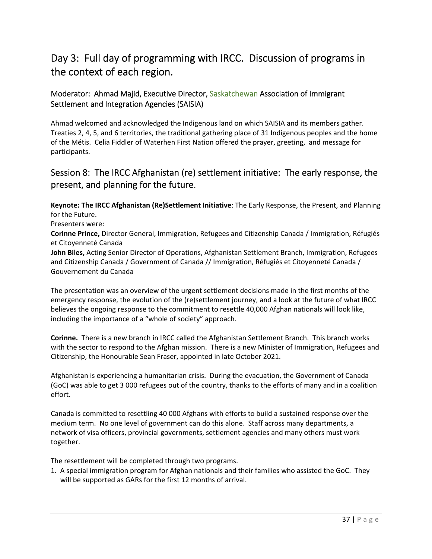# Day 3: Full day of programming with IRCC. Discussion of programs in the context of each region.

# Moderator: Ahmad Majid, Executive Director, Saskatchewan Association of Immigrant Settlement and Integration Agencies (SAISIA)

Ahmad welcomed and acknowledged the Indigenous land on which SAISIA and its members gather. Treaties 2, 4, 5, and 6 territories, the traditional gathering place of 31 Indigenous peoples and the home of the Métis. Celia Fiddler of Waterhen First Nation offered the prayer, greeting, and message for participants.

# Session 8: The IRCC Afghanistan (re) settlement initiative: The early response, the present, and planning for the future.

**Keynote: The IRCC Afghanistan (Re)Settlement Initiative**: The Early Response, the Present, and Planning for the Future.

Presenters were:

**Corinne Prince,** Director General, Immigration, Refugees and Citizenship Canada / Immigration, Réfugiés et Citoyenneté Canada

**John Biles,** Acting Senior Director of Operations, Afghanistan Settlement Branch, Immigration, Refugees and Citizenship Canada / Government of Canada // Immigration, Réfugiés et Citoyenneté Canada / Gouvernement du Canada

The presentation was an overview of the urgent settlement decisions made in the first months of the emergency response, the evolution of the (re)settlement journey, and a look at the future of what IRCC believes the ongoing response to the commitment to resettle 40,000 Afghan nationals will look like, including the importance of a "whole of society" approach.

**Corinne.** There is a new branch in IRCC called the Afghanistan Settlement Branch. This branch works with the sector to respond to the Afghan mission. There is a new Minister of Immigration, Refugees and Citizenship, the Honourable Sean Fraser, appointed in late October 2021.

Afghanistan is experiencing a humanitarian crisis. During the evacuation, the Government of Canada (GoC) was able to get 3 000 refugees out of the country, thanks to the efforts of many and in a coalition effort.

Canada is committed to resettling 40 000 Afghans with efforts to build a sustained response over the medium term. No one level of government can do this alone. Staff across many departments, a network of visa officers, provincial governments, settlement agencies and many others must work together.

The resettlement will be completed through two programs.

1. A special immigration program for Afghan nationals and their families who assisted the GoC. They will be supported as GARs for the first 12 months of arrival.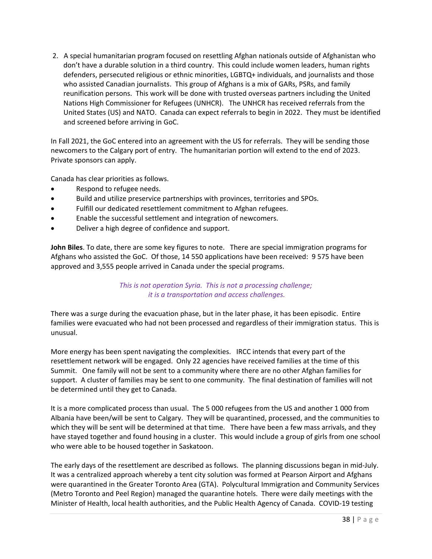2. A special humanitarian program focused on resettling Afghan nationals outside of Afghanistan who don't have a durable solution in a third country. This could include women leaders, human rights defenders, persecuted religious or ethnic minorities, LGBTQ+ individuals, and journalists and those who assisted Canadian journalists. This group of Afghans is a mix of GARs, PSRs, and family reunification persons. This work will be done with trusted overseas partners including the United Nations High Commissioner for Refugees (UNHCR). The UNHCR has received referrals from the United States (US) and NATO. Canada can expect referrals to begin in 2022. They must be identified and screened before arriving in GoC.

In Fall 2021, the GoC entered into an agreement with the US for referrals. They will be sending those newcomers to the Calgary port of entry. The humanitarian portion will extend to the end of 2023. Private sponsors can apply.

Canada has clear priorities as follows.

- Respond to refugee needs.
- Build and utilize preservice partnerships with provinces, territories and SPOs.
- Fulfill our dedicated resettlement commitment to Afghan refugees.
- Enable the successful settlement and integration of newcomers.
- Deliver a high degree of confidence and support.

**John Biles**. To date, there are some key figures to note. There are special immigration programs for Afghans who assisted the GoC. Of those, 14 550 applications have been received: 9 575 have been approved and 3,555 people arrived in Canada under the special programs.

## *This is not operation Syria. This is not a processing challenge; it is a transportation and access challenges.*

There was a surge during the evacuation phase, but in the later phase, it has been episodic. Entire families were evacuated who had not been processed and regardless of their immigration status. This is unusual.

More energy has been spent navigating the complexities. IRCC intends that every part of the resettlement network will be engaged. Only 22 agencies have received families at the time of this Summit. One family will not be sent to a community where there are no other Afghan families for support. A cluster of families may be sent to one community. The final destination of families will not be determined until they get to Canada.

It is a more complicated process than usual. The 5 000 refugees from the US and another 1 000 from Albania have been/will be sent to Calgary. They will be quarantined, processed, and the communities to which they will be sent will be determined at that time. There have been a few mass arrivals, and they have stayed together and found housing in a cluster. This would include a group of girls from one school who were able to be housed together in Saskatoon.

The early days of the resettlement are described as follows. The planning discussions began in mid‐July. It was a centralized approach whereby a tent city solution was formed at Pearson Airport and Afghans were quarantined in the Greater Toronto Area (GTA). Polycultural Immigration and Community Services (Metro Toronto and Peel Region) managed the quarantine hotels. There were daily meetings with the Minister of Health, local health authorities, and the Public Health Agency of Canada. COVID‐19 testing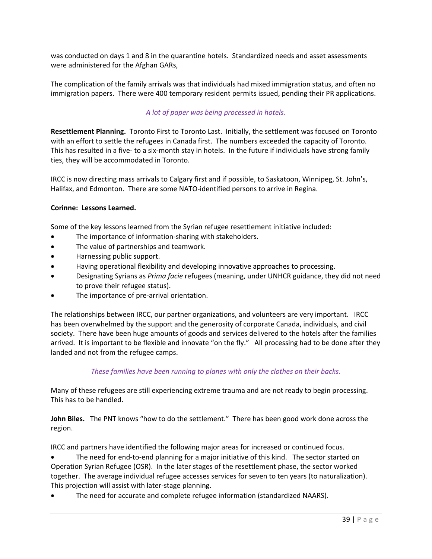was conducted on days 1 and 8 in the quarantine hotels. Standardized needs and asset assessments were administered for the Afghan GARs,

The complication of the family arrivals was that individuals had mixed immigration status, and often no immigration papers. There were 400 temporary resident permits issued, pending their PR applications.

# *A lot of paper was being processed in hotels.*

**Resettlement Planning.** Toronto First to Toronto Last. Initially, the settlement was focused on Toronto with an effort to settle the refugees in Canada first. The numbers exceeded the capacity of Toronto. This has resulted in a five- to a six-month stay in hotels. In the future if individuals have strong family ties, they will be accommodated in Toronto.

IRCC is now directing mass arrivals to Calgary first and if possible, to Saskatoon, Winnipeg, St. John's, Halifax, and Edmonton. There are some NATO‐identified persons to arrive in Regina.

### **Corinne: Lessons Learned.**

Some of the key lessons learned from the Syrian refugee resettlement initiative included:

- The importance of information-sharing with stakeholders.
- The value of partnerships and teamwork.
- Harnessing public support.
- Having operational flexibility and developing innovative approaches to processing.
- Designating Syrians as *Prima facie* refugees (meaning, under UNHCR guidance, they did not need to prove their refugee status).
- The importance of pre-arrival orientation.

The relationships between IRCC, our partner organizations, and volunteers are very important. IRCC has been overwhelmed by the support and the generosity of corporate Canada, individuals, and civil society. There have been huge amounts of goods and services delivered to the hotels after the families arrived. It is important to be flexible and innovate "on the fly." All processing had to be done after they landed and not from the refugee camps.

### *These families have been running to planes with only the clothes on their backs.*

Many of these refugees are still experiencing extreme trauma and are not ready to begin processing. This has to be handled.

John Biles. The PNT knows "how to do the settlement." There has been good work done across the region.

IRCC and partners have identified the following major areas for increased or continued focus.

The need for end-to-end planning for a major initiative of this kind. The sector started on Operation Syrian Refugee (OSR). In the later stages of the resettlement phase, the sector worked together. The average individual refugee accesses services for seven to ten years (to naturalization). This projection will assist with later‐stage planning.

The need for accurate and complete refugee information (standardized NAARS).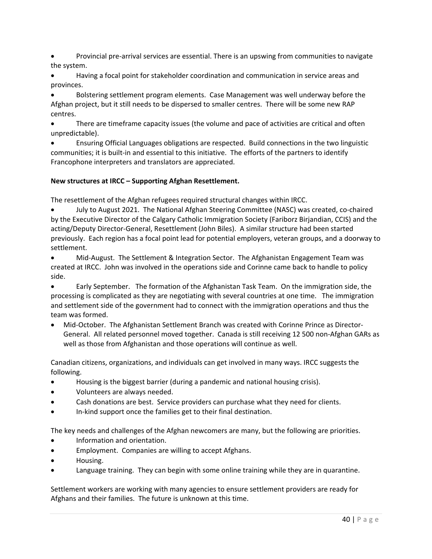Provincial pre‐arrival services are essential. There is an upswing from communities to navigate the system.

 Having a focal point for stakeholder coordination and communication in service areas and provinces.

 Bolstering settlement program elements. Case Management was well underway before the Afghan project, but it still needs to be dispersed to smaller centres. There will be some new RAP centres.

 There are timeframe capacity issues (the volume and pace of activities are critical and often unpredictable).

 Ensuring Official Languages obligations are respected. Build connections in the two linguistic communities; it is built-in and essential to this initiative. The efforts of the partners to identify Francophone interpreters and translators are appreciated.

# **New structures at IRCC – Supporting Afghan Resettlement.**

The resettlement of the Afghan refugees required structural changes within IRCC.

 July to August 2021. The National Afghan Steering Committee (NASC) was created, co‐chaired by the Executive Director of the Calgary Catholic Immigration Society (Fariborz Birjandian, CCIS) and the acting/Deputy Director‐General, Resettlement (John Biles). A similar structure had been started previously. Each region has a focal point lead for potential employers, veteran groups, and a doorway to settlement.

● Mid-August. The Settlement & Integration Sector. The Afghanistan Engagement Team was created at IRCC. John was involved in the operations side and Corinne came back to handle to policy side.

 Early September. The formation of the Afghanistan Task Team. On the immigration side, the processing is complicated as they are negotiating with several countries at one time. The immigration and settlement side of the government had to connect with the immigration operations and thus the team was formed.

● Mid-October. The Afghanistan Settlement Branch was created with Corinne Prince as Director-General. All related personnel moved together. Canada is still receiving 12 500 non‐Afghan GARs as well as those from Afghanistan and those operations will continue as well.

Canadian citizens, organizations, and individuals can get involved in many ways. IRCC suggests the following.

- Housing is the biggest barrier (during a pandemic and national housing crisis).
- Volunteers are always needed.
- Cash donations are best. Service providers can purchase what they need for clients.
- In‐kind support once the families get to their final destination.

The key needs and challenges of the Afghan newcomers are many, but the following are priorities.

- Information and orientation.
- Employment. Companies are willing to accept Afghans.
- Housing.
- Language training. They can begin with some online training while they are in quarantine.

Settlement workers are working with many agencies to ensure settlement providers are ready for Afghans and their families. The future is unknown at this time.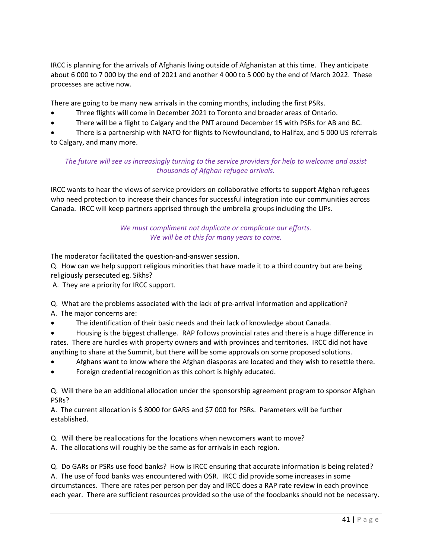IRCC is planning for the arrivals of Afghanis living outside of Afghanistan at this time. They anticipate about 6 000 to 7 000 by the end of 2021 and another 4 000 to 5 000 by the end of March 2022. These processes are active now.

There are going to be many new arrivals in the coming months, including the first PSRs.

- Three flights will come in December 2021 to Toronto and broader areas of Ontario.
- There will be a flight to Calgary and the PNT around December 15 with PSRs for AB and BC.

 There is a partnership with NATO for flights to Newfoundland, to Halifax, and 5 000 US referrals to Calgary, and many more.

# *The future will see us increasingly turning to the service providers for help to welcome and assist thousands of Afghan refugee arrivals.*

IRCC wants to hear the views of service providers on collaborative efforts to support Afghan refugees who need protection to increase their chances for successful integration into our communities across Canada. IRCC will keep partners apprised through the umbrella groups including the LIPs.

# We must compliment not duplicate or complicate our efforts. *We will be at this for many years to come.*

The moderator facilitated the question‐and‐answer session.

Q. How can we help support religious minorities that have made it to a third country but are being religiously persecuted eg. Sikhs?

A. They are a priority for IRCC support.

Q. What are the problems associated with the lack of pre-arrival information and application? A. The major concerns are:

- The identification of their basic needs and their lack of knowledge about Canada.
- Housing is the biggest challenge. RAP follows provincial rates and there is a huge difference in rates. There are hurdles with property owners and with provinces and territories. IRCC did not have anything to share at the Summit, but there will be some approvals on some proposed solutions.
- Afghans want to know where the Afghan diasporas are located and they wish to resettle there.
- Foreign credential recognition as this cohort is highly educated.

Q. Will there be an additional allocation under the sponsorship agreement program to sponsor Afghan PSRs?

A. The current allocation is \$ 8000 for GARS and \$7 000 for PSRs. Parameters will be further established.

Q. Will there be reallocations for the locations when newcomers want to move?

A. The allocations will roughly be the same as for arrivals in each region.

Q. Do GARs or PSRs use food banks? How is IRCC ensuring that accurate information is being related? A. The use of food banks was encountered with OSR. IRCC did provide some increases in some circumstances. There are rates per person per day and IRCC does a RAP rate review in each province each year. There are sufficient resources provided so the use of the foodbanks should not be necessary.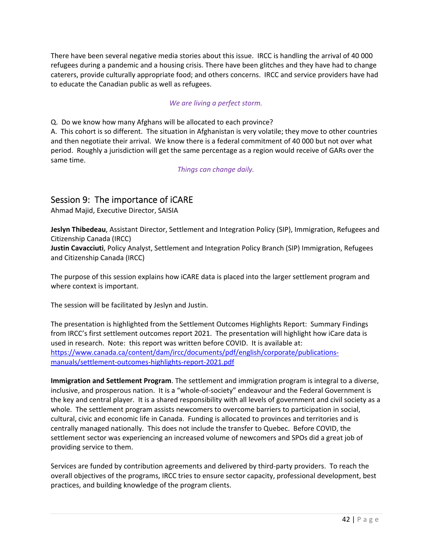There have been several negative media stories about this issue. IRCC is handling the arrival of 40 000 refugees during a pandemic and a housing crisis. There have been glitches and they have had to change caterers, provide culturally appropriate food; and others concerns. IRCC and service providers have had to educate the Canadian public as well as refugees.

## *We are living a perfect storm.*

Q. Do we know how many Afghans will be allocated to each province?

A. This cohort is so different. The situation in Afghanistan is very volatile; they move to other countries and then negotiate their arrival. We know there is a federal commitment of 40 000 but not over what period. Roughly a jurisdiction will get the same percentage as a region would receive of GARs over the same time.

*Things can change daily.* 

# Session 9: The importance of iCARE

Ahmad Majid, Executive Director, SAISIA

**Jeslyn Thibedeau**, Assistant Director, Settlement and Integration Policy (SIP), Immigration, Refugees and Citizenship Canada (IRCC) **Justin Cavacciuti**, Policy Analyst, Settlement and Integration Policy Branch (SIP) Immigration, Refugees

and Citizenship Canada (IRCC)

The purpose of this session explains how iCARE data is placed into the larger settlement program and where context is important.

The session will be facilitated by Jeslyn and Justin.

The presentation is highlighted from the Settlement Outcomes Highlights Report: Summary Findings from IRCC's first settlement outcomes report 2021. The presentation will highlight how iCare data is used in research. Note: this report was written before COVID. It is available at: https://www.canada.ca/content/dam/ircc/documents/pdf/english/corporate/publications‐ manuals/settlement‐outcomes‐highlights‐report‐2021.pdf

**Immigration and Settlement Program**. The settlement and immigration program is integral to a diverse, inclusive, and prosperous nation. It is a "whole‐of‐society" endeavour and the Federal Government is the key and central player. It is a shared responsibility with all levels of government and civil society as a whole. The settlement program assists newcomers to overcome barriers to participation in social, cultural, civic and economic life in Canada. Funding is allocated to provinces and territories and is centrally managed nationally. This does not include the transfer to Quebec. Before COVID, the settlement sector was experiencing an increased volume of newcomers and SPOs did a great job of providing service to them.

Services are funded by contribution agreements and delivered by third‐party providers. To reach the overall objectives of the programs, IRCC tries to ensure sector capacity, professional development, best practices, and building knowledge of the program clients.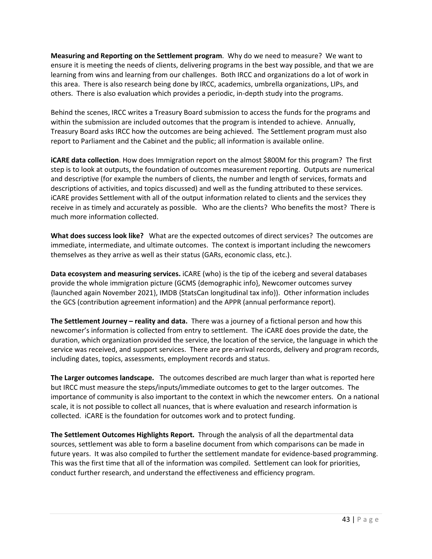**Measuring and Reporting on the Settlement program**. Why do we need to measure? We want to ensure it is meeting the needs of clients, delivering programs in the best way possible, and that we are learning from wins and learning from our challenges. Both IRCC and organizations do a lot of work in this area. There is also research being done by IRCC, academics, umbrella organizations, LIPs, and others. There is also evaluation which provides a periodic, in‐depth study into the programs.

Behind the scenes, IRCC writes a Treasury Board submission to access the funds for the programs and within the submission are included outcomes that the program is intended to achieve. Annually, Treasury Board asks IRCC how the outcomes are being achieved. The Settlement program must also report to Parliament and the Cabinet and the public; all information is available online.

**iCARE data collection**. How does Immigration report on the almost \$800M for this program? The first step is to look at outputs, the foundation of outcomes measurement reporting. Outputs are numerical and descriptive (for example the numbers of clients, the number and length of services, formats and descriptions of activities, and topics discussed) and well as the funding attributed to these services. iCARE provides Settlement with all of the output information related to clients and the services they receive in as timely and accurately as possible. Who are the clients? Who benefits the most? There is much more information collected.

**What does success look like?** What are the expected outcomes of direct services? The outcomes are immediate, intermediate, and ultimate outcomes. The context is important including the newcomers themselves as they arrive as well as their status (GARs, economic class, etc.).

**Data ecosystem and measuring services.** iCARE (who) is the tip of the iceberg and several databases provide the whole immigration picture (GCMS {demographic info}, Newcomer outcomes survey {launched again November 2021}, IMDB {StatsCan longitudinal tax info}). Other information includes the GCS (contribution agreement information) and the APPR (annual performance report).

**The Settlement Journey – reality and data.** There was a journey of a fictional person and how this newcomer's information is collected from entry to settlement. The iCARE does provide the date, the duration, which organization provided the service, the location of the service, the language in which the service was received, and support services. There are pre-arrival records, delivery and program records, including dates, topics, assessments, employment records and status.

**The Larger outcomes landscape.** The outcomes described are much larger than what is reported here but IRCC must measure the steps/inputs/immediate outcomes to get to the larger outcomes. The importance of community is also important to the context in which the newcomer enters. On a national scale, it is not possible to collect all nuances, that is where evaluation and research information is collected. iCARE is the foundation for outcomes work and to protect funding.

**The Settlement Outcomes Highlights Report.** Through the analysis of all the departmental data sources, settlement was able to form a baseline document from which comparisons can be made in future years. It was also compiled to further the settlement mandate for evidence‐based programming. This was the first time that all of the information was compiled. Settlement can look for priorities, conduct further research, and understand the effectiveness and efficiency program.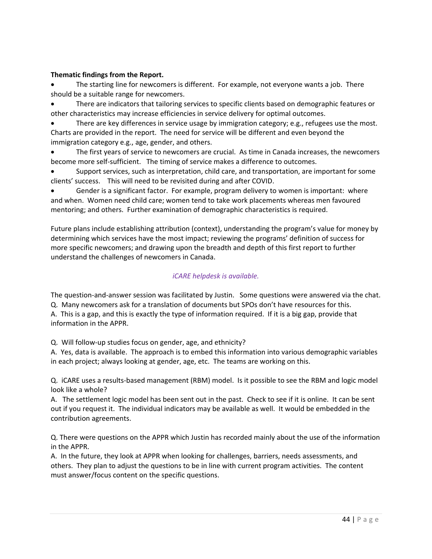## **Thematic findings from the Report.**

 The starting line for newcomers is different. For example, not everyone wants a job. There should be a suitable range for newcomers.

 There are indicators that tailoring services to specific clients based on demographic features or other characteristics may increase efficiencies in service delivery for optimal outcomes.

 There are key differences in service usage by immigration category; e.g., refugees use the most. Charts are provided in the report. The need for service will be different and even beyond the immigration category e.g., age, gender, and others.

 The first years of service to newcomers are crucial. As time in Canada increases, the newcomers become more self-sufficient. The timing of service makes a difference to outcomes.

 Support services, such as interpretation, child care, and transportation, are important for some clients' success. This will need to be revisited during and after COVID.

 Gender is a significant factor. For example, program delivery to women is important: where and when. Women need child care; women tend to take work placements whereas men favoured mentoring; and others. Further examination of demographic characteristics is required.

Future plans include establishing attribution (context), understanding the program's value for money by determining which services have the most impact; reviewing the programs' definition of success for more specific newcomers; and drawing upon the breadth and depth of this first report to further understand the challenges of newcomers in Canada.

# *iCARE helpdesk is available.*

The question-and-answer session was facilitated by Justin. Some questions were answered via the chat. Q. Many newcomers ask for a translation of documents but SPOs don't have resources for this. A. This is a gap, and this is exactly the type of information required. If it is a big gap, provide that information in the APPR.

Q. Will follow‐up studies focus on gender, age, and ethnicity?

A. Yes, data is available. The approach is to embed this information into various demographic variables in each project; always looking at gender, age, etc. The teams are working on this.

Q. iCARE uses a results‐based management (RBM) model. Is it possible to see the RBM and logic model look like a whole?

A. The settlement logic model has been sent out in the past. Check to see if it is online. It can be sent out if you request it. The individual indicators may be available as well. It would be embedded in the contribution agreements.

Q. There were questions on the APPR which Justin has recorded mainly about the use of the information in the APPR.

A. In the future, they look at APPR when looking for challenges, barriers, needs assessments, and others. They plan to adjust the questions to be in line with current program activities. The content must answer/focus content on the specific questions.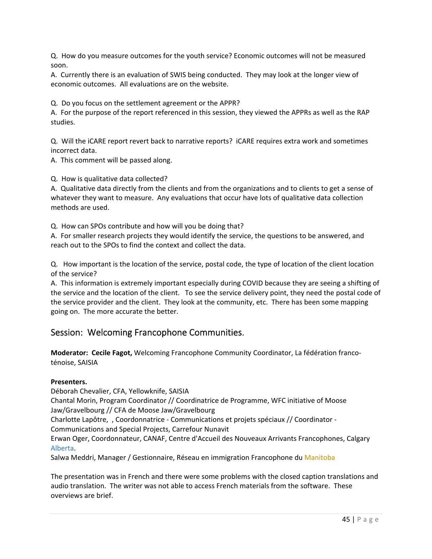Q. How do you measure outcomes for the youth service? Economic outcomes will not be measured soon.

A. Currently there is an evaluation of SWIS being conducted. They may look at the longer view of economic outcomes. All evaluations are on the website.

Q. Do you focus on the settlement agreement or the APPR?

A. For the purpose of the report referenced in this session, they viewed the APPRs as well as the RAP studies.

Q. Will the iCARE report revert back to narrative reports? iCARE requires extra work and sometimes incorrect data.

A. This comment will be passed along.

Q. How is qualitative data collected?

A. Qualitative data directly from the clients and from the organizations and to clients to get a sense of whatever they want to measure. Any evaluations that occur have lots of qualitative data collection methods are used.

Q. How can SPOs contribute and how will you be doing that?

A. For smaller research projects they would identify the service, the questions to be answered, and reach out to the SPOs to find the context and collect the data.

Q. How important is the location of the service, postal code, the type of location of the client location of the service?

A. This information is extremely important especially during COVID because they are seeing a shifting of the service and the location of the client. To see the service delivery point, they need the postal code of the service provider and the client. They look at the community, etc. There has been some mapping going on. The more accurate the better.

# Session: Welcoming Francophone Communities.

**Moderator: Cecile Fagot,** Welcoming Francophone Community Coordinator, La fédération franco‐ ténoise, SAISIA

#### **Presenters.**

Déborah Chevalier, CFA, Yellowknife, SAISIA

Chantal Morin, Program Coordinator // Coordinatrice de Programme, WFC initiative of Moose Jaw/Gravelbourg // CFA de Moose Jaw/Gravelbourg

Charlotte Lapôtre, , Coordonnatrice ‐ Communications et projets spéciaux // Coordinator ‐ Communications and Special Projects, Carrefour Nunavit

Erwan Oger, Coordonnateur, CANAF, Centre d'Accueil des Nouveaux Arrivants Francophones, Calgary Alberta.

Salwa Meddri, Manager / Gestionnaire, Réseau en immigration Francophone du Manitoba

The presentation was in French and there were some problems with the closed caption translations and audio translation. The writer was not able to access French materials from the software. These overviews are brief.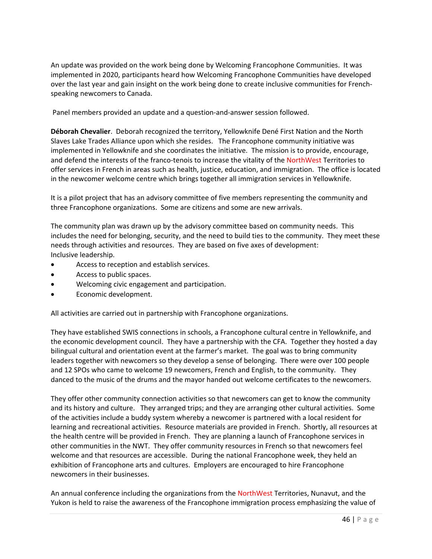An update was provided on the work being done by Welcoming Francophone Communities. It was implemented in 2020, participants heard how Welcoming Francophone Communities have developed over the last year and gain insight on the work being done to create inclusive communities for French‐ speaking newcomers to Canada.

Panel members provided an update and a question‐and‐answer session followed.

**Déborah Chevalier**. Deborah recognized the territory, Yellowknife Dené First Nation and the North Slaves Lake Trades Alliance upon which she resides. The Francophone community initiative was implemented in Yellowknife and she coordinates the initiative. The mission is to provide, encourage, and defend the interests of the franco-tenois to increase the vitality of the NorthWest Territories to offer services in French in areas such as health, justice, education, and immigration. The office is located in the newcomer welcome centre which brings together all immigration services in Yellowknife.

It is a pilot project that has an advisory committee of five members representing the community and three Francophone organizations. Some are citizens and some are new arrivals.

The community plan was drawn up by the advisory committee based on community needs. This includes the need for belonging, security, and the need to build ties to the community. They meet these needs through activities and resources. They are based on five axes of development: Inclusive leadership.

- Access to reception and establish services.
- Access to public spaces.
- Welcoming civic engagement and participation.
- Economic development.

All activities are carried out in partnership with Francophone organizations.

They have established SWIS connections in schools, a Francophone cultural centre in Yellowknife, and the economic development council. They have a partnership with the CFA. Together they hosted a day bilingual cultural and orientation event at the farmer's market. The goal was to bring community leaders together with newcomers so they develop a sense of belonging. There were over 100 people and 12 SPOs who came to welcome 19 newcomers, French and English, to the community. They danced to the music of the drums and the mayor handed out welcome certificates to the newcomers.

They offer other community connection activities so that newcomers can get to know the community and its history and culture. They arranged trips; and they are arranging other cultural activities. Some of the activities include a buddy system whereby a newcomer is partnered with a local resident for learning and recreational activities. Resource materials are provided in French. Shortly, all resources at the health centre will be provided in French. They are planning a launch of Francophone services in other communities in the NWT. They offer community resources in French so that newcomers feel welcome and that resources are accessible. During the national Francophone week, they held an exhibition of Francophone arts and cultures. Employers are encouraged to hire Francophone newcomers in their businesses.

An annual conference including the organizations from the NorthWest Territories, Nunavut, and the Yukon is held to raise the awareness of the Francophone immigration process emphasizing the value of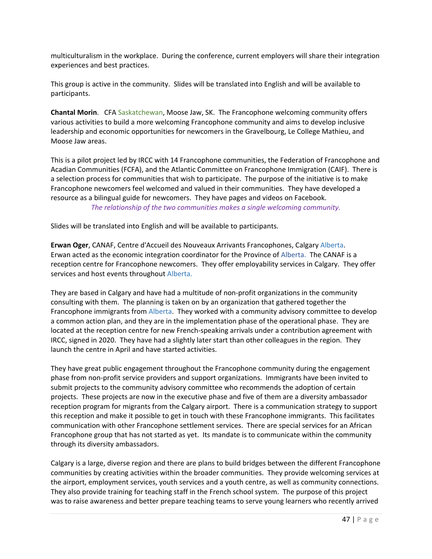multiculturalism in the workplace. During the conference, current employers will share their integration experiences and best practices.

This group is active in the community. Slides will be translated into English and will be available to participants.

**Chantal Morin**. CFA Saskatchewan, Moose Jaw, SK. The Francophone welcoming community offers various activities to build a more welcoming Francophone community and aims to develop inclusive leadership and economic opportunities for newcomers in the Gravelbourg, Le College Mathieu, and Moose Jaw areas.

This is a pilot project led by IRCC with 14 Francophone communities, the Federation of Francophone and Acadian Communities (FCFA), and the Atlantic Committee on Francophone Immigration (CAIF). There is a selection process for communities that wish to participate. The purpose of the initiative is to make Francophone newcomers feel welcomed and valued in their communities. They have developed a resource as a bilingual guide for newcomers. They have pages and videos on Facebook. *The relationship of the two communities makes a single welcoming community.* 

Slides will be translated into English and will be available to participants.

**Erwan Oger**, CANAF, Centre d'Accueil des Nouveaux Arrivants Francophones, Calgary Alberta. Erwan acted as the economic integration coordinator for the Province of Alberta. The CANAF is a reception centre for Francophone newcomers. They offer employability services in Calgary. They offer services and host events throughout Alberta.

They are based in Calgary and have had a multitude of non‐profit organizations in the community consulting with them. The planning is taken on by an organization that gathered together the Francophone immigrants from Alberta. They worked with a community advisory committee to develop a common action plan, and they are in the implementation phase of the operational phase. They are located at the reception centre for new French‐speaking arrivals under a contribution agreement with IRCC, signed in 2020. They have had a slightly later start than other colleagues in the region. They launch the centre in April and have started activities.

They have great public engagement throughout the Francophone community during the engagement phase from non‐profit service providers and support organizations. Immigrants have been invited to submit projects to the community advisory committee who recommends the adoption of certain projects. These projects are now in the executive phase and five of them are a diversity ambassador reception program for migrants from the Calgary airport. There is a communication strategy to support this reception and make it possible to get in touch with these Francophone immigrants. This facilitates communication with other Francophone settlement services. There are special services for an African Francophone group that has not started as yet. Its mandate is to communicate within the community through its diversity ambassadors.

Calgary is a large, diverse region and there are plans to build bridges between the different Francophone communities by creating activities within the broader communities. They provide welcoming services at the airport, employment services, youth services and a youth centre, as well as community connections. They also provide training for teaching staff in the French school system. The purpose of this project was to raise awareness and better prepare teaching teams to serve young learners who recently arrived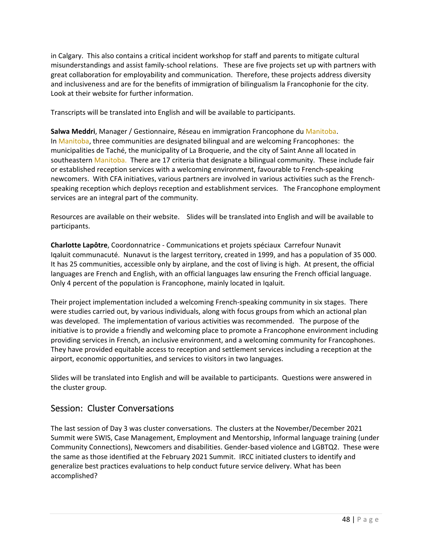in Calgary. This also contains a critical incident workshop for staff and parents to mitigate cultural misunderstandings and assist family‐school relations. These are five projects set up with partners with great collaboration for employability and communication. Therefore, these projects address diversity and inclusiveness and are for the benefits of immigration of bilingualism la Francophonie for the city. Look at their website for further information.

Transcripts will be translated into English and will be available to participants.

**Salwa Meddri**, Manager / Gestionnaire, Réseau en immigration Francophone du Manitoba. In Manitoba, three communities are designated bilingual and are welcoming Francophones: the municipalities de Taché, the municipality of La Broquerie, and the city of Saint Anne all located in southeastern Manitoba. There are 17 criteria that designate a bilingual community. These include fair or established reception services with a welcoming environment, favourable to French‐speaking newcomers. With CFA initiatives, various partners are involved in various activities such as the French‐ speaking reception which deploys reception and establishment services. The Francophone employment services are an integral part of the community.

Resources are available on their website. Slides will be translated into English and will be available to participants.

**Charlotte Lapôtre**, Coordonnatrice ‐ Communications et projets spéciaux Carrefour Nunavit Iqaluit communacuté. Nunavut is the largest territory, created in 1999, and has a population of 35 000. It has 25 communities, accessible only by airplane, and the cost of living is high. At present, the official languages are French and English, with an official languages law ensuring the French official language. Only 4 percent of the population is Francophone, mainly located in Iqaluit.

Their project implementation included a welcoming French‐speaking community in six stages. There were studies carried out, by various individuals, along with focus groups from which an actional plan was developed. The implementation of various activities was recommended. The purpose of the initiative is to provide a friendly and welcoming place to promote a Francophone environment including providing services in French, an inclusive environment, and a welcoming community for Francophones. They have provided equitable access to reception and settlement services including a reception at the airport, economic opportunities, and services to visitors in two languages.

Slides will be translated into English and will be available to participants. Questions were answered in the cluster group.

# Session: Cluster Conversations

The last session of Day 3 was cluster conversations. The clusters at the November/December 2021 Summit were SWIS, Case Management, Employment and Mentorship, Informal language training (under Community Connections), Newcomers and disabilities. Gender‐based violence and LGBTQ2. These were the same as those identified at the February 2021 Summit. IRCC initiated clusters to identify and generalize best practices evaluations to help conduct future service delivery. What has been accomplished?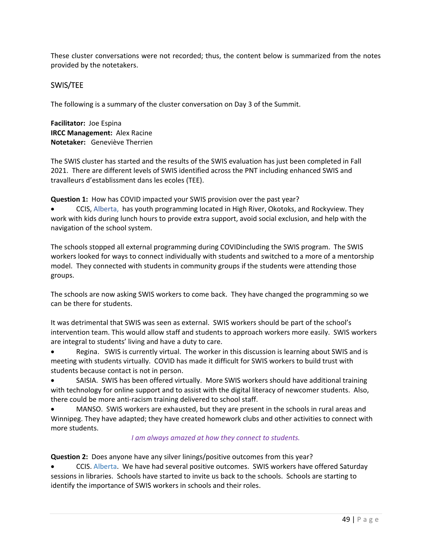These cluster conversations were not recorded; thus, the content below is summarized from the notes provided by the notetakers.

# SWIS/TEE

The following is a summary of the cluster conversation on Day 3 of the Summit.

**Facilitator:** Joe Espina **IRCC Management:** Alex Racine **Notetaker:** Geneviève Therrien

The SWIS cluster has started and the results of the SWIS evaluation has just been completed in Fall 2021. There are different levels of SWIS identified across the PNT including enhanced SWIS and travalleurs d'establissment dans les ecoles (TEE).

**Question 1:** How has COVID impacted your SWIS provision over the past year?

 CCIS, Alberta, has youth programming located in High River, Okotoks, and Rockyview. They work with kids during lunch hours to provide extra support, avoid social exclusion, and help with the navigation of the school system.

The schools stopped all external programming during COVIDincluding the SWIS program. The SWIS workers looked for ways to connect individually with students and switched to a more of a mentorship model. They connected with students in community groups if the students were attending those groups.

The schools are now asking SWIS workers to come back. They have changed the programming so we can be there for students.

It was detrimental that SWIS was seen as external. SWIS workers should be part of the school's intervention team. This would allow staff and students to approach workers more easily. SWIS workers are integral to students' living and have a duty to care.

Regina. SWIS is currently virtual. The worker in this discussion is learning about SWIS and is meeting with students virtually. COVID has made it difficult for SWIS workers to build trust with students because contact is not in person.

 SAISIA. SWIS has been offered virtually. More SWIS workers should have additional training with technology for online support and to assist with the digital literacy of newcomer students. Also, there could be more anti-racism training delivered to school staff.

 MANSO. SWIS workers are exhausted, but they are present in the schools in rural areas and Winnipeg. They have adapted; they have created homework clubs and other activities to connect with more students.

### *I am always amazed at how they connect to students.*

**Question 2:** Does anyone have any silver linings/positive outcomes from this year?

 CCIS. Alberta. We have had several positive outcomes. SWIS workers have offered Saturday sessions in libraries. Schools have started to invite us back to the schools. Schools are starting to identify the importance of SWIS workers in schools and their roles.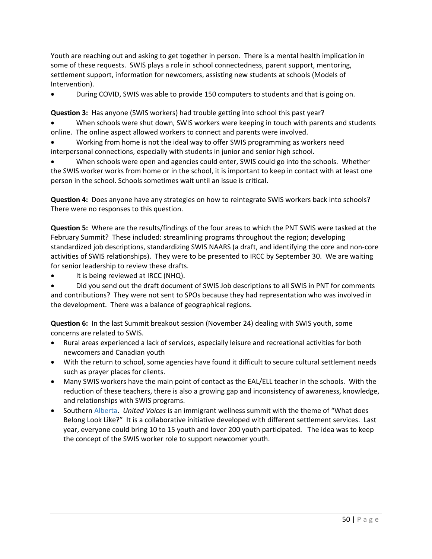Youth are reaching out and asking to get together in person. There is a mental health implication in some of these requests. SWIS plays a role in school connectedness, parent support, mentoring, settlement support, information for newcomers, assisting new students at schools (Models of Intervention).

During COVID, SWIS was able to provide 150 computers to students and that is going on.

**Question 3:** Has anyone (SWIS workers) had trouble getting into school this past year?

 When schools were shut down, SWIS workers were keeping in touch with parents and students online. The online aspect allowed workers to connect and parents were involved.

 Working from home is not the ideal way to offer SWIS programming as workers need interpersonal connections, especially with students in junior and senior high school.

 When schools were open and agencies could enter, SWIS could go into the schools. Whether the SWIS worker works from home or in the school, it is important to keep in contact with at least one person in the school. Schools sometimes wait until an issue is critical.

**Question 4:** Does anyone have any strategies on how to reintegrate SWIS workers back into schools? There were no responses to this question.

**Question 5:** Where are the results/findings of the four areas to which the PNT SWIS were tasked at the February Summit? These included: streamlining programs throughout the region; developing standardized job descriptions, standardizing SWIS NAARS (a draft, and identifying the core and non‐core activities of SWIS relationships). They were to be presented to IRCC by September 30. We are waiting for senior leadership to review these drafts.

It is being reviewed at IRCC (NHQ).

 Did you send out the draft document of SWIS Job descriptions to all SWIS in PNT for comments and contributions? They were not sent to SPOs because they had representation who was involved in the development. There was a balance of geographical regions.

**Question 6:** In the last Summit breakout session (November 24) dealing with SWIS youth, some concerns are related to SWIS.

- Rural areas experienced a lack of services, especially leisure and recreational activities for both newcomers and Canadian youth
- With the return to school, some agencies have found it difficult to secure cultural settlement needs such as prayer places for clients.
- Many SWIS workers have the main point of contact as the EAL/ELL teacher in the schools. With the reduction of these teachers, there is also a growing gap and inconsistency of awareness, knowledge, and relationships with SWIS programs.
- Southern Alberta. *United Voices* is an immigrant wellness summit with the theme of "What does Belong Look Like?" It is a collaborative initiative developed with different settlement services. Last year, everyone could bring 10 to 15 youth and lover 200 youth participated. The idea was to keep the concept of the SWIS worker role to support newcomer youth.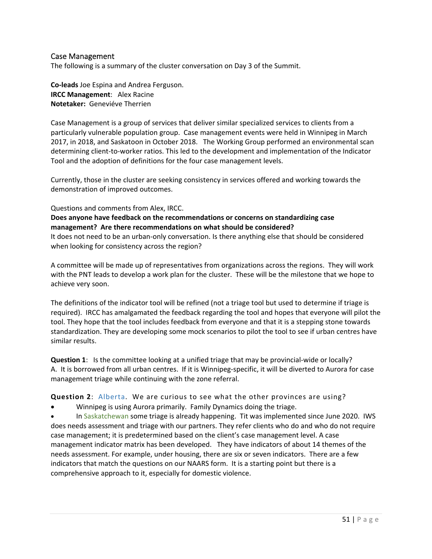## Case Management

The following is a summary of the cluster conversation on Day 3 of the Summit.

**Co‐leads** Joe Espina and Andrea Ferguson. **IRCC Management**: Alex Racine **Notetaker:** Geneviéve Therrien

Case Management is a group of services that deliver similar specialized services to clients from a particularly vulnerable population group. Case management events were held in Winnipeg in March 2017, in 2018, and Saskatoon in October 2018. The Working Group performed an environmental scan determining client‐to‐worker ratios. This led to the development and implementation of the Indicator Tool and the adoption of definitions for the four case management levels.

Currently, those in the cluster are seeking consistency in services offered and working towards the demonstration of improved outcomes.

#### Questions and comments from Alex, IRCC.

### **Does anyone have feedback on the recommendations or concerns on standardizing case management? Are there recommendations on what should be considered?**

It does not need to be an urban‐only conversation. Is there anything else that should be considered when looking for consistency across the region?

A committee will be made up of representatives from organizations across the regions. They will work with the PNT leads to develop a work plan for the cluster. These will be the milestone that we hope to achieve very soon.

The definitions of the indicator tool will be refined (not a triage tool but used to determine if triage is required). IRCC has amalgamated the feedback regarding the tool and hopes that everyone will pilot the tool. They hope that the tool includes feedback from everyone and that it is a stepping stone towards standardization. They are developing some mock scenarios to pilot the tool to see if urban centres have similar results.

**Question 1:** Is the committee looking at a unified triage that may be provincial-wide or locally? A. It is borrowed from all urban centres. If it is Winnipeg‐specific, it will be diverted to Aurora for case management triage while continuing with the zone referral.

**Question 2**: Alberta. We are curious to see what the other provinces are using?

Winnipeg is using Aurora primarily. Family Dynamics doing the triage.

 In Saskatchewan some triage is already happening. Tit was implemented since June 2020. IWS does needs assessment and triage with our partners. They refer clients who do and who do not require case management; it is predetermined based on the client's case management level. A case management indicator matrix has been developed. They have indicators of about 14 themes of the needs assessment. For example, under housing, there are six or seven indicators. There are a few indicators that match the questions on our NAARS form. It is a starting point but there is a comprehensive approach to it, especially for domestic violence.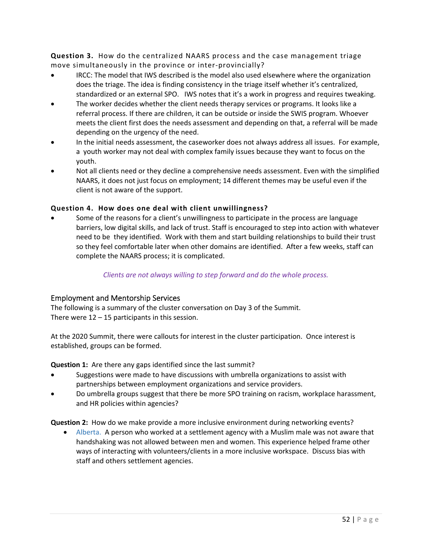**Question 3.** How do the centralized NAARS process and the case management triage move simultaneously in the province or inter‐provincially?

- IRCC: The model that IWS described is the model also used elsewhere where the organization does the triage. The idea is finding consistency in the triage itself whether it's centralized, standardized or an external SPO. IWS notes that it's a work in progress and requires tweaking.
- The worker decides whether the client needs therapy services or programs. It looks like a referral process. If there are children, it can be outside or inside the SWIS program. Whoever meets the client first does the needs assessment and depending on that, a referral will be made depending on the urgency of the need.
- In the initial needs assessment, the caseworker does not always address all issues. For example, a youth worker may not deal with complex family issues because they want to focus on the youth.
- Not all clients need or they decline a comprehensive needs assessment. Even with the simplified NAARS, it does not just focus on employment; 14 different themes may be useful even if the client is not aware of the support.

# **Question 4. How does one deal with client unwillingness?**

 Some of the reasons for a client's unwillingness to participate in the process are language barriers, low digital skills, and lack of trust. Staff is encouraged to step into action with whatever need to be they identified. Work with them and start building relationships to build their trust so they feel comfortable later when other domains are identified. After a few weeks, staff can complete the NAARS process; it is complicated.

### *Clients are not always willing to step forward and do the whole process.*

# Employment and Mentorship Services

The following is a summary of the cluster conversation on Day 3 of the Summit. There were  $12 - 15$  participants in this session.

At the 2020 Summit, there were callouts for interest in the cluster participation. Once interest is established, groups can be formed.

**Question 1:** Are there any gaps identified since the last summit?

- Suggestions were made to have discussions with umbrella organizations to assist with partnerships between employment organizations and service providers.
- Do umbrella groups suggest that there be more SPO training on racism, workplace harassment, and HR policies within agencies?

**Question 2:** How do we make provide a more inclusive environment during networking events?

 Alberta. A person who worked at a settlement agency with a Muslim male was not aware that handshaking was not allowed between men and women. This experience helped frame other ways of interacting with volunteers/clients in a more inclusive workspace. Discuss bias with staff and others settlement agencies.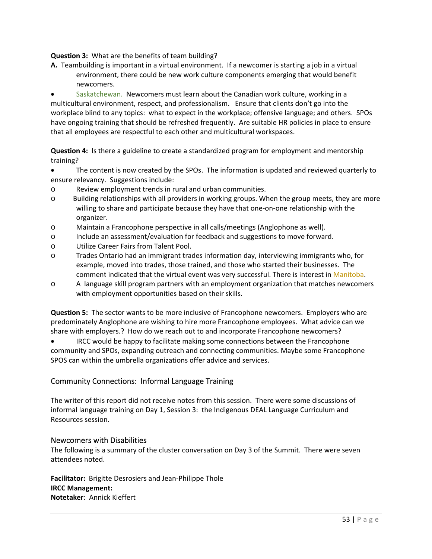**Question 3:** What are the benefits of team building?

**A.** Teambuilding is important in a virtual environment. If a newcomer is starting a job in a virtual environment, there could be new work culture components emerging that would benefit newcomers.

 Saskatchewan. Newcomers must learn about the Canadian work culture, working in a multicultural environment, respect, and professionalism. Ensure that clients don't go into the workplace blind to any topics: what to expect in the workplace; offensive language; and others. SPOs have ongoing training that should be refreshed frequently. Are suitable HR policies in place to ensure that all employees are respectful to each other and multicultural workspaces.

**Question 4:** Is there a guideline to create a standardized program for employment and mentorship training?

- The content is now created by the SPOs. The information is updated and reviewed quarterly to ensure relevancy. Suggestions include:
- o Review employment trends in rural and urban communities.
- o Building relationships with all providers in working groups. When the group meets, they are more willing to share and participate because they have that one-on-one relationship with the organizer.
- o Maintain a Francophone perspective in all calls/meetings (Anglophone as well).
- o Include an assessment/evaluation for feedback and suggestions to move forward.
- o Utilize Career Fairs from Talent Pool.
- o Trades Ontario had an immigrant trades information day, interviewing immigrants who, for example, moved into trades, those trained, and those who started their businesses. The comment indicated that the virtual event was very successful. There is interest in Manitoba.
- o A language skill program partners with an employment organization that matches newcomers with employment opportunities based on their skills.

**Question 5:** The sector wants to be more inclusive of Francophone newcomers. Employers who are predominately Anglophone are wishing to hire more Francophone employees. What advice can we share with employers.? How do we reach out to and incorporate Francophone newcomers?

 IRCC would be happy to facilitate making some connections between the Francophone community and SPOs, expanding outreach and connecting communities. Maybe some Francophone SPOS can within the umbrella organizations offer advice and services.

# Community Connections: Informal Language Training

The writer of this report did not receive notes from this session. There were some discussions of informal language training on Day 1, Session 3: the Indigenous DEAL Language Curriculum and Resources session.

### Newcomers with Disabilities

The following is a summary of the cluster conversation on Day 3 of the Summit. There were seven attendees noted.

**Facilitator:**  Brigitte Desrosiers and Jean‐Philippe Thole **IRCC Management: Notetaker**: Annick Kieffert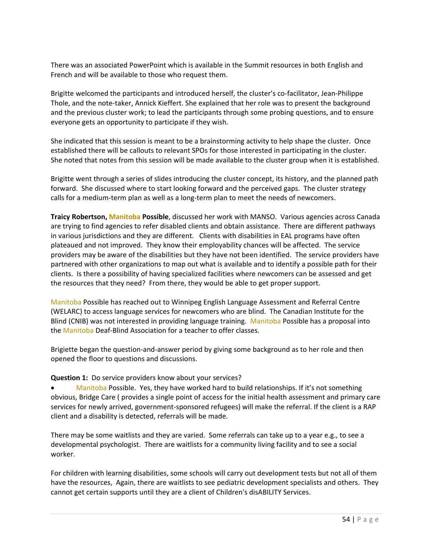There was an associated PowerPoint which is available in the Summit resources in both English and French and will be available to those who request them.

Brigitte welcomed the participants and introduced herself, the cluster's co‐facilitator, Jean‐Philippe Thole, and the note‐taker, Annick Kieffert. She explained that her role was to present the background and the previous cluster work; to lead the participants through some probing questions, and to ensure everyone gets an opportunity to participate if they wish.

She indicated that this session is meant to be a brainstorming activity to help shape the cluster. Once established there will be callouts to relevant SPOs for those interested in participating in the cluster. She noted that notes from this session will be made available to the cluster group when it is established.

Brigitte went through a series of slides introducing the cluster concept, its history, and the planned path forward. She discussed where to start looking forward and the perceived gaps. The cluster strategy calls for a medium‐term plan as well as a long‐term plan to meet the needs of newcomers.

**Traicy Robertson, Manitoba Possible**, discussed her work with MANSO. Various agencies across Canada are trying to find agencies to refer disabled clients and obtain assistance. There are different pathways in various jurisdictions and they are different. Clients with disabilities in EAL programs have often plateaued and not improved. They know their employability chances will be affected. The service providers may be aware of the disabilities but they have not been identified. The service providers have partnered with other organizations to map out what is available and to identify a possible path for their clients. Is there a possibility of having specialized facilities where newcomers can be assessed and get the resources that they need? From there, they would be able to get proper support.

Manitoba Possible has reached out to Winnipeg English Language Assessment and Referral Centre (WELARC) to access language services for newcomers who are blind. The Canadian Institute for the Blind (CNIB) was not interested in providing language training. Manitoba Possible has a proposal into the Manitoba Deaf-Blind Association for a teacher to offer classes.

Brigiette began the question‐and‐answer period by giving some background as to her role and then opened the floor to questions and discussions.

### **Question 1:** Do service providers know about your services?

 Manitoba Possible. Yes, they have worked hard to build relationships. If it's not something obvious, Bridge Care ( provides a single point of access for the initial health assessment and primary care services for newly arrived, government-sponsored refugees) will make the referral. If the client is a RAP client and a disability is detected, referrals will be made.

There may be some waitlists and they are varied. Some referrals can take up to a year e.g., to see a developmental psychologist. There are waitlists for a community living facility and to see a social worker.

For children with learning disabilities, some schools will carry out development tests but not all of them have the resources, Again, there are waitlists to see pediatric development specialists and others. They cannot get certain supports until they are a client of Children's disABILITY Services.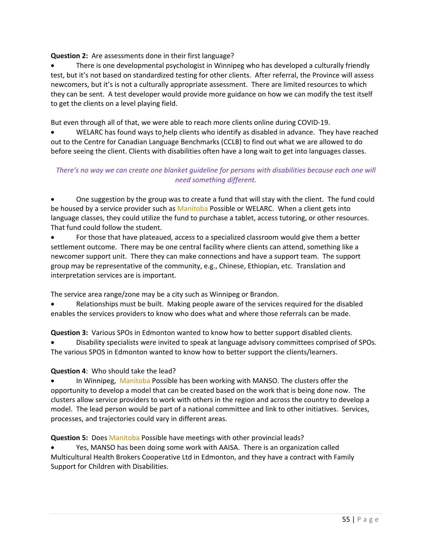**Question 2:** Are assessments done in their first language?

 There is one developmental psychologist in Winnipeg who has developed a culturally friendly test, but it's not based on standardized testing for other clients. After referral, the Province will assess newcomers, but it's is not a culturally appropriate assessment. There are limited resources to which they can be sent. A test developer would provide more guidance on how we can modify the test itself to get the clients on a level playing field.

But even through all of that, we were able to reach more clients online during COVID‐19.

 WELARC has found ways to help clients who identify as disabled in advance. They have reached out to the Centre for Canadian Language Benchmarks (CCLB) to find out what we are allowed to do before seeing the client. Clients with disabilities often have a long wait to get into languages classes.

# *There's no way we can create one blanket guideline for persons with disabilities because each one will need something different.*

 One suggestion by the group was to create a fund that will stay with the client. The fund could be housed by a service provider such as Manitoba Possible or WELARC. When a client gets into language classes, they could utilize the fund to purchase a tablet, access tutoring, or other resources. That fund could follow the student.

 For those that have plateaued, access to a specialized classroom would give them a better settlement outcome. There may be one central facility where clients can attend, something like a newcomer support unit. There they can make connections and have a support team. The support group may be representative of the community, e.g., Chinese, Ethiopian, etc. Translation and interpretation services are is important.

The service area range/zone may be a city such as Winnipeg or Brandon.

 Relationships must be built. Making people aware of the services required for the disabled enables the services providers to know who does what and where those referrals can be made.

**Question 3:** Various SPOs in Edmonton wanted to know how to better support disabled clients.

 Disability specialists were invited to speak at language advisory committees comprised of SPOs. The various SPOS in Edmonton wanted to know how to better support the clients/learners.

**Question 4**: Who should take the lead?

 In Winnipeg, Manitoba Possible has been working with MANSO. The clusters offer the opportunity to develop a model that can be created based on the work that is being done now. The clusters allow service providers to work with others in the region and across the country to develop a model. The lead person would be part of a national committee and link to other initiatives. Services, processes, and trajectories could vary in different areas.

**Question 5:** Does Manitoba Possible have meetings with other provincial leads?

 Yes, MANSO has been doing some work with AAISA. There is an organization called Multicultural Health Brokers Cooperative Ltd in Edmonton, and they have a contract with Family Support for Children with Disabilities.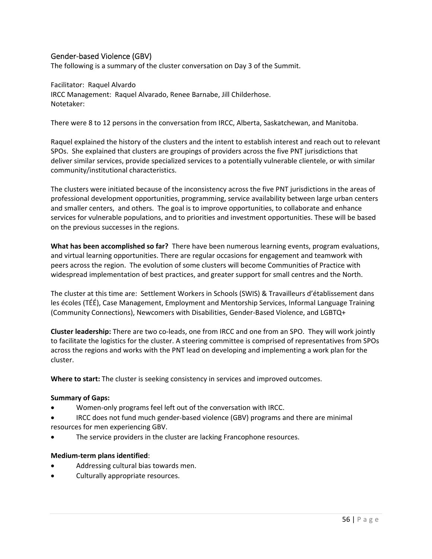# Gender‐based Violence (GBV)

The following is a summary of the cluster conversation on Day 3 of the Summit.

Facilitator: Raquel Alvardo IRCC Management: Raquel Alvarado, Renee Barnabe, Jill Childerhose. Notetaker:

There were 8 to 12 persons in the conversation from IRCC, Alberta, Saskatchewan, and Manitoba.

Raquel explained the history of the clusters and the intent to establish interest and reach out to relevant SPOs. She explained that clusters are groupings of providers across the five PNT jurisdictions that deliver similar services, provide specialized services to a potentially vulnerable clientele, or with similar community/institutional characteristics.

The clusters were initiated because of the inconsistency across the five PNT jurisdictions in the areas of professional development opportunities, programming, service availability between large urban centers and smaller centers, and others. The goal is to improve opportunities, to collaborate and enhance services for vulnerable populations, and to priorities and investment opportunities. These will be based on the previous successes in the regions.

**What has been accomplished so far?** There have been numerous learning events, program evaluations, and virtual learning opportunities. There are regular occasions for engagement and teamwork with peers across the region. The evolution of some clusters will become Communities of Practice with widespread implementation of best practices, and greater support for small centres and the North.

The cluster at this time are: Settlement Workers in Schools (SWIS) & Travailleurs d'établissement dans les écoles (TÉÉ), Case Management, Employment and Mentorship Services, Informal Language Training (Community Connections), Newcomers with Disabilities, Gender‐Based Violence, and LGBTQ+

**Cluster leadership:** There are two co-leads, one from IRCC and one from an SPO. They will work jointly to facilitate the logistics for the cluster. A steering committee is comprised of representatives from SPOs across the regions and works with the PNT lead on developing and implementing a work plan for the cluster.

**Where to start:** The cluster is seeking consistency in services and improved outcomes.

#### **Summary of Gaps:**

- Women‐only programs feel left out of the conversation with IRCC.
- IRCC does not fund much gender‐based violence (GBV) programs and there are minimal resources for men experiencing GBV.
- The service providers in the cluster are lacking Francophone resources.

#### **Medium‐term plans identified**:

- Addressing cultural bias towards men.
- Culturally appropriate resources.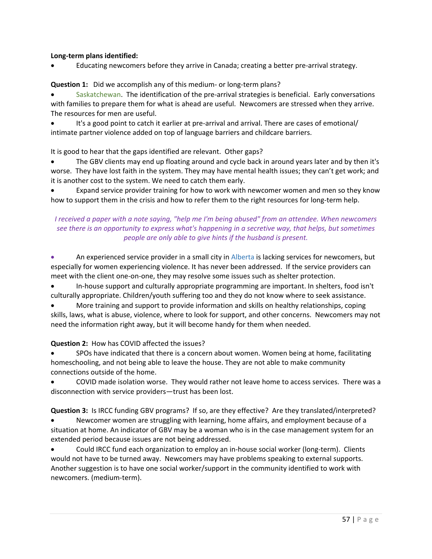## **Long‐term plans identified:**

Educating newcomers before they arrive in Canada; creating a better pre‐arrival strategy.

# **Question 1:** Did we accomplish any of this medium- or long-term plans?

Saskatchewan. The identification of the pre-arrival strategies is beneficial. Early conversations with families to prepare them for what is ahead are useful. Newcomers are stressed when they arrive. The resources for men are useful.

 It's a good point to catch it earlier at pre‐arrival and arrival. There are cases of emotional/ intimate partner violence added on top of language barriers and childcare barriers.

It is good to hear that the gaps identified are relevant. Other gaps?

• The GBV clients may end up floating around and cycle back in around years later and by then it's worse. They have lost faith in the system. They may have mental health issues; they can't get work; and it is another cost to the system. We need to catch them early.

 Expand service provider training for how to work with newcomer women and men so they know how to support them in the crisis and how to refer them to the right resources for long-term help.

# *I received a paper with a note saying, "help me I'm being abused" from an attendee. When newcomers see there is an opportunity to express what's happening in a secretive way, that helps, but sometimes people are only able to give hints if the husband is present.*

 An experienced service provider in a small city in Alberta is lacking services for newcomers, but especially for women experiencing violence. It has never been addressed. If the service providers can meet with the client one-on-one, they may resolve some issues such as shelter protection.

 In‐house support and culturally appropriate programming are important. In shelters, food isn't culturally appropriate. Children/youth suffering too and they do not know where to seek assistance.

 More training and support to provide information and skills on healthy relationships, coping skills, laws, what is abuse, violence, where to look for support, and other concerns. Newcomers may not need the information right away, but it will become handy for them when needed.

# **Question 2:** How has COVID affected the issues?

 SPOs have indicated that there is a concern about women. Women being at home, facilitating homeschooling, and not being able to leave the house. They are not able to make community connections outside of the home.

 COVID made isolation worse. They would rather not leave home to access services. There was a disconnection with service providers—trust has been lost.

**Question 3:** Is IRCC funding GBV programs? If so, are they effective? Are they translated/interpreted?

 Newcomer women are struggling with learning, home affairs, and employment because of a situation at home. An indicator of GBV may be a woman who is in the case management system for an extended period because issues are not being addressed.

 Could IRCC fund each organization to employ an in‐house social worker (long‐term). Clients would not have to be turned away. Newcomers may have problems speaking to external supports. Another suggestion is to have one social worker/support in the community identified to work with newcomers. (medium‐term).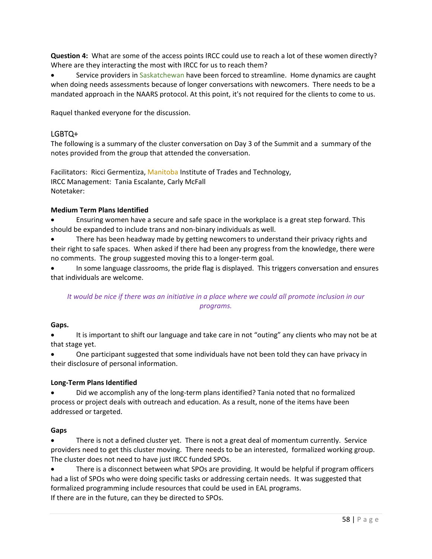**Question 4:** What are some of the access points IRCC could use to reach a lot of these women directly? Where are they interacting the most with IRCC for us to reach them?

 Service providers in Saskatchewan have been forced to streamline. Home dynamics are caught when doing needs assessments because of longer conversations with newcomers. There needs to be a mandated approach in the NAARS protocol. At this point, it's not required for the clients to come to us.

Raquel thanked everyone for the discussion.

# LGBTQ+

The following is a summary of the cluster conversation on Day 3 of the Summit and a summary of the notes provided from the group that attended the conversation.

Facilitators: Ricci Germentiza, Manitoba Institute of Trades and Technology, IRCC Management: Tania Escalante, Carly McFall Notetaker:

### **Medium Term Plans Identified**

 Ensuring women have a secure and safe space in the workplace is a great step forward. This should be expanded to include trans and non‐binary individuals as well.

 There has been headway made by getting newcomers to understand their privacy rights and their right to safe spaces. When asked if there had been any progress from the knowledge, there were no comments. The group suggested moving this to a longer‐term goal.

 In some language classrooms, the pride flag is displayed. This triggers conversation and ensures that individuals are welcome.

# *It would be nice if there was an initiative in a place where we could all promote inclusion in our programs.*

### Gaps.

 It is important to shift our language and take care in not "outing" any clients who may not be at that stage yet.

 One participant suggested that some individuals have not been told they can have privacy in their disclosure of personal information.

# **Long‐Term Plans Identified**

● Did we accomplish any of the long-term plans identified? Tania noted that no formalized process or project deals with outreach and education. As a result, none of the items have been addressed or targeted.

### **Gaps**

 There is not a defined cluster yet. There is not a great deal of momentum currently. Service providers need to get this cluster moving. There needs to be an interested, formalized working group. The cluster does not need to have just IRCC funded SPOs.

 There is a disconnect between what SPOs are providing. It would be helpful if program officers had a list of SPOs who were doing specific tasks or addressing certain needs. It was suggested that formalized programming include resources that could be used in EAL programs. If there are in the future, can they be directed to SPOs.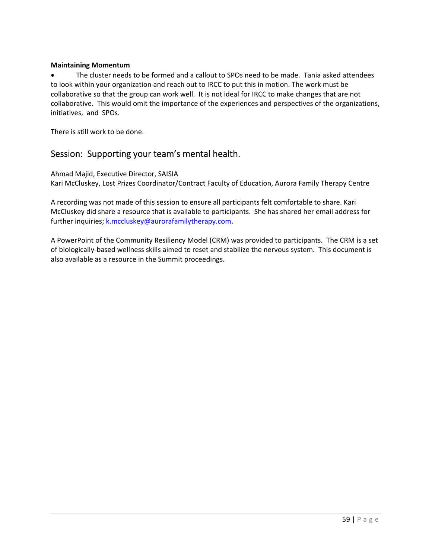## **Maintaining Momentum**

 The cluster needs to be formed and a callout to SPOs need to be made. Tania asked attendees to look within your organization and reach out to IRCC to put this in motion. The work must be collaborative so that the group can work well. It is not ideal for IRCC to make changes that are not collaborative. This would omit the importance of the experiences and perspectives of the organizations, initiatives, and SPOs.

There is still work to be done.

# Session: Supporting your team's mental health.

Ahmad Majid, Executive Director, SAISIA Kari McCluskey, Lost Prizes Coordinator/Contract Faculty of Education, Aurora Family Therapy Centre

A recording was not made of this session to ensure all participants felt comfortable to share. Kari McCluskey did share a resource that is available to participants. She has shared her email address for further inquiries; k.mccluskey@aurorafamilytherapy.com.

A PowerPoint of the Community Resiliency Model (CRM) was provided to participants. The CRM is a set of biologically‐based wellness skills aimed to reset and stabilize the nervous system. This document is also available as a resource in the Summit proceedings.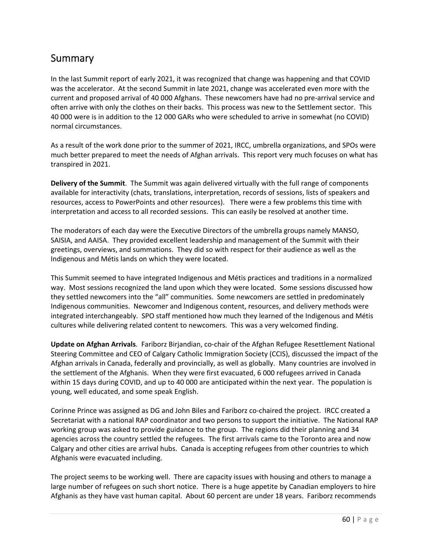# Summary

In the last Summit report of early 2021, it was recognized that change was happening and that COVID was the accelerator. At the second Summit in late 2021, change was accelerated even more with the current and proposed arrival of 40 000 Afghans. These newcomers have had no pre‐arrival service and often arrive with only the clothes on their backs. This process was new to the Settlement sector. This 40 000 were is in addition to the 12 000 GARs who were scheduled to arrive in somewhat (no COVID) normal circumstances.

As a result of the work done prior to the summer of 2021, IRCC, umbrella organizations, and SPOs were much better prepared to meet the needs of Afghan arrivals. This report very much focuses on what has transpired in 2021.

**Delivery of the Summit**. The Summit was again delivered virtually with the full range of components available for interactivity (chats, translations, interpretation, records of sessions, lists of speakers and resources, access to PowerPoints and other resources). There were a few problems this time with interpretation and access to all recorded sessions. This can easily be resolved at another time.

The moderators of each day were the Executive Directors of the umbrella groups namely MANSO, SAISIA, and AAISA. They provided excellent leadership and management of the Summit with their greetings, overviews, and summations. They did so with respect for their audience as well as the Indigenous and Métis lands on which they were located.

This Summit seemed to have integrated Indigenous and Métis practices and traditions in a normalized way. Most sessions recognized the land upon which they were located. Some sessions discussed how they settled newcomers into the "all" communities. Some newcomers are settled in predominately Indigenous communities. Newcomer and Indigenous content, resources, and delivery methods were integrated interchangeably. SPO staff mentioned how much they learned of the Indigenous and Métis cultures while delivering related content to newcomers. This was a very welcomed finding.

**Update on Afghan Arrivals**. Fariborz Birjandian, co‐chair of the Afghan Refugee Resettlement National Steering Committee and CEO of Calgary Catholic Immigration Society (CCIS), discussed the impact of the Afghan arrivals in Canada, federally and provincially, as well as globally. Many countries are involved in the settlement of the Afghanis. When they were first evacuated, 6 000 refugees arrived in Canada within 15 days during COVID, and up to 40 000 are anticipated within the next year. The population is young, well educated, and some speak English.

Corinne Prince was assigned as DG and John Biles and Fariborz co‐chaired the project. IRCC created a Secretariat with a national RAP coordinator and two persons to support the initiative. The National RAP working group was asked to provide guidance to the group. The regions did their planning and 34 agencies across the country settled the refugees. The first arrivals came to the Toronto area and now Calgary and other cities are arrival hubs. Canada is accepting refugees from other countries to which Afghanis were evacuated including.

The project seems to be working well. There are capacity issues with housing and others to manage a large number of refugees on such short notice. There is a huge appetite by Canadian employers to hire Afghanis as they have vast human capital. About 60 percent are under 18 years. Fariborz recommends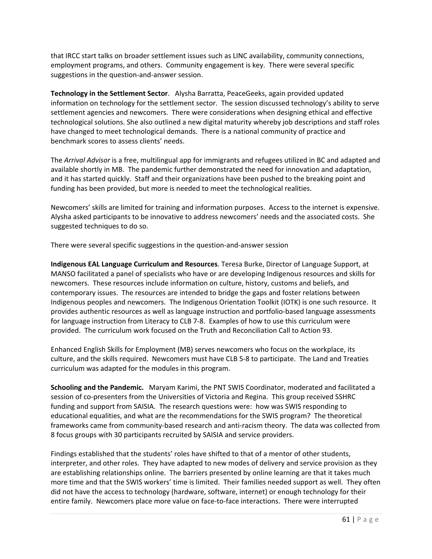that IRCC start talks on broader settlement issues such as LINC availability, community connections, employment programs, and others. Community engagement is key. There were several specific suggestions in the question‐and‐answer session.

**Technology in the Settlement Sector**. Alysha Barratta, PeaceGeeks, again provided updated information on technology for the settlement sector. The session discussed technology's ability to serve settlement agencies and newcomers. There were considerations when designing ethical and effective technological solutions. She also outlined a new digital maturity whereby job descriptions and staff roles have changed to meet technological demands. There is a national community of practice and benchmark scores to assess clients' needs.

The *Arrival Advisor* is a free, multilingual app for immigrants and refugees utilized in BC and adapted and available shortly in MB. The pandemic further demonstrated the need for innovation and adaptation, and it has started quickly. Staff and their organizations have been pushed to the breaking point and funding has been provided, but more is needed to meet the technological realities.

Newcomers' skills are limited for training and information purposes. Access to the internet is expensive. Alysha asked participants to be innovative to address newcomers' needs and the associated costs. She suggested techniques to do so.

There were several specific suggestions in the question‐and‐answer session

**Indigenous EAL Language Curriculum and Resources**. Teresa Burke, Director of Language Support, at MANSO facilitated a panel of specialists who have or are developing Indigenous resources and skills for newcomers. These resources include information on culture, history, customs and beliefs, and contemporary issues. The resources are intended to bridge the gaps and foster relations between Indigenous peoples and newcomers. The Indigenous Orientation Toolkit (IOTK) is one such resource. It provides authentic resources as well as language instruction and portfolio‐based language assessments for language instruction from Literacy to CLB 7-8. Examples of how to use this curriculum were provided. The curriculum work focused on the Truth and Reconciliation Call to Action 93.

Enhanced English Skills for Employment (MB) serves newcomers who focus on the workplace, its culture, and the skills required. Newcomers must have CLB 5‐8 to participate. The Land and Treaties curriculum was adapted for the modules in this program.

**Schooling and the Pandemic.**  Maryam Karimi, the PNT SWIS Coordinator, moderated and facilitated a session of co‐presenters from the Universities of Victoria and Regina. This group received SSHRC funding and support from SAISIA. The research questions were: how was SWIS responding to educational equalities, and what are the recommendations for the SWIS program? The theoretical frameworks came from community‐based research and anti‐racism theory. The data was collected from 8 focus groups with 30 participants recruited by SAISIA and service providers.

Findings established that the students' roles have shifted to that of a mentor of other students, interpreter, and other roles. They have adapted to new modes of delivery and service provision as they are establishing relationships online. The barriers presented by online learning are that it takes much more time and that the SWIS workers' time is limited. Their families needed support as well. They often did not have the access to technology (hardware, software, internet) or enough technology for their entire family. Newcomers place more value on face-to-face interactions. There were interrupted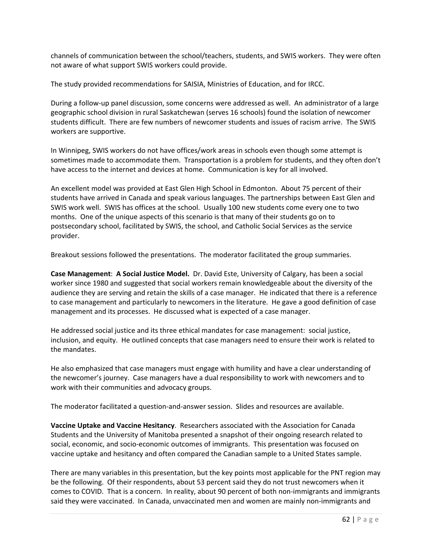channels of communication between the school/teachers, students, and SWIS workers. They were often not aware of what support SWIS workers could provide.

The study provided recommendations for SAISIA, Ministries of Education, and for IRCC.

During a follow‐up panel discussion, some concerns were addressed as well. An administrator of a large geographic school division in rural Saskatchewan (serves 16 schools) found the isolation of newcomer students difficult. There are few numbers of newcomer students and issues of racism arrive. The SWIS workers are supportive.

In Winnipeg, SWIS workers do not have offices/work areas in schools even though some attempt is sometimes made to accommodate them. Transportation is a problem for students, and they often don't have access to the internet and devices at home. Communication is key for all involved.

An excellent model was provided at East Glen High School in Edmonton. About 75 percent of their students have arrived in Canada and speak various languages. The partnerships between East Glen and SWIS work well. SWIS has offices at the school. Usually 100 new students come every one to two months. One of the unique aspects of this scenario is that many of their students go on to postsecondary school, facilitated by SWIS, the school, and Catholic Social Services as the service provider.

Breakout sessions followed the presentations. The moderator facilitated the group summaries.

**Case Management**: **A Social Justice Model.** Dr. David Este, University of Calgary, has been a social worker since 1980 and suggested that social workers remain knowledgeable about the diversity of the audience they are serving and retain the skills of a case manager. He indicated that there is a reference to case management and particularly to newcomers in the literature. He gave a good definition of case management and its processes. He discussed what is expected of a case manager.

He addressed social justice and its three ethical mandates for case management: social justice, inclusion, and equity. He outlined concepts that case managers need to ensure their work is related to the mandates.

He also emphasized that case managers must engage with humility and have a clear understanding of the newcomer's journey. Case managers have a dual responsibility to work with newcomers and to work with their communities and advocacy groups.

The moderator facilitated a question‐and‐answer session. Slides and resources are available.

**Vaccine Uptake and Vaccine Hesitancy**. Researchers associated with the Association for Canada Students and the University of Manitoba presented a snapshot of their ongoing research related to social, economic, and socio‐economic outcomes of immigrants. This presentation was focused on vaccine uptake and hesitancy and often compared the Canadian sample to a United States sample.

There are many variables in this presentation, but the key points most applicable for the PNT region may be the following. Of their respondents, about 53 percent said they do not trust newcomers when it comes to COVID. That is a concern. In reality, about 90 percent of both non‐immigrants and immigrants said they were vaccinated. In Canada, unvaccinated men and women are mainly non-immigrants and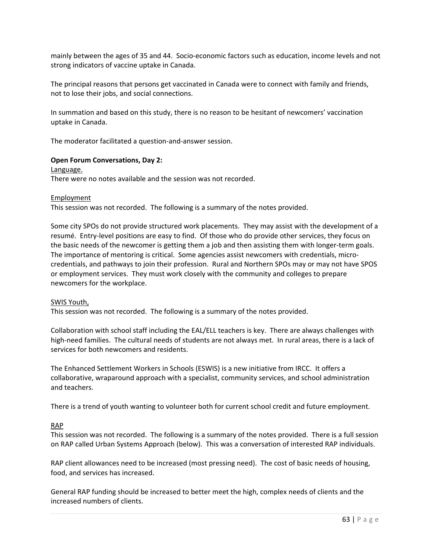mainly between the ages of 35 and 44. Socio‐economic factors such as education, income levels and not strong indicators of vaccine uptake in Canada.

The principal reasons that persons get vaccinated in Canada were to connect with family and friends, not to lose their jobs, and social connections.

In summation and based on this study, there is no reason to be hesitant of newcomers' vaccination uptake in Canada.

The moderator facilitated a question‐and‐answer session.

#### **Open Forum Conversations, Day 2:**

Language.

There were no notes available and the session was not recorded.

**Employment** 

This session was not recorded. The following is a summary of the notes provided.

Some city SPOs do not provide structured work placements. They may assist with the development of a resumé. Entry‐level positions are easy to find. Of those who do provide other services, they focus on the basic needs of the newcomer is getting them a job and then assisting them with longer-term goals. The importance of mentoring is critical. Some agencies assist newcomers with credentials, micro‐ credentials, and pathways to join their profession. Rural and Northern SPOs may or may not have SPOS or employment services. They must work closely with the community and colleges to prepare newcomers for the workplace.

#### SWIS Youth,

This session was not recorded. The following is a summary of the notes provided.

Collaboration with school staff including the EAL/ELL teachers is key. There are always challenges with high-need families. The cultural needs of students are not always met. In rural areas, there is a lack of services for both newcomers and residents.

The Enhanced Settlement Workers in Schools (ESWIS) is a new initiative from IRCC. It offers a collaborative, wraparound approach with a specialist, community services, and school administration and teachers.

There is a trend of youth wanting to volunteer both for current school credit and future employment.

### RAP

This session was not recorded. The following is a summary of the notes provided. There is a full session on RAP called Urban Systems Approach (below). This was a conversation of interested RAP individuals.

RAP client allowances need to be increased (most pressing need). The cost of basic needs of housing, food, and services has increased.

General RAP funding should be increased to better meet the high, complex needs of clients and the increased numbers of clients.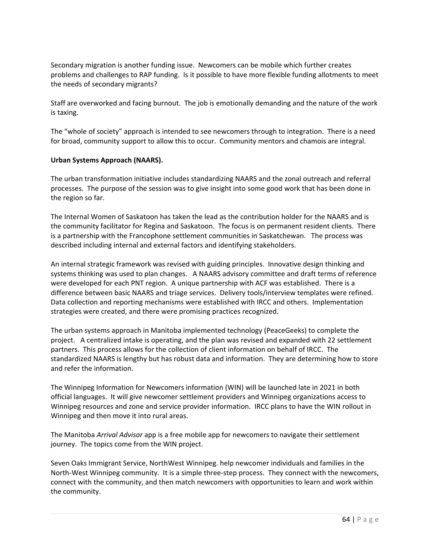Secondary migration is another funding issue. Newcomers can be mobile which further creates problems and challenges to RAP funding. Is it possible to have more flexible funding allotments to meet the needs of secondary migrants?

Staff are overworked and facing burnout. The job is emotionally demanding and the nature of the work is taxing.

The "whole of society" approach is intended to see newcomers through to integration. There is a need for broad, community support to allow this to occur. Community mentors and chamois are integral.

### **Urban Systems Approach (NAARS).**

The urban transformation initiative includes standardizing NAARS and the zonal outreach and referral processes. The purpose of the session was to give insight into some good work that has been done in the region so far.

The Internal Women of Saskatoon has taken the lead as the contribution holder for the NAARS and is the community facilitator for Regina and Saskatoon. The focus is on permanent resident clients. There is a partnership with the Francophone settlement communities in Saskatchewan. The process was described including internal and external factors and identifying stakeholders.

An internal strategic framework was revised with guiding principles. Innovative design thinking and systems thinking was used to plan changes. A NAARS advisory committee and draft terms of reference were developed for each PNT region. A unique partnership with ACF was established. There is a difference between basic NAARS and triage services. Delivery tools/interview templates were refined. Data collection and reporting mechanisms were established with IRCC and others. Implementation strategies were created, and there were promising practices recognized.

The urban systems approach in Manitoba implemented technology (PeaceGeeks) to complete the project. A centralized intake is operating, and the plan was revised and expanded with 22 settlement partners. This process allows for the collection of client information on behalf of IRCC. The standardized NAARS is lengthy but has robust data and information. They are determining how to store and refer the information.

The Winnipeg Information for Newcomers information (WIN) will be launched late in 2021 in both official languages. It will give newcomer settlement providers and Winnipeg organizations access to Winnipeg resources and zone and service provider information. IRCC plans to have the WIN rollout in Winnipeg and then move it into rural areas.

The Manitoba *Arrival Advisor* app is a free mobile app for newcomers to navigate their settlement journey. The topics come from the WIN project.

Seven Oaks Immigrant Service, NorthWest Winnipeg. help newcomer individuals and families in the North‐West Winnipeg community. It is a simple three‐step process. They connect with the newcomers, connect with the community, and then match newcomers with opportunities to learn and work within the community.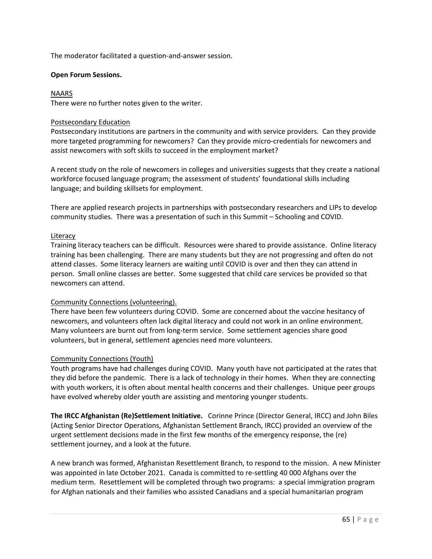The moderator facilitated a question‐and‐answer session.

#### **Open Forum Sessions.**

#### NAARS

There were no further notes given to the writer.

#### Postsecondary Education

Postsecondary institutions are partners in the community and with service providers. Can they provide more targeted programming for newcomers? Can they provide micro-credentials for newcomers and assist newcomers with soft skills to succeed in the employment market?

A recent study on the role of newcomers in colleges and universities suggests that they create a national workforce focused language program; the assessment of students' foundational skills including language; and building skillsets for employment.

There are applied research projects in partnerships with postsecondary researchers and LIPs to develop community studies. There was a presentation of such in this Summit – Schooling and COVID.

#### Literacy

Training literacy teachers can be difficult. Resources were shared to provide assistance. Online literacy training has been challenging. There are many students but they are not progressing and often do not attend classes. Some literacy learners are waiting until COVID is over and then they can attend in person. Small online classes are better. Some suggested that child care services be provided so that newcomers can attend.

#### Community Connections (volunteering).

There have been few volunteers during COVID. Some are concerned about the vaccine hesitancy of newcomers, and volunteers often lack digital literacy and could not work in an online environment. Many volunteers are burnt out from long‐term service. Some settlement agencies share good volunteers, but in general, settlement agencies need more volunteers.

### Community Connections (Youth)

Youth programs have had challenges during COVID. Many youth have not participated at the rates that they did before the pandemic. There is a lack of technology in their homes. When they are connecting with youth workers, it is often about mental health concerns and their challenges. Unique peer groups have evolved whereby older youth are assisting and mentoring younger students.

**The IRCC Afghanistan (Re)Settlement Initiative.** Corinne Prince (Director General, IRCC) and John Biles (Acting Senior Director Operations, Afghanistan Settlement Branch, IRCC) provided an overview of the urgent settlement decisions made in the first few months of the emergency response, the (re) settlement journey, and a look at the future.

A new branch was formed, Afghanistan Resettlement Branch, to respond to the mission. A new Minister was appointed in late October 2021. Canada is committed to re-settling 40 000 Afghans over the medium term. Resettlement will be completed through two programs: a special immigration program for Afghan nationals and their families who assisted Canadians and a special humanitarian program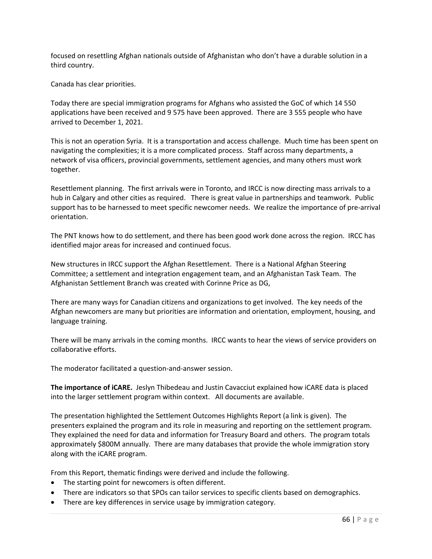focused on resettling Afghan nationals outside of Afghanistan who don't have a durable solution in a third country.

Canada has clear priorities.

Today there are special immigration programs for Afghans who assisted the GoC of which 14 550 applications have been received and 9 575 have been approved. There are 3 555 people who have arrived to December 1, 2021.

This is not an operation Syria. It is a transportation and access challenge. Much time has been spent on navigating the complexities; it is a more complicated process. Staff across many departments, a network of visa officers, provincial governments, settlement agencies, and many others must work together.

Resettlement planning. The first arrivals were in Toronto, and IRCC is now directing mass arrivals to a hub in Calgary and other cities as required. There is great value in partnerships and teamwork. Public support has to be harnessed to meet specific newcomer needs. We realize the importance of pre-arrival orientation.

The PNT knows how to do settlement, and there has been good work done across the region. IRCC has identified major areas for increased and continued focus.

New structures in IRCC support the Afghan Resettlement. There is a National Afghan Steering Committee; a settlement and integration engagement team, and an Afghanistan Task Team. The Afghanistan Settlement Branch was created with Corinne Price as DG,

There are many ways for Canadian citizens and organizations to get involved. The key needs of the Afghan newcomers are many but priorities are information and orientation, employment, housing, and language training.

There will be many arrivals in the coming months. IRCC wants to hear the views of service providers on collaborative efforts.

The moderator facilitated a question‐and‐answer session.

**The importance of iCARE.** Jeslyn Thibedeau and Justin Cavacciut explained how iCARE data is placed into the larger settlement program within context. All documents are available.

The presentation highlighted the Settlement Outcomes Highlights Report (a link is given). The presenters explained the program and its role in measuring and reporting on the settlement program. They explained the need for data and information for Treasury Board and others. The program totals approximately \$800M annually. There are many databases that provide the whole immigration story along with the iCARE program.

From this Report, thematic findings were derived and include the following.

- The starting point for newcomers is often different.
- There are indicators so that SPOs can tailor services to specific clients based on demographics.
- There are key differences in service usage by immigration category.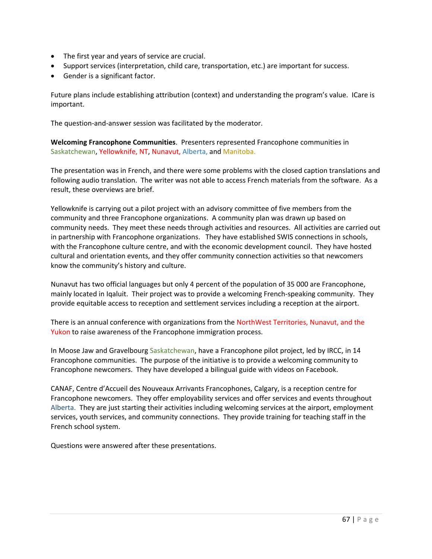- The first year and years of service are crucial.
- Support services (interpretation, child care, transportation, etc.) are important for success.
- Gender is a significant factor.

Future plans include establishing attribution (context) and understanding the program's value. ICare is important.

The question‐and‐answer session was facilitated by the moderator.

**Welcoming Francophone Communities**. Presenters represented Francophone communities in Saskatchewan, Yellowknife, NT, Nunavut, Alberta, and Manitoba.

The presentation was in French, and there were some problems with the closed caption translations and following audio translation. The writer was not able to access French materials from the software. As a result, these overviews are brief.

Yellowknife is carrying out a pilot project with an advisory committee of five members from the community and three Francophone organizations. A community plan was drawn up based on community needs. They meet these needs through activities and resources. All activities are carried out in partnership with Francophone organizations. They have established SWIS connections in schools, with the Francophone culture centre, and with the economic development council. They have hosted cultural and orientation events, and they offer community connection activities so that newcomers know the community's history and culture.

Nunavut has two official languages but only 4 percent of the population of 35 000 are Francophone, mainly located in Iqaluit. Their project was to provide a welcoming French‐speaking community. They provide equitable access to reception and settlement services including a reception at the airport.

There is an annual conference with organizations from the NorthWest Territories, Nunavut, and the Yukon to raise awareness of the Francophone immigration process.

In Moose Jaw and Gravelbourg Saskatchewan, have a Francophone pilot project, led by IRCC, in 14 Francophone communities. The purpose of the initiative is to provide a welcoming community to Francophone newcomers. They have developed a bilingual guide with videos on Facebook.

CANAF, Centre d'Accueil des Nouveaux Arrivants Francophones, Calgary, is a reception centre for Francophone newcomers. They offer employability services and offer services and events throughout Alberta. They are just starting their activities including welcoming services at the airport, employment services, youth services, and community connections. They provide training for teaching staff in the French school system.

Questions were answered after these presentations.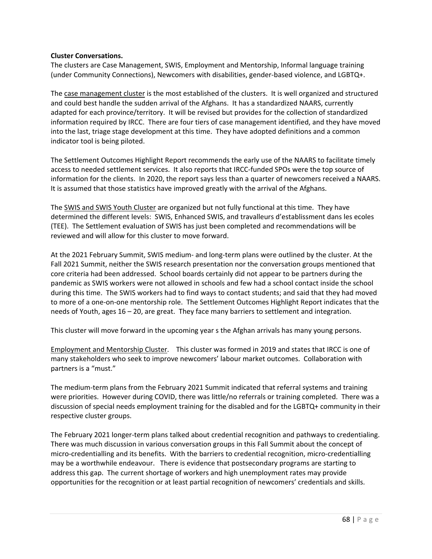#### **Cluster Conversations.**

The clusters are Case Management, SWIS, Employment and Mentorship, Informal language training (under Community Connections), Newcomers with disabilities, gender‐based violence, and LGBTQ+.

The case management cluster is the most established of the clusters. It is well organized and structured and could best handle the sudden arrival of the Afghans. It has a standardized NAARS, currently adapted for each province/territory. It will be revised but provides for the collection of standardized information required by IRCC. There are four tiers of case management identified, and they have moved into the last, triage stage development at this time. They have adopted definitions and a common indicator tool is being piloted.

The Settlement Outcomes Highlight Report recommends the early use of the NAARS to facilitate timely access to needed settlement services. It also reports that IRCC‐funded SPOs were the top source of information for the clients. In 2020, the report says less than a quarter of newcomers received a NAARS. It is assumed that those statistics have improved greatly with the arrival of the Afghans.

The SWIS and SWIS Youth Cluster are organized but not fully functional at this time. They have determined the different levels: SWIS, Enhanced SWIS, and travalleurs d'establissment dans les ecoles (TEE). The Settlement evaluation of SWIS has just been completed and recommendations will be reviewed and will allow for this cluster to move forward.

At the 2021 February Summit, SWIS medium‐ and long‐term plans were outlined by the cluster. At the Fall 2021 Summit, neither the SWIS research presentation nor the conversation groups mentioned that core criteria had been addressed. School boards certainly did not appear to be partners during the pandemic as SWIS workers were not allowed in schools and few had a school contact inside the school during this time. The SWIS workers had to find ways to contact students; and said that they had moved to more of a one‐on‐one mentorship role. The Settlement Outcomes Highlight Report indicates that the needs of Youth, ages 16 – 20, are great. They face many barriers to settlement and integration.

This cluster will move forward in the upcoming year s the Afghan arrivals has many young persons.

Employment and Mentorship Cluster. This cluster was formed in 2019 and states that IRCC is one of many stakeholders who seek to improve newcomers' labour market outcomes. Collaboration with partners is a "must."

The medium‐term plans from the February 2021 Summit indicated that referral systems and training were priorities. However during COVID, there was little/no referrals or training completed. There was a discussion of special needs employment training for the disabled and for the LGBTQ+ community in their respective cluster groups.

The February 2021 longer‐term plans talked about credential recognition and pathways to credentialing. There was much discussion in various conversation groups in this Fall Summit about the concept of micro‐credentialling and its benefits. With the barriers to credential recognition, micro‐credentialling may be a worthwhile endeavour. There is evidence that postsecondary programs are starting to address this gap. The current shortage of workers and high unemployment rates may provide opportunities for the recognition or at least partial recognition of newcomers' credentials and skills.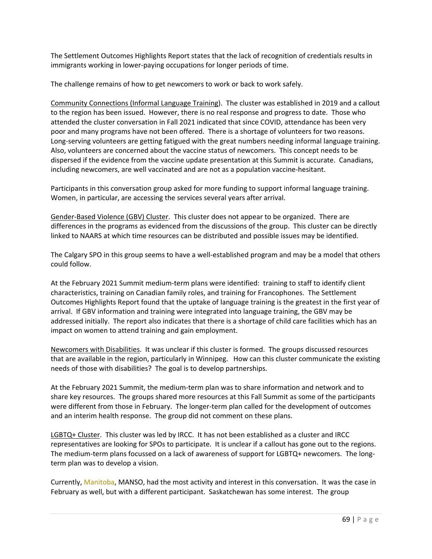The Settlement Outcomes Highlights Report states that the lack of recognition of credentials results in immigrants working in lower-paying occupations for longer periods of time.

The challenge remains of how to get newcomers to work or back to work safely.

Community Connections (Informal Language Training). The cluster was established in 2019 and a callout to the region has been issued. However, there is no real response and progress to date. Those who attended the cluster conversation in Fall 2021 indicated that since COVID, attendance has been very poor and many programs have not been offered. There is a shortage of volunteers for two reasons. Long-serving volunteers are getting fatigued with the great numbers needing informal language training. Also, volunteers are concerned about the vaccine status of newcomers. This concept needs to be dispersed if the evidence from the vaccine update presentation at this Summit is accurate. Canadians, including newcomers, are well vaccinated and are not as a population vaccine‐hesitant.

Participants in this conversation group asked for more funding to support informal language training. Women, in particular, are accessing the services several years after arrival.

Gender‐Based Violence (GBV) Cluster. This cluster does not appear to be organized. There are differences in the programs as evidenced from the discussions of the group. This cluster can be directly linked to NAARS at which time resources can be distributed and possible issues may be identified.

The Calgary SPO in this group seems to have a well‐established program and may be a model that others could follow.

At the February 2021 Summit medium‐term plans were identified: training to staff to identify client characteristics, training on Canadian family roles, and training for Francophones. The Settlement Outcomes Highlights Report found that the uptake of language training is the greatest in the first year of arrival. If GBV information and training were integrated into language training, the GBV may be addressed initially. The report also indicates that there is a shortage of child care facilities which has an impact on women to attend training and gain employment.

Newcomers with Disabilities. It was unclear if this cluster is formed. The groups discussed resources that are available in the region, particularly in Winnipeg. How can this cluster communicate the existing needs of those with disabilities? The goal is to develop partnerships.

At the February 2021 Summit, the medium‐term plan was to share information and network and to share key resources. The groups shared more resources at this Fall Summit as some of the participants were different from those in February. The longer-term plan called for the development of outcomes and an interim health response. The group did not comment on these plans.

LGBTQ+ Cluster. This cluster was led by IRCC. It has not been established as a cluster and IRCC representatives are looking for SPOs to participate. It is unclear if a callout has gone out to the regions. The medium-term plans focussed on a lack of awareness of support for LGBTQ+ newcomers. The longterm plan was to develop a vision.

Currently, Manitoba, MANSO, had the most activity and interest in this conversation. It was the case in February as well, but with a different participant. Saskatchewan has some interest. The group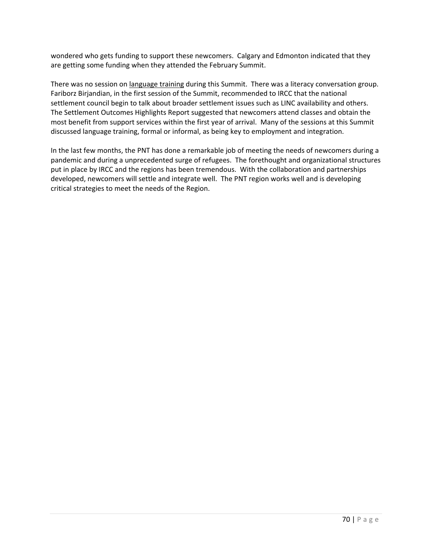wondered who gets funding to support these newcomers. Calgary and Edmonton indicated that they are getting some funding when they attended the February Summit.

There was no session on language training during this Summit. There was a literacy conversation group. Fariborz Birjandian, in the first session of the Summit, recommended to IRCC that the national settlement council begin to talk about broader settlement issues such as LINC availability and others. The Settlement Outcomes Highlights Report suggested that newcomers attend classes and obtain the most benefit from support services within the first year of arrival. Many of the sessions at this Summit discussed language training, formal or informal, as being key to employment and integration.

In the last few months, the PNT has done a remarkable job of meeting the needs of newcomers during a pandemic and during a unprecedented surge of refugees. The forethought and organizational structures put in place by IRCC and the regions has been tremendous. With the collaboration and partnerships developed, newcomers will settle and integrate well. The PNT region works well and is developing critical strategies to meet the needs of the Region.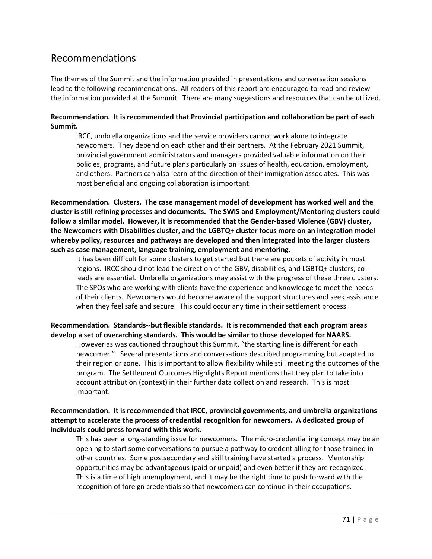# Recommendations

The themes of the Summit and the information provided in presentations and conversation sessions lead to the following recommendations. All readers of this report are encouraged to read and review the information provided at the Summit. There are many suggestions and resources that can be utilized.

## **Recommendation. It is recommended that Provincial participation and collaboration be part of each Summit.**

IRCC, umbrella organizations and the service providers cannot work alone to integrate newcomers. They depend on each other and their partners. At the February 2021 Summit, provincial government administrators and managers provided valuable information on their policies, programs, and future plans particularly on issues of health, education, employment, and others. Partners can also learn of the direction of their immigration associates. This was most beneficial and ongoing collaboration is important.

**Recommendation. Clusters. The case management model of development has worked well and the cluster is still refining processes and documents. The SWIS and Employment/Mentoring clusters could follow a similar model. However, it is recommended that the Gender‐based Violence (GBV) cluster, the Newcomers with Disabilities cluster, and the LGBTQ+ cluster focus more on an integration model whereby policy, resources and pathways are developed and then integrated into the larger clusters such as case management, language training, employment and mentoring.** 

It has been difficult for some clusters to get started but there are pockets of activity in most regions. IRCC should not lead the direction of the GBV, disabilities, and LGBTQ+ clusters; co‐ leads are essential. Umbrella organizations may assist with the progress of these three clusters. The SPOs who are working with clients have the experience and knowledge to meet the needs of their clients. Newcomers would become aware of the support structures and seek assistance when they feel safe and secure. This could occur any time in their settlement process.

# **Recommendation. Standards‐‐but flexible standards. It is recommended that each program areas develop a set of overarching standards. This would be similar to those developed for NAARS.**

However as was cautioned throughout this Summit, "the starting line is different for each newcomer." Several presentations and conversations described programming but adapted to their region or zone. This is important to allow flexibility while still meeting the outcomes of the program. The Settlement Outcomes Highlights Report mentions that they plan to take into account attribution (context) in their further data collection and research. This is most important.

# **Recommendation. It is recommended that IRCC, provincial governments, and umbrella organizations attempt to accelerate the process of credential recognition for newcomers. A dedicated group of individuals could press forward with this work.**

This has been a long-standing issue for newcomers. The micro-credentialling concept may be an opening to start some conversations to pursue a pathway to credentialling for those trained in other countries. Some postsecondary and skill training have started a process. Mentorship opportunities may be advantageous (paid or unpaid) and even better if they are recognized. This is a time of high unemployment, and it may be the right time to push forward with the recognition of foreign credentials so that newcomers can continue in their occupations.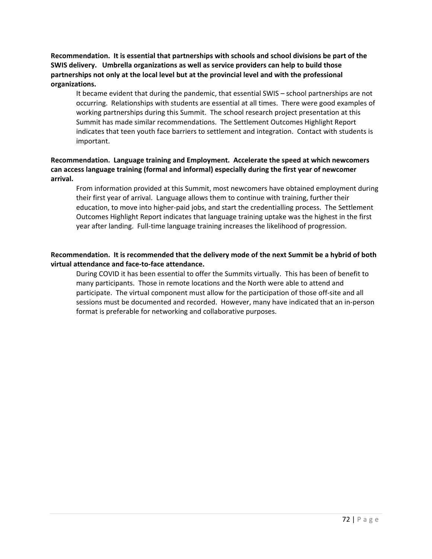**Recommendation. It is essential that partnerships with schools and school divisions be part of the SWIS delivery. Umbrella organizations as well as service providers can help to build those partnerships not only at the local level but at the provincial level and with the professional organizations.** 

It became evident that during the pandemic, that essential SWIS – school partnerships are not occurring. Relationships with students are essential at all times. There were good examples of working partnerships during this Summit. The school research project presentation at this Summit has made similar recommendations. The Settlement Outcomes Highlight Report indicates that teen youth face barriers to settlement and integration. Contact with students is important.

## **Recommendation. Language training and Employment. Accelerate the speed at which newcomers can access language training (formal and informal) especially during the first year of newcomer arrival.**

From information provided at this Summit, most newcomers have obtained employment during their first year of arrival. Language allows them to continue with training, further their education, to move into higher-paid jobs, and start the credentialling process. The Settlement Outcomes Highlight Report indicates that language training uptake was the highest in the first year after landing. Full-time language training increases the likelihood of progression.

# **Recommendation. It is recommended that the delivery mode of the next Summit be a hybrid of both virtual attendance and face‐to‐face attendance.**

During COVID it has been essential to offer the Summits virtually. This has been of benefit to many participants. Those in remote locations and the North were able to attend and participate. The virtual component must allow for the participation of those off‐site and all sessions must be documented and recorded. However, many have indicated that an in‐person format is preferable for networking and collaborative purposes.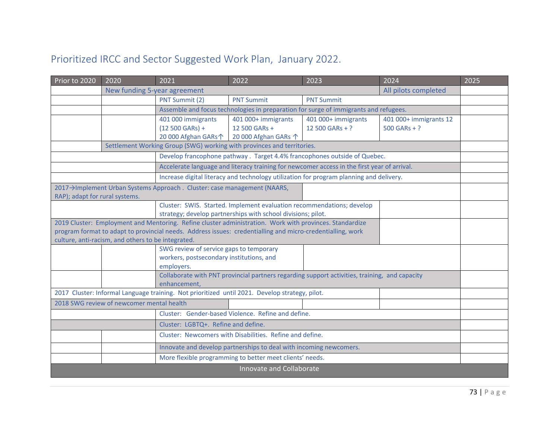## Prioritized IRCC and Sector Suggested Work Plan, January 2022.

| Prior to 2020                                                                                             | 2020<br>2021<br>2022<br>2023<br>2024                                                                                   |                                                                                                            | 2025                                                                                 |                                                                                               |                        |  |  |  |  |  |
|-----------------------------------------------------------------------------------------------------------|------------------------------------------------------------------------------------------------------------------------|------------------------------------------------------------------------------------------------------------|--------------------------------------------------------------------------------------|-----------------------------------------------------------------------------------------------|------------------------|--|--|--|--|--|
|                                                                                                           | New funding 5-year agreement<br>All pilots completed                                                                   |                                                                                                            |                                                                                      |                                                                                               |                        |  |  |  |  |  |
|                                                                                                           |                                                                                                                        | PNT Summit (2)                                                                                             | <b>PNT Summit</b>                                                                    | <b>PNT Summit</b>                                                                             |                        |  |  |  |  |  |
|                                                                                                           |                                                                                                                        |                                                                                                            | Assemble and focus technologies in preparation for surge of immigrants and refugees. |                                                                                               |                        |  |  |  |  |  |
|                                                                                                           |                                                                                                                        | 401 000 immigrants                                                                                         | 401 000+ immigrants                                                                  | 401 000+ immigrants                                                                           | 401 000+ immigrants 12 |  |  |  |  |  |
|                                                                                                           | $(12 500 GARS) +$<br>12 500 GARs +<br>12 500 GARs + ?<br>$500$ GARs + ?<br>20 000 Afghan GARs个<br>20 000 Afghan GARs 个 |                                                                                                            |                                                                                      |                                                                                               |                        |  |  |  |  |  |
| Settlement Working Group (SWG) working with provinces and territories.                                    |                                                                                                                        |                                                                                                            |                                                                                      |                                                                                               |                        |  |  |  |  |  |
| Develop francophone pathway. Target 4.4% francophones outside of Quebec.                                  |                                                                                                                        |                                                                                                            |                                                                                      |                                                                                               |                        |  |  |  |  |  |
| Accelerate language and literacy training for newcomer access in the first year of arrival.               |                                                                                                                        |                                                                                                            |                                                                                      |                                                                                               |                        |  |  |  |  |  |
| Increase digital literacy and technology utilization for program planning and delivery.                   |                                                                                                                        |                                                                                                            |                                                                                      |                                                                                               |                        |  |  |  |  |  |
| 2017→Implement Urban Systems Approach. Cluster: case management (NAARS,<br>RAP); adapt for rural systems. |                                                                                                                        |                                                                                                            |                                                                                      |                                                                                               |                        |  |  |  |  |  |
| Cluster: SWIS. Started. Implement evaluation recommendations; develop                                     |                                                                                                                        |                                                                                                            |                                                                                      |                                                                                               |                        |  |  |  |  |  |
| strategy; develop partnerships with school divisions; pilot.                                              |                                                                                                                        |                                                                                                            |                                                                                      |                                                                                               |                        |  |  |  |  |  |
|                                                                                                           |                                                                                                                        | 2019 Cluster: Employment and Mentoring. Refine cluster administration. Work with provinces. Standardize    |                                                                                      |                                                                                               |                        |  |  |  |  |  |
|                                                                                                           |                                                                                                                        | program format to adapt to provincial needs. Address issues: credentialling and micro-credentialling, work |                                                                                      |                                                                                               |                        |  |  |  |  |  |
|                                                                                                           | culture, anti-racism, and others to be integrated.                                                                     |                                                                                                            |                                                                                      |                                                                                               |                        |  |  |  |  |  |
|                                                                                                           |                                                                                                                        | SWG review of service gaps to temporary                                                                    |                                                                                      |                                                                                               |                        |  |  |  |  |  |
|                                                                                                           |                                                                                                                        | workers, postsecondary institutions, and<br>employers.                                                     |                                                                                      |                                                                                               |                        |  |  |  |  |  |
|                                                                                                           |                                                                                                                        |                                                                                                            |                                                                                      | Collaborate with PNT provincial partners regarding support activities, training, and capacity |                        |  |  |  |  |  |
|                                                                                                           |                                                                                                                        | enhancement.                                                                                               |                                                                                      |                                                                                               |                        |  |  |  |  |  |
|                                                                                                           |                                                                                                                        | 2017 Cluster: Informal Language training. Not prioritized until 2021. Develop strategy, pilot.             |                                                                                      |                                                                                               |                        |  |  |  |  |  |
|                                                                                                           | 2018 SWG review of newcomer mental health                                                                              |                                                                                                            |                                                                                      |                                                                                               |                        |  |  |  |  |  |
| Cluster: Gender-based Violence. Refine and define.                                                        |                                                                                                                        |                                                                                                            |                                                                                      |                                                                                               |                        |  |  |  |  |  |
| Cluster: LGBTQ+. Refine and define.                                                                       |                                                                                                                        |                                                                                                            |                                                                                      |                                                                                               |                        |  |  |  |  |  |
|                                                                                                           | Cluster: Newcomers with Disabilities. Refine and define.                                                               |                                                                                                            |                                                                                      |                                                                                               |                        |  |  |  |  |  |
|                                                                                                           |                                                                                                                        |                                                                                                            | Innovate and develop partnerships to deal with incoming newcomers.                   |                                                                                               |                        |  |  |  |  |  |
|                                                                                                           |                                                                                                                        |                                                                                                            | More flexible programming to better meet clients' needs.                             |                                                                                               |                        |  |  |  |  |  |
|                                                                                                           |                                                                                                                        |                                                                                                            | Innovate and Collaborate                                                             |                                                                                               |                        |  |  |  |  |  |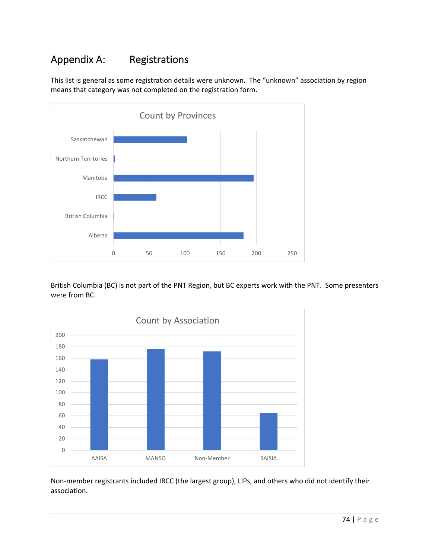### Appendix A: Registrations

This list is general as some registration details were unknown. The "unknown" association by region means that category was not completed on the registration form.



British Columbia (BC) is not part of the PNT Region, but BC experts work with the PNT. Some presenters were from BC.



Non‐member registrants included IRCC (the largest group), LIPs, and others who did not identify their association.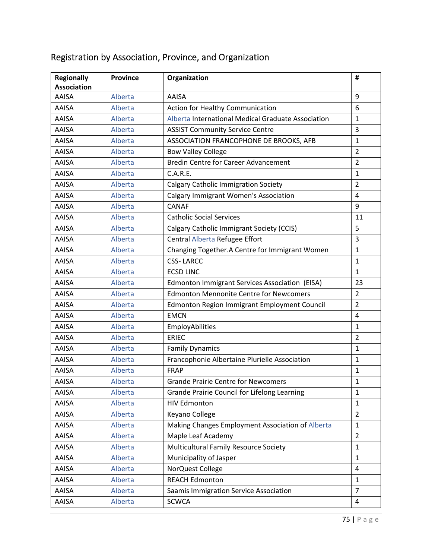| <b>Regionally</b>  | <b>Province</b> | Organization                                       | #              |  |  |
|--------------------|-----------------|----------------------------------------------------|----------------|--|--|
| <b>Association</b> |                 |                                                    |                |  |  |
| AAISA              | Alberta         | <b>AAISA</b>                                       | 9              |  |  |
| AAISA              | Alberta         | <b>Action for Healthy Communication</b>            | 6              |  |  |
| AAISA              | Alberta         | Alberta International Medical Graduate Association | $\mathbf{1}$   |  |  |
| AAISA              | Alberta         | <b>ASSIST Community Service Centre</b>             | 3              |  |  |
| AAISA              | Alberta         | ASSOCIATION FRANCOPHONE DE BROOKS, AFB             | $\mathbf{1}$   |  |  |
| AAISA              | Alberta         | <b>Bow Valley College</b>                          | $\overline{2}$ |  |  |
| AAISA              | Alberta         | <b>Bredin Centre for Career Advancement</b>        | $\overline{2}$ |  |  |
| AAISA              | Alberta         | C.A.R.E.                                           | 1              |  |  |
| AAISA              | Alberta         | <b>Calgary Catholic Immigration Society</b>        | $\overline{2}$ |  |  |
| <b>AAISA</b>       | Alberta         | <b>Calgary Immigrant Women's Association</b>       | $\overline{4}$ |  |  |
| AAISA              | Alberta         | <b>CANAF</b>                                       | 9              |  |  |
| <b>AAISA</b>       | Alberta         | <b>Catholic Social Services</b>                    | 11             |  |  |
| <b>AAISA</b>       | Alberta         | Calgary Catholic Immigrant Society (CCIS)          | 5              |  |  |
| <b>AAISA</b>       | Alberta         | Central Alberta Refugee Effort                     | 3              |  |  |
| AAISA              | Alberta         | Changing Together.A Centre for Immigrant Women     | $\mathbf{1}$   |  |  |
| <b>AAISA</b>       | Alberta         | <b>CSS-LARCC</b>                                   | 1              |  |  |
| <b>AAISA</b>       | Alberta         | <b>ECSD LINC</b>                                   |                |  |  |
| <b>AAISA</b>       | Alberta         | Edmonton Immigrant Services Association (EISA)     | 23             |  |  |
| <b>AAISA</b>       | Alberta         | <b>Edmonton Mennonite Centre for Newcomers</b>     | $\overline{2}$ |  |  |
| <b>AAISA</b>       | Alberta         | Edmonton Region Immigrant Employment Council       | $\overline{2}$ |  |  |
| <b>AAISA</b>       | Alberta         | <b>EMCN</b>                                        | $\overline{a}$ |  |  |
| <b>AAISA</b>       | Alberta         | EmployAbilities                                    | $\mathbf{1}$   |  |  |
| <b>AAISA</b>       | Alberta         | <b>ERIEC</b>                                       | $\overline{2}$ |  |  |
| AAISA              | Alberta         | <b>Family Dynamics</b>                             | $\mathbf{1}$   |  |  |
| <b>AAISA</b>       | Alberta         | Francophonie Albertaine Plurielle Association      | $\mathbf{1}$   |  |  |
| <b>AAISA</b>       | Alberta         | FRAP                                               | 1              |  |  |
| AAISA              | Alberta         | <b>Grande Prairie Centre for Newcomers</b>         | 1              |  |  |
| AAISA              | Alberta         | Grande Prairie Council for Lifelong Learning       | 1              |  |  |
| <b>AAISA</b>       | Alberta         | <b>HIV Edmonton</b>                                | 1              |  |  |
| AAISA              | Alberta         | Keyano College                                     | $\overline{2}$ |  |  |
| AAISA              | Alberta         | Making Changes Employment Association of Alberta   | $\mathbf{1}$   |  |  |
| AAISA              | Alberta         | Maple Leaf Academy                                 | $\overline{2}$ |  |  |
| AAISA              | Alberta         | Multicultural Family Resource Society              | $\mathbf{1}$   |  |  |
| AAISA              | Alberta         | Municipality of Jasper                             | $\mathbf{1}$   |  |  |
| AAISA              | Alberta         | NorQuest College                                   | 4              |  |  |
| AAISA              | Alberta         | <b>REACH Edmonton</b>                              | $\mathbf{1}$   |  |  |
| AAISA              | Alberta         | Saamis Immigration Service Association             | $\overline{7}$ |  |  |
| AAISA              | Alberta         | <b>SCWCA</b>                                       | $\overline{a}$ |  |  |

# Registration by Association, Province, and Organization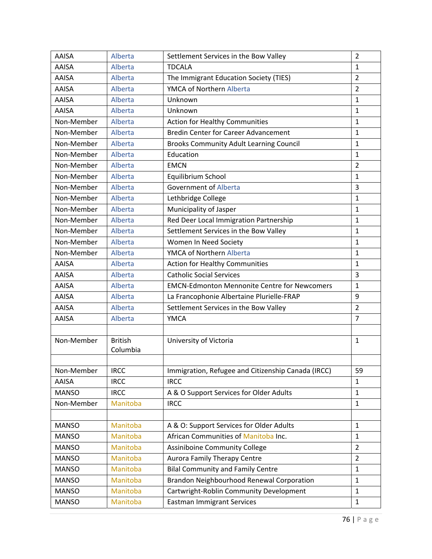| AAISA        | Alberta        | $\overline{2}$<br>Settlement Services in the Bow Valley |                                  |  |  |  |
|--------------|----------------|---------------------------------------------------------|----------------------------------|--|--|--|
| <b>AAISA</b> | Alberta        | <b>TDCALA</b>                                           | $\mathbf{1}$                     |  |  |  |
| AAISA        | Alberta        | The Immigrant Education Society (TIES)                  | $\overline{2}$                   |  |  |  |
| <b>AAISA</b> | Alberta        | YMCA of Northern Alberta                                | $\overline{2}$                   |  |  |  |
| AAISA        | Alberta        | Unknown                                                 | $\mathbf{1}$                     |  |  |  |
| <b>AAISA</b> | Alberta        | Unknown                                                 | $\mathbf{1}$                     |  |  |  |
| Non-Member   | Alberta        | <b>Action for Healthy Communities</b>                   | $\mathbf{1}$                     |  |  |  |
| Non-Member   | Alberta        | <b>Bredin Center for Career Advancement</b>             | 1                                |  |  |  |
| Non-Member   | Alberta        | <b>Brooks Community Adult Learning Council</b>          | 1                                |  |  |  |
| Non-Member   | Alberta        | Education                                               | 1                                |  |  |  |
| Non-Member   | Alberta        | <b>EMCN</b>                                             | $\overline{2}$                   |  |  |  |
| Non-Member   | Alberta        | Equilibrium School                                      | $\mathbf{1}$                     |  |  |  |
| Non-Member   | Alberta        | <b>Government of Alberta</b>                            | 3                                |  |  |  |
| Non-Member   | Alberta        | Lethbridge College                                      | $\mathbf{1}$                     |  |  |  |
| Non-Member   | Alberta        | Municipality of Jasper                                  | 1                                |  |  |  |
| Non-Member   | Alberta        | Red Deer Local Immigration Partnership                  | $\mathbf{1}$                     |  |  |  |
| Non-Member   | Alberta        | Settlement Services in the Bow Valley                   | $\mathbf{1}$                     |  |  |  |
| Non-Member   | Alberta        | Women In Need Society                                   | 1                                |  |  |  |
| Non-Member   | Alberta        | YMCA of Northern Alberta                                |                                  |  |  |  |
| <b>AAISA</b> | Alberta        | <b>Action for Healthy Communities</b>                   |                                  |  |  |  |
| <b>AAISA</b> | Alberta        | <b>Catholic Social Services</b>                         |                                  |  |  |  |
| AAISA        | Alberta        | <b>EMCN-Edmonton Mennonite Centre for Newcomers</b>     | $\mathbf{1}$                     |  |  |  |
| <b>AAISA</b> | Alberta        | La Francophonie Albertaine Plurielle-FRAP               | 9                                |  |  |  |
| AAISA        | Alberta        | Settlement Services in the Bow Valley                   | $\overline{2}$                   |  |  |  |
| AAISA        | Alberta        | <b>YMCA</b>                                             | $\overline{7}$                   |  |  |  |
|              |                |                                                         |                                  |  |  |  |
| Non-Member   | <b>British</b> | University of Victoria                                  | $\mathbf{1}$                     |  |  |  |
|              | Columbia       |                                                         |                                  |  |  |  |
|              |                |                                                         |                                  |  |  |  |
| Non-Member   | <b>IRCC</b>    | Immigration, Refugee and Citizenship Canada (IRCC)      | 59                               |  |  |  |
| AAISA        | <b>IRCC</b>    | <b>IRCC</b>                                             | 1                                |  |  |  |
| <b>MANSO</b> | <b>IRCC</b>    | A & O Support Services for Older Adults                 | $\mathbf{1}$                     |  |  |  |
| Non-Member   | Manitoba       | <b>IRCC</b>                                             | $\mathbf{1}$                     |  |  |  |
|              |                |                                                         |                                  |  |  |  |
| <b>MANSO</b> | Manitoba       | A & O: Support Services for Older Adults                | $\mathbf{1}$                     |  |  |  |
| <b>MANSO</b> | Manitoba       | African Communities of Manitoba Inc.                    | $\mathbf{1}$                     |  |  |  |
| <b>MANSO</b> | Manitoba       | <b>Assiniboine Community College</b>                    | $\overline{2}$<br>$\overline{2}$ |  |  |  |
| <b>MANSO</b> | Manitoba       | <b>Aurora Family Therapy Centre</b>                     |                                  |  |  |  |
| <b>MANSO</b> | Manitoba       | <b>Bilal Community and Family Centre</b>                |                                  |  |  |  |
| <b>MANSO</b> | Manitoba       | Brandon Neighbourhood Renewal Corporation               | $\mathbf{1}$                     |  |  |  |
| <b>MANSO</b> | Manitoba       | Cartwright-Roblin Community Development                 | $\mathbf{1}$                     |  |  |  |
| <b>MANSO</b> | Manitoba       | <b>Eastman Immigrant Services</b><br>$\mathbf{1}$       |                                  |  |  |  |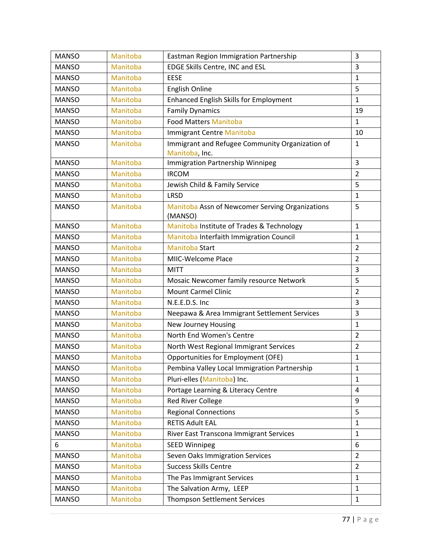| <b>MANSO</b> | Manitoba | 3<br>Eastman Region Immigration Partnership                |                |  |  |  |
|--------------|----------|------------------------------------------------------------|----------------|--|--|--|
| <b>MANSO</b> | Manitoba | 3<br>EDGE Skills Centre, INC and ESL                       |                |  |  |  |
| <b>MANSO</b> | Manitoba | <b>EESE</b>                                                | 1              |  |  |  |
| <b>MANSO</b> | Manitoba | <b>English Online</b>                                      | 5              |  |  |  |
| <b>MANSO</b> | Manitoba | <b>Enhanced English Skills for Employment</b>              | $\mathbf{1}$   |  |  |  |
| <b>MANSO</b> | Manitoba | <b>Family Dynamics</b>                                     | 19             |  |  |  |
| <b>MANSO</b> | Manitoba | <b>Food Matters Manitoba</b>                               | $\mathbf{1}$   |  |  |  |
| <b>MANSO</b> | Manitoba | <b>Immigrant Centre Manitoba</b>                           | 10             |  |  |  |
| <b>MANSO</b> | Manitoba | Immigrant and Refugee Community Organization of            | $\mathbf{1}$   |  |  |  |
|              |          | Manitoba, Inc.                                             |                |  |  |  |
| <b>MANSO</b> | Manitoba | Immigration Partnership Winnipeg<br>3                      |                |  |  |  |
| <b>MANSO</b> | Manitoba | <b>IRCOM</b>                                               | $\overline{2}$ |  |  |  |
| <b>MANSO</b> | Manitoba | Jewish Child & Family Service                              | 5              |  |  |  |
| <b>MANSO</b> | Manitoba | <b>LRSD</b>                                                | $\mathbf{1}$   |  |  |  |
| <b>MANSO</b> | Manitoba | Manitoba Assn of Newcomer Serving Organizations<br>(MANSO) | 5              |  |  |  |
| <b>MANSO</b> | Manitoba | Manitoba Institute of Trades & Technology                  |                |  |  |  |
| <b>MANSO</b> | Manitoba | Manitoba Interfaith Immigration Council                    |                |  |  |  |
| <b>MANSO</b> | Manitoba | <b>Manitoba Start</b>                                      |                |  |  |  |
| <b>MANSO</b> | Manitoba | MIIC-Welcome Place                                         | $\overline{2}$ |  |  |  |
| <b>MANSO</b> | Manitoba | <b>MITT</b>                                                |                |  |  |  |
| <b>MANSO</b> | Manitoba | Mosaic Newcomer family resource Network                    | 5              |  |  |  |
| <b>MANSO</b> | Manitoba | <b>Mount Carmel Clinic</b>                                 | $\overline{2}$ |  |  |  |
| <b>MANSO</b> | Manitoba | N.E.E.D.S. Inc                                             | 3              |  |  |  |
| <b>MANSO</b> | Manitoba | Neepawa & Area Immigrant Settlement Services               | 3              |  |  |  |
| <b>MANSO</b> | Manitoba | New Journey Housing                                        | $\mathbf{1}$   |  |  |  |
| <b>MANSO</b> | Manitoba | North End Women's Centre                                   | 2              |  |  |  |
| <b>MANSO</b> | Manitoba | North West Regional Immigrant Services                     | $\overline{2}$ |  |  |  |
| <b>MANSO</b> | Manitoba | Opportunities for Employment (OFE)                         | 1              |  |  |  |
| <b>MANSO</b> | Manitoba | Pembina Valley Local Immigration Partnership               | $\mathbf 1$    |  |  |  |
| <b>MANSO</b> | Manitoba | Pluri-elles (Manitoba) Inc.                                | $\mathbf{1}$   |  |  |  |
| <b>MANSO</b> | Manitoba | Portage Learning & Literacy Centre                         | 4              |  |  |  |
| <b>MANSO</b> | Manitoba | Red River College                                          | 9              |  |  |  |
| <b>MANSO</b> | Manitoba | <b>Regional Connections</b>                                | 5              |  |  |  |
| <b>MANSO</b> | Manitoba | <b>RETIS Adult EAL</b>                                     | $\mathbf{1}$   |  |  |  |
| <b>MANSO</b> | Manitoba | River East Transcona Immigrant Services                    | $\mathbf{1}$   |  |  |  |
| 6            | Manitoba | <b>SEED Winnipeg</b>                                       | 6              |  |  |  |
| <b>MANSO</b> | Manitoba | Seven Oaks Immigration Services                            | $\overline{2}$ |  |  |  |
| <b>MANSO</b> | Manitoba | <b>Success Skills Centre</b>                               | 2              |  |  |  |
| <b>MANSO</b> | Manitoba | The Pas Immigrant Services                                 | $\mathbf{1}$   |  |  |  |
| <b>MANSO</b> | Manitoba | The Salvation Army, LEEP                                   | $\mathbf{1}$   |  |  |  |
| <b>MANSO</b> | Manitoba | Thompson Settlement Services                               | $\mathbf{1}$   |  |  |  |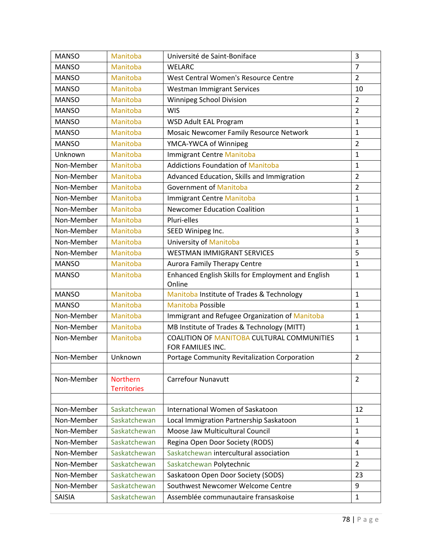| <b>MANSO</b> | Manitoba           | $\overline{3}$<br>Université de Saint-Boniface                  |                |  |  |  |
|--------------|--------------------|-----------------------------------------------------------------|----------------|--|--|--|
| <b>MANSO</b> | Manitoba           | <b>WELARC</b>                                                   | $\overline{7}$ |  |  |  |
| <b>MANSO</b> | Manitoba           | West Central Women's Resource Centre                            | $\overline{2}$ |  |  |  |
| <b>MANSO</b> | Manitoba           | <b>Westman Immigrant Services</b>                               | 10             |  |  |  |
| <b>MANSO</b> | Manitoba           | Winnipeg School Division                                        | $\overline{2}$ |  |  |  |
| <b>MANSO</b> | Manitoba           | $\overline{2}$<br><b>WIS</b>                                    |                |  |  |  |
| <b>MANSO</b> | Manitoba           | <b>WSD Adult EAL Program</b>                                    | $\mathbf{1}$   |  |  |  |
| <b>MANSO</b> | Manitoba           | Mosaic Newcomer Family Resource Network                         | $\mathbf{1}$   |  |  |  |
| <b>MANSO</b> | Manitoba           | YMCA-YWCA of Winnipeg                                           |                |  |  |  |
| Unknown      | Manitoba           | <b>Immigrant Centre Manitoba</b>                                |                |  |  |  |
| Non-Member   | Manitoba           | <b>Addictions Foundation of Manitoba</b>                        |                |  |  |  |
| Non-Member   | Manitoba           | Advanced Education, Skills and Immigration                      |                |  |  |  |
| Non-Member   | Manitoba           | Government of Manitoba                                          | $\overline{2}$ |  |  |  |
| Non-Member   | Manitoba           | <b>Immigrant Centre Manitoba</b>                                |                |  |  |  |
| Non-Member   | Manitoba           | <b>Newcomer Education Coalition</b>                             | $\mathbf{1}$   |  |  |  |
| Non-Member   | Manitoba           | Pluri-elles                                                     |                |  |  |  |
| Non-Member   | Manitoba           | SEED Winipeg Inc.                                               |                |  |  |  |
| Non-Member   | Manitoba           | University of Manitoba                                          |                |  |  |  |
| Non-Member   | Manitoba           | <b>WESTMAN IMMIGRANT SERVICES</b>                               | 5              |  |  |  |
| <b>MANSO</b> | Manitoba           | <b>Aurora Family Therapy Centre</b>                             | $\mathbf{1}$   |  |  |  |
| <b>MANSO</b> | Manitoba           | Enhanced English Skills for Employment and English              | $\mathbf{1}$   |  |  |  |
|              |                    | Online                                                          |                |  |  |  |
| <b>MANSO</b> | Manitoba           | Manitoba Institute of Trades & Technology                       | $\mathbf{1}$   |  |  |  |
| <b>MANSO</b> | Manitoba           | <b>Manitoba Possible</b>                                        | $\mathbf{1}$   |  |  |  |
| Non-Member   | Manitoba           | Immigrant and Refugee Organization of Manitoba                  | $\mathbf{1}$   |  |  |  |
| Non-Member   | Manitoba           | MB Institute of Trades & Technology (MITT)                      | $\mathbf{1}$   |  |  |  |
| Non-Member   | Manitoba           | COALITION OF MANITOBA CULTURAL COMMUNITIES<br>FOR FAMILIES INC. | $\mathbf{1}$   |  |  |  |
| Non-Member   | Unknown            | Portage Community Revitalization Corporation                    | $\overline{2}$ |  |  |  |
|              |                    |                                                                 |                |  |  |  |
| Non-Member   | Northern           | <b>Carrefour Nunavutt</b>                                       | $\overline{2}$ |  |  |  |
|              | <b>Territories</b> |                                                                 |                |  |  |  |
|              |                    |                                                                 |                |  |  |  |
| Non-Member   | Saskatchewan       | International Women of Saskatoon                                | 12             |  |  |  |
| Non-Member   | Saskatchewan       | Local Immigration Partnership Saskatoon                         | $\mathbf{1}$   |  |  |  |
| Non-Member   | Saskatchewan       | Moose Jaw Multicultural Council                                 | $\mathbf{1}$   |  |  |  |
| Non-Member   | Saskatchewan       | Regina Open Door Society (RODS)                                 |                |  |  |  |
| Non-Member   | Saskatchewan       | Saskatchewan intercultural association                          |                |  |  |  |
| Non-Member   | Saskatchewan       | Saskatchewan Polytechnic                                        |                |  |  |  |
| Non-Member   | Saskatchewan       | Saskatoon Open Door Society (SODS)                              | 23             |  |  |  |
| Non-Member   | Saskatchewan       | Southwest Newcomer Welcome Centre                               | 9              |  |  |  |
| SAISIA       | Saskatchewan       | Assemblée communautaire fransaskoise                            |                |  |  |  |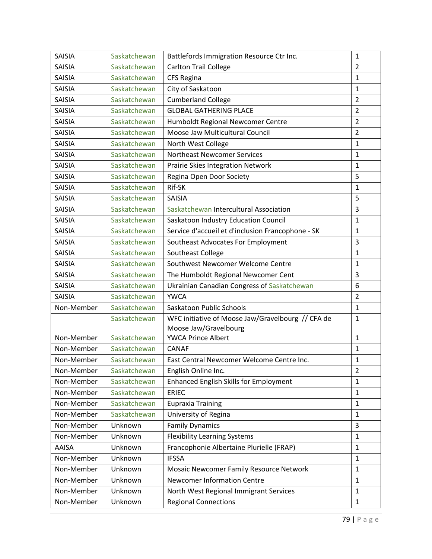| <b>SAISIA</b> | Saskatchewan | $\mathbf{1}$<br>Battlefords Immigration Resource Ctr Inc. |                |  |  |
|---------------|--------------|-----------------------------------------------------------|----------------|--|--|
| <b>SAISIA</b> | Saskatchewan | <b>Carlton Trail College</b>                              | $\overline{2}$ |  |  |
| <b>SAISIA</b> | Saskatchewan | <b>CFS Regina</b>                                         | 1              |  |  |
| <b>SAISIA</b> | Saskatchewan | City of Saskatoon                                         | $\mathbf 1$    |  |  |
| <b>SAISIA</b> | Saskatchewan | <b>Cumberland College</b>                                 | $\overline{2}$ |  |  |
| <b>SAISIA</b> | Saskatchewan | <b>GLOBAL GATHERING PLACE</b>                             | $\overline{2}$ |  |  |
| <b>SAISIA</b> | Saskatchewan | Humboldt Regional Newcomer Centre                         | $\overline{2}$ |  |  |
| SAISIA        | Saskatchewan | Moose Jaw Multicultural Council                           | $\overline{2}$ |  |  |
| <b>SAISIA</b> | Saskatchewan | North West College                                        | $\mathbf{1}$   |  |  |
| <b>SAISIA</b> | Saskatchewan | <b>Northeast Newcomer Services</b>                        | $\mathbf{1}$   |  |  |
| <b>SAISIA</b> | Saskatchewan | Prairie Skies Integration Network                         | $\mathbf{1}$   |  |  |
| <b>SAISIA</b> | Saskatchewan | Regina Open Door Society                                  | 5              |  |  |
| <b>SAISIA</b> | Saskatchewan | Rif-SK                                                    | $\mathbf 1$    |  |  |
| SAISIA        | Saskatchewan | <b>SAISIA</b>                                             | 5              |  |  |
| <b>SAISIA</b> | Saskatchewan | Saskatchewan Intercultural Association                    | 3              |  |  |
| <b>SAISIA</b> | Saskatchewan | Saskatoon Industry Education Council                      |                |  |  |
| <b>SAISIA</b> | Saskatchewan | Service d'accueil et d'inclusion Francophone - SK         | $\mathbf{1}$   |  |  |
| SAISIA        | Saskatchewan | Southeast Advocates For Employment                        |                |  |  |
| <b>SAISIA</b> | Saskatchewan | Southeast College                                         | $\mathbf{1}$   |  |  |
| <b>SAISIA</b> | Saskatchewan | Southwest Newcomer Welcome Centre                         | $\mathbf{1}$   |  |  |
| <b>SAISIA</b> | Saskatchewan | The Humboldt Regional Newcomer Cent                       | 3              |  |  |
| SAISIA        | Saskatchewan | Ukrainian Canadian Congress of Saskatchewan               | 6              |  |  |
| SAISIA        | Saskatchewan | <b>YWCA</b>                                               | $\overline{2}$ |  |  |
| Non-Member    | Saskatchewan | Saskatoon Public Schools                                  |                |  |  |
| Saskatchewan  |              | WFC initiative of Moose Jaw/Gravelbourg // CFA de         | $\mathbf{1}$   |  |  |
|               |              | Moose Jaw/Gravelbourg                                     |                |  |  |
| Non-Member    | Saskatchewan | <b>YWCA Prince Albert</b>                                 | $\mathbf{1}$   |  |  |
| Non-Member    | Saskatchewan | CANAF                                                     | 1              |  |  |
| Non-Member    | Saskatchewan | East Central Newcomer Welcome Centre Inc.                 | $\mathbf 1$    |  |  |
| Non-Member    | Saskatchewan | English Online Inc.                                       | $\overline{2}$ |  |  |
| Non-Member    | Saskatchewan | <b>Enhanced English Skills for Employment</b>             | $\mathbf{1}$   |  |  |
| Non-Member    | Saskatchewan | <b>ERIEC</b>                                              | $\mathbf{1}$   |  |  |
| Non-Member    | Saskatchewan | <b>Eupraxia Training</b>                                  | $\mathbf{1}$   |  |  |
| Non-Member    | Saskatchewan | University of Regina                                      | $\mathbf{1}$   |  |  |
| Non-Member    | Unknown      | <b>Family Dynamics</b>                                    | 3              |  |  |
| Non-Member    | Unknown      | <b>Flexibility Learning Systems</b>                       | $\mathbf{1}$   |  |  |
| <b>AAISA</b>  | Unknown      | Francophonie Albertaine Plurielle (FRAP)                  | $\mathbf{1}$   |  |  |
| Non-Member    | Unknown      | <b>IFSSA</b>                                              | $\mathbf{1}$   |  |  |
| Non-Member    | Unknown      | Mosaic Newcomer Family Resource Network                   | $\mathbf 1$    |  |  |
| Non-Member    | Unknown      | <b>Newcomer Information Centre</b><br>1                   |                |  |  |
| Non-Member    | Unknown      | North West Regional Immigrant Services                    | $\mathbf{1}$   |  |  |
| Non-Member    | Unknown      | <b>Regional Connections</b><br>$\mathbf{1}$               |                |  |  |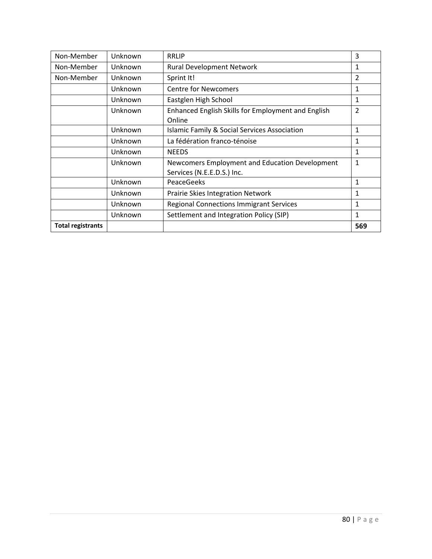| <b>Total registrants</b> |         |                                                              | 569          |
|--------------------------|---------|--------------------------------------------------------------|--------------|
|                          | Unknown | Settlement and Integration Policy (SIP)                      | 1            |
|                          | Unknown | <b>Regional Connections Immigrant Services</b>               | 1            |
|                          | Unknown | Prairie Skies Integration Network                            | $\mathbf{1}$ |
|                          | Unknown | PeaceGeeks                                                   | 1            |
|                          |         | Services (N.E.E.D.S.) Inc.                                   |              |
|                          | Unknown | Newcomers Employment and Education Development               | $\mathbf{1}$ |
|                          | Unknown | <b>NEEDS</b>                                                 | 1            |
|                          | Unknown | La fédération franco-ténoise                                 | 1            |
|                          | Unknown | <b>Islamic Family &amp; Social Services Association</b>      | 1            |
|                          | Unknown | Enhanced English Skills for Employment and English<br>Online | 2            |
|                          | Unknown | Eastglen High School                                         | 1            |
|                          | Unknown | <b>Centre for Newcomers</b>                                  | 1            |
| Non-Member               | Unknown | Sprint It!                                                   | 2            |
| Non-Member               | Unknown | <b>Rural Development Network</b>                             | 1            |
| Non-Member               | Unknown | <b>RRLIP</b>                                                 | 3            |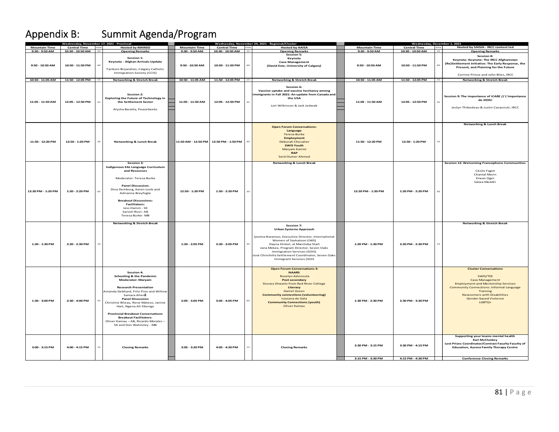# Appendix B: Summit Agenda/Program

| <b>Mountain Time</b> | dnesday, November 17, 2021 - Provi<br><b>Central Time</b> | time | <b>Hosted by MANSO</b>                                                                                                                                                                                                                                                                                                                                                                                                       | <b>Mountain Time</b>                   | <b>Central Time</b> time |    | day, November 24, 2021 - Regional/Clustei<br><b>Hosted by AAISA</b>                                                                                                                                                                                                                                                         | <b>Mountain Time</b>                   | <b>Central Time</b>                    | time | ednesday, December 1, 2021/<br>Hosted by SAISIA - IRCC content led                                                                                                                                                                                                    |
|----------------------|-----------------------------------------------------------|------|------------------------------------------------------------------------------------------------------------------------------------------------------------------------------------------------------------------------------------------------------------------------------------------------------------------------------------------------------------------------------------------------------------------------------|----------------------------------------|--------------------------|----|-----------------------------------------------------------------------------------------------------------------------------------------------------------------------------------------------------------------------------------------------------------------------------------------------------------------------------|----------------------------------------|----------------------------------------|------|-----------------------------------------------------------------------------------------------------------------------------------------------------------------------------------------------------------------------------------------------------------------------|
| 9:30 - 9:50 AM       | 10:30 - 10:50 AM                                          | 20   | <b>Opening Remarks</b>                                                                                                                                                                                                                                                                                                                                                                                                       | 9:30 - 9:50 AM                         | 10:30 - 10:50 AM 15      |    | <b>Opening Remarks</b>                                                                                                                                                                                                                                                                                                      | 9:30 - 9:50 AM                         | 10:30 - 10:50 AM                       | 15   | <b>Opening Remarks</b>                                                                                                                                                                                                                                                |
| 9:50 - 10:50 AM      | 10:50 - 11:50 PM                                          |      | Session 1:<br>Keynote - Afghan Arrivals Update<br>Fariborz Birjandian, Calgary Catholic<br>Immigration Society (CCIS)                                                                                                                                                                                                                                                                                                        | 9:50 - 10:50 AM                        | 10:50 - 11:50 PM         |    | <b>Session 5:</b><br>Keynote<br><b>Case Management</b><br>(David Este, University of Calgary)                                                                                                                                                                                                                               | 9:50 - 10:50 AM                        | 10:50 - 11:50 PM                       | 60   | Session 8:<br>Keynote: Keynote: The IRCC Afghanistan<br>(Re)Settlement Initiative: The Early Response, the<br>Present, and Planning for the Future<br>Corrine Prince and John Biles, IRCC                                                                             |
| 10:50 - 11:05 AM     | 11:50 - 12:05 PM                                          | 15   | <b>Networking &amp; Stretch Break</b>                                                                                                                                                                                                                                                                                                                                                                                        | 10:50 - 11:05 AM                       | 11:50 - 12:05 PM         | 15 | <b>Networking &amp; Stretch Break</b>                                                                                                                                                                                                                                                                                       | 10:50 - 11:05 AM                       | 11:50 - 12:05 PM                       | 15   | <b>Networking &amp; Stretch Break</b>                                                                                                                                                                                                                                 |
| 11:05 - 11:50 AM     | 12:05 - 12:50 PM                                          |      | Session 2:<br><b>Exploring the Future of Technology in</b><br>the Settlement Sector<br>Alysha Baratta, PeaceGeeks                                                                                                                                                                                                                                                                                                            | 11:05 - 11:50 AM                       | 12:05 - 12:50 PM         |    | Session 6:<br>Vaccine uptake and vaccine hesitancy among<br>mmigrants in Fall 2021: An update from Canada and<br>the USA<br>Lori Wilkinson & Jack Jedwab                                                                                                                                                                    | 11:05 - 11:50 AM                       | 12:05 - 12:50 PM                       |      | Session 9: The importance of iCARE // L'importance<br>de iEDEC<br>Jeslyn Thibedeau & Justin Cavacciuti, IRCC                                                                                                                                                          |
| 11:50 - 12:20 PM     | 12:50 - 1:20 PM                                           | 30   | <b>Networking &amp; Lunch Break</b>                                                                                                                                                                                                                                                                                                                                                                                          | 11:50 AM - 12:50 PM 12:50 PM - 1:50 PM |                          |    | <b>Open Forum Conversations:</b><br>Language<br><b>Teresa Burke</b><br><b>Employment</b><br>Déborah Chevalier<br><b>SWIS Youth</b><br>Maryam Karimi<br><b>RAP</b><br><b>Seid Oumer Ahmed</b>                                                                                                                                | 11:50 - 12:20 PM                       | 12:50 - 1:20 PM                        | 10   | <b>Networking &amp; Lunch Break</b>                                                                                                                                                                                                                                   |
| 12:20 PM - 1:20 PM   | 1:20 - 2:20 PM                                            |      | Session 3:<br><b>Indigenous EAL Language Curriculum</b><br>and Resources<br>Moderator: Teresa Burke<br><b>Panel Discussion:</b><br>Dina Demburg, Karen Loeb and<br>Adrianne Breyfogle<br><b>Breakout Discussions:</b><br><b>Facilitators:</b><br>Jess Hamm - SK<br>Sarosh Rizvi-AB<br>Teresa Burke-MB                                                                                                                        | 12:50 - 1:20 PM                        | 1:50 - 2:20 PM           |    | <b>Networking &amp; Lunch Break</b>                                                                                                                                                                                                                                                                                         | 12:20 PM - 1:20 PM                     | 1:20 PM - 2:20 PM                      |      | Session 12: Welcoming Francophone Communities<br>Cécile Fagot<br>Chantal Morin<br>Erwan Oger<br>Salwa Meddri                                                                                                                                                          |
| 1:20 - 1:30 PM       | 2:20 - 2:30 PM                                            |      | <b>Networking &amp; Stretch Break</b>                                                                                                                                                                                                                                                                                                                                                                                        | 1:20 - 2:05 PM                         | 2:20 - 3:05 PM           |    | Session 7:<br><b>Urban Systems Approach</b><br>Ijeoma Nwamuo, Executive Director, International<br>Women of Saskatoon (IWS)<br>Dayna Hinkel, at Manitoba Start<br>Jana Mckee, Program Director, Seven Oaks<br>Immigration Services (SOIS)<br>José Chinchilla Settlement Coordinator, Seven Oaks<br>Immigrant Services (SOIS | 1:20 PM - 1:30 PM                      | 2:20 PM - 2:30 PM                      | 10   | <b>Networking &amp; Stretch Break</b>                                                                                                                                                                                                                                 |
| 1:30 - 3:00 PM       | 2:30 - 4:00 PM                                            | 45   | <b>Session 4:</b><br><b>Schooling &amp; the Pandemic</b><br><b>Moderator: Maryam</b><br><b>Research Presentation</b><br>Amanda Gebhard, Fritz Pino and Willow<br>Samara Allen<br><b>Panel Discussion</b><br>Christine Bileau, Rene Mateso, Janine<br>Hart, Ngena Ali-Ebenga<br><b>Provincial Breakout Conversations</b><br><b>Breakout Facilitators:</b><br>Oliver Kamau - AB, Ricardo Morales -<br>SK and Don Walmsley - MB | 2:05 - 3:05 PM                         | 3:05 - 4:05 PM           |    | <b>Open Forum Conversations 3:</b><br><b>NAARS</b><br>Roselyn Advincula<br><b>Post secondary</b><br><b>Sturary Shwartz from Red River College</b><br>Literacy<br><b>Daniel Green</b><br><b>Community connections (volunteering)</b><br>Icasiana de Gala<br><b>Community Connections (youth)</b><br>Oliver Kamau             | 1:30 PM - 2:30 PM                      | 2:30 PM - 3:30 PM                      |      | <b>Cluster Conversations</b><br>SWIS/TEE<br><b>Case Management</b><br><b>Employment and Mentorship Services</b><br><b>Community Connections: Informal Language</b><br><b>Training</b><br><b>Newcomers with Disabilities</b><br><b>Gender based Violence</b><br>LGBTQ+ |
| 3:00 - 3:15 PM       | 4:00 - 4:15 PM                                            | 15   | <b>Closing Remarks</b>                                                                                                                                                                                                                                                                                                                                                                                                       | 3:05 - 3:20 PM                         | 4:05 - 4:20 PM           | 15 | <b>Closing Remarks</b>                                                                                                                                                                                                                                                                                                      | 2:30 PM - 3:15 PM<br>3:15 PM - 3:30 PM | 3:30 PM - 4:15 PM<br>4:15 PM - 4:30 PM |      | Supporting your teams mental health<br><b>Kari McCluskey</b><br>Lost Prizes Coordinator/Contract Faculty Faculty of<br><b>Education, Aurora Family Therapy Centre</b><br><b>Conference Closing Remarks</b>                                                            |
|                      |                                                           |      |                                                                                                                                                                                                                                                                                                                                                                                                                              |                                        |                          |    |                                                                                                                                                                                                                                                                                                                             |                                        |                                        |      |                                                                                                                                                                                                                                                                       |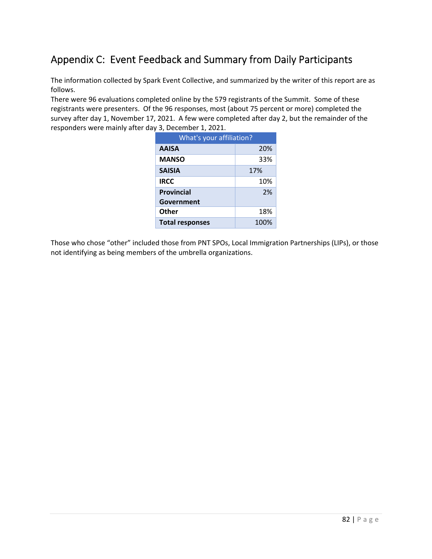## Appendix C: Event Feedback and Summary from Daily Participants

The information collected by Spark Event Collective, and summarized by the writer of this report are as follows.

There were 96 evaluations completed online by the 579 registrants of the Summit. Some of these registrants were presenters. Of the 96 responses, most (about 75 percent or more) completed the survey after day 1, November 17, 2021. A few were completed after day 2, but the remainder of the responders were mainly after day 3, December 1, 2021.

| What's your affiliation? |      |  |  |  |  |  |
|--------------------------|------|--|--|--|--|--|
| <b>AAISA</b>             | 20%  |  |  |  |  |  |
| <b>MANSO</b>             | 33%  |  |  |  |  |  |
| <b>SAISIA</b>            | 17%  |  |  |  |  |  |
| <b>IRCC</b>              | 10%  |  |  |  |  |  |
| <b>Provincial</b>        | 2%   |  |  |  |  |  |
| Government               |      |  |  |  |  |  |
| Other                    | 18%  |  |  |  |  |  |
| <b>Total responses</b>   | 100% |  |  |  |  |  |

Those who chose "other" included those from PNT SPOs, Local Immigration Partnerships (LIPs), or those not identifying as being members of the umbrella organizations.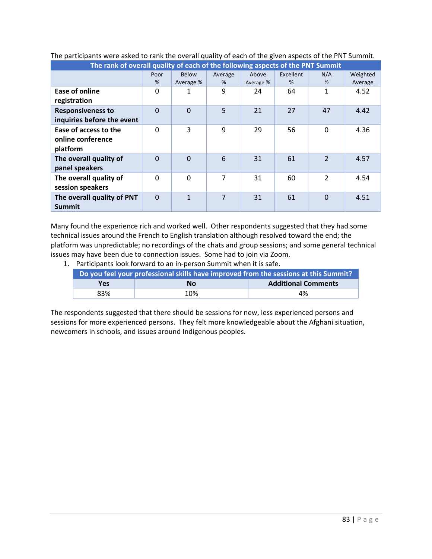| The rank of overall quality of each of the following aspects of the PNT Summit |                |              |         |           |                  |                |          |  |
|--------------------------------------------------------------------------------|----------------|--------------|---------|-----------|------------------|----------------|----------|--|
|                                                                                | Poor           | <b>Below</b> | Average | Above     | <b>Excellent</b> | N/A            | Weighted |  |
|                                                                                | %              | Average %    | %       | Average % | %                | %              | Average  |  |
| Ease of online<br>registration                                                 | 0              | 1            | 9       | 24        | 64               | $\mathbf{1}$   | 4.52     |  |
| <b>Responsiveness to</b><br>inquiries before the event                         | $\overline{0}$ | $\Omega$     | 5       | 21        | 27               | 47             | 4.42     |  |
| Ease of access to the<br>online conference<br>platform                         | $\Omega$       | 3            | 9       | 29        | 56               | $\Omega$       | 4.36     |  |
| The overall quality of<br>panel speakers                                       | $\Omega$       | $\Omega$     | 6       | 31        | 61               | $\overline{2}$ | 4.57     |  |
| The overall quality of<br>session speakers                                     | $\Omega$       | $\Omega$     | 7       | 31        | 60               | 2              | 4.54     |  |
| The overall quality of PNT<br><b>Summit</b>                                    | $\Omega$       | $\mathbf{1}$ | 7       | 31        | 61               | $\Omega$       | 4.51     |  |

### The participants were asked to rank the overall quality of each of the given aspects of the PNT Summit.

Many found the experience rich and worked well. Other respondents suggested that they had some technical issues around the French to English translation although resolved toward the end; the platform was unpredictable; no recordings of the chats and group sessions; and some general technical issues may have been due to connection issues. Some had to join via Zoom.

1. Participants look forward to an in‐person Summit when it is safe.

| Do you feel your professional skills have improved from the sessions at this Summit? |           |                            |  |  |  |  |
|--------------------------------------------------------------------------------------|-----------|----------------------------|--|--|--|--|
| Yes                                                                                  | <b>No</b> | <b>Additional Comments</b> |  |  |  |  |
| 83%                                                                                  | 10%       | 4%                         |  |  |  |  |

The respondents suggested that there should be sessions for new, less experienced persons and sessions for more experienced persons. They felt more knowledgeable about the Afghani situation, newcomers in schools, and issues around Indigenous peoples.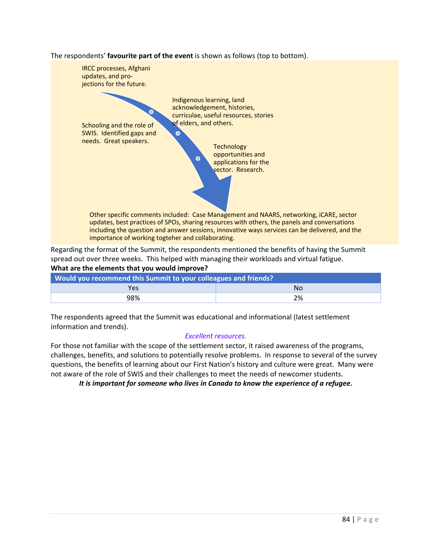The respondents' **favourite part of the event** is shown as follows (top to bottom).



spread out over three weeks. This helped with managing their workloads and virtual fatigue. **What are the elements that you would improve?** 

| Would you recommend this Summit to your colleagues and friends? |    |  |  |  |  |
|-----------------------------------------------------------------|----|--|--|--|--|
| Yes                                                             | N٥ |  |  |  |  |
| 98%                                                             | 2% |  |  |  |  |

The respondents agreed that the Summit was educational and informational (latest settlement information and trends).

#### *Excellent resources.*

For those not familiar with the scope of the settlement sector, it raised awareness of the programs, challenges, benefits, and solutions to potentially resolve problems. In response to several of the survey questions, the benefits of learning about our First Nation's history and culture were great. Many were not aware of the role of SWIS and their challenges to meet the needs of newcomer students.

*It is important for someone who lives in Canada to know the experience of a refugee.*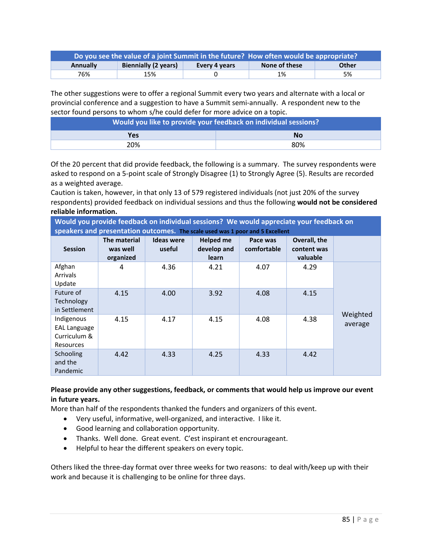| Do you see the value of a joint Summit in the future? How often would be appropriate? |                             |               |               |       |  |  |  |  |
|---------------------------------------------------------------------------------------|-----------------------------|---------------|---------------|-------|--|--|--|--|
| <b>Annually</b>                                                                       | <b>Biennially (2 years)</b> | Every 4 years | None of these | Other |  |  |  |  |
| 76%                                                                                   | 15%                         |               | 1%            | 5%    |  |  |  |  |

The other suggestions were to offer a regional Summit every two years and alternate with a local or provincial conference and a suggestion to have a Summit semi‐annually. A respondent new to the sector found persons to whom s/he could defer for more advice on a topic.

| Would you like to provide your feedback on individual sessions? |           |  |  |  |  |  |
|-----------------------------------------------------------------|-----------|--|--|--|--|--|
| <b>Yes</b>                                                      | <b>No</b> |  |  |  |  |  |
| 20%                                                             | 80%       |  |  |  |  |  |

Of the 20 percent that did provide feedback, the following is a summary. The survey respondents were asked to respond on a 5‐point scale of Strongly Disagree (1) to Strongly Agree (5). Results are recorded as a weighted average.

Caution is taken, however, in that only 13 of 579 registered individuals (not just 20% of the survey respondents) provided feedback on individual sessions and thus the following **would not be considered reliable information.**

**Would you provide feedback on individual sessions? We would appreciate your feedback on speakers and presentation outcomes. The scale used was 1 poor and 5 Excellent**

| <b>Session</b>                                                        | The material<br>was well<br>organized | <b>Ideas were</b><br>useful | <b>Helped me</b><br>develop and<br>learn | Pace was<br>comfortable | Overall, the<br>content was<br>valuable |          |
|-----------------------------------------------------------------------|---------------------------------------|-----------------------------|------------------------------------------|-------------------------|-----------------------------------------|----------|
| Afghan<br>Arrivals<br>Update                                          | 4                                     | 4.36                        | 4.21                                     | 4.07                    | 4.29                                    |          |
| Future of<br>Technology<br>in Settlement                              | 4.15                                  | 4.00                        | 3.92                                     | 4.08                    | 4.15                                    | Weighted |
| Indigenous<br><b>EAL Language</b><br>Curriculum &<br><b>Resources</b> | 4.15                                  | 4.17                        | 4.15                                     | 4.08                    | 4.38                                    | average  |
| Schooling<br>and the<br>Pandemic                                      | 4.42                                  | 4.33                        | 4.25                                     | 4.33                    | 4.42                                    |          |

### **Please provide any other suggestions, feedback, or comments that would help us improve our event in future years.**

More than half of the respondents thanked the funders and organizers of this event.

- Very useful, informative, well-organized, and interactive. I like it.
- Good learning and collaboration opportunity.
- Thanks. Well done. Great event. C'est inspirant et encrourageant.
- Helpful to hear the different speakers on every topic.

Others liked the three‐day format over three weeks for two reasons: to deal with/keep up with their work and because it is challenging to be online for three days.